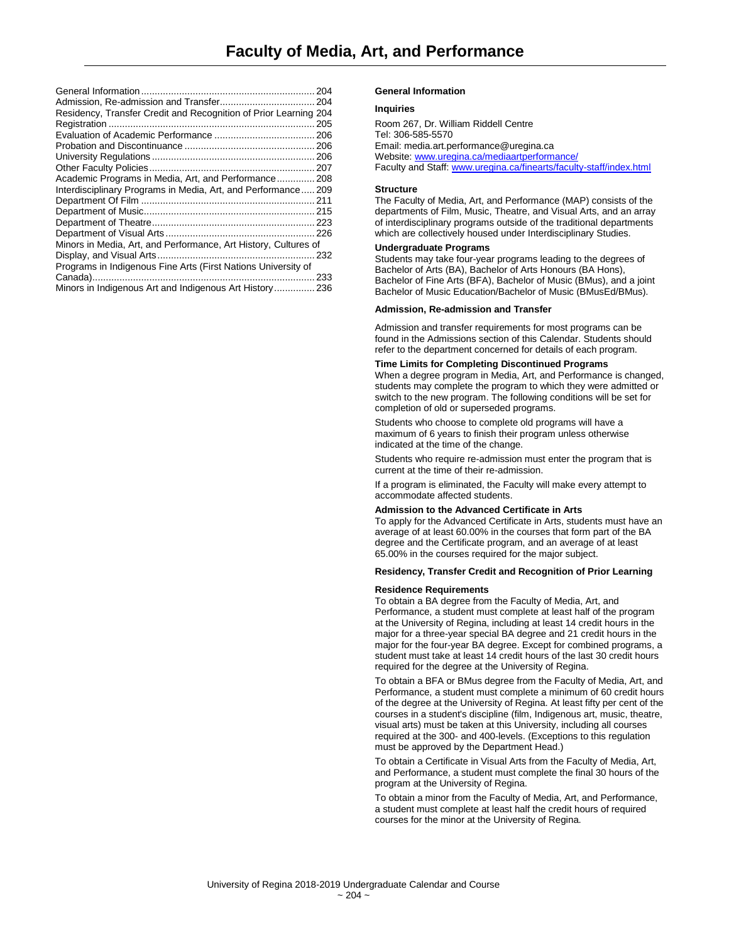|                                                                  | 204 |
|------------------------------------------------------------------|-----|
|                                                                  | 204 |
| Residency, Transfer Credit and Recognition of Prior Learning 204 |     |
|                                                                  | 205 |
|                                                                  |     |
|                                                                  |     |
|                                                                  |     |
|                                                                  | 207 |
| Academic Programs in Media, Art, and Performance 208             |     |
| Interdisciplinary Programs in Media, Art, and Performance209     |     |
|                                                                  |     |
|                                                                  |     |
|                                                                  |     |
|                                                                  | 226 |
| Minors in Media, Art, and Performance, Art History, Cultures of  |     |
|                                                                  | 232 |
| Programs in Indigenous Fine Arts (First Nations University of    |     |
|                                                                  | 233 |
| Minors in Indigenous Art and Indigenous Art History 236          |     |
|                                                                  |     |

#### **General Information**

#### **Inquiries**

Room 267, Dr. William Riddell Centre Tel: 306-585-5570 Email[: media.art.performance@uregina.ca](mailto:media.art.performance@uregina.ca) Website[: www.uregina.ca/mediaartperformance/](http://www.uregina.ca/mediaartperformance/) Faculty and Staff[: www.uregina.ca/finearts/faculty-staff/index.html](http://www.uregina.ca/finearts/faculty-staff/index.html)

#### **Structure**

The Faculty of Media, Art, and Performance (MAP) consists of the departments of Film, Music, Theatre, and Visual Arts, and an array of interdisciplinary programs outside of the traditional departments which are collectively housed under Interdisciplinary Studies.

#### **Undergraduate Programs**

Students may take four-year programs leading to the degrees of Bachelor of Arts (BA), Bachelor of Arts Honours (BA Hons), Bachelor of Fine Arts (BFA), Bachelor of Music (BMus), and a joint Bachelor of Music Education/Bachelor of Music (BMusEd/BMus).

#### **Admission, Re-admission and Transfer**

Admission and transfer requirements for most programs can be found in the Admissions section of this Calendar. Students should refer to the department concerned for details of each program.

#### **Time Limits for Completing Discontinued Programs**

When a degree program in Media, Art, and Performance is changed, students may complete the program to which they were admitted or switch to the new program. The following conditions will be set for completion of old or superseded programs.

Students who choose to complete old programs will have a maximum of 6 years to finish their program unless otherwise indicated at the time of the change.

Students who require re-admission must enter the program that is current at the time of their re-admission.

If a program is eliminated, the Faculty will make every attempt to accommodate affected students.

## **Admission to the Advanced Certificate in Arts**

To apply for the Advanced Certificate in Arts, students must have an average of at least 60.00% in the courses that form part of the BA degree and the Certificate program, and an average of at least 65.00% in the courses required for the major subject.

#### **Residency, Transfer Credit and Recognition of Prior Learning**

#### **Residence Requirements**

To obtain a BA degree from the Faculty of Media, Art, and Performance, a student must complete at least half of the program at the University of Regina, including at least 14 credit hours in the major for a three-year special BA degree and 21 credit hours in the major for the four-year BA degree. Except for combined programs, a student must take at least 14 credit hours of the last 30 credit hours required for the degree at the University of Regina.

To obtain a BFA or BMus degree from the Faculty of Media, Art, and Performance, a student must complete a minimum of 60 credit hours of the degree at the University of Regina. At least fifty per cent of the courses in a student's discipline (film, Indigenous art, music, theatre, visual arts) must be taken at this University, including all courses required at the 300- and 400-levels. (Exceptions to this regulation must be approved by the Department Head.)

To obtain a Certificate in Visual Arts from the Faculty of Media, Art, and Performance, a student must complete the final 30 hours of the program at the University of Regina.

To obtain a minor from the Faculty of Media, Art, and Performance, a student must complete at least half the credit hours of required courses for the minor at the University of Regina.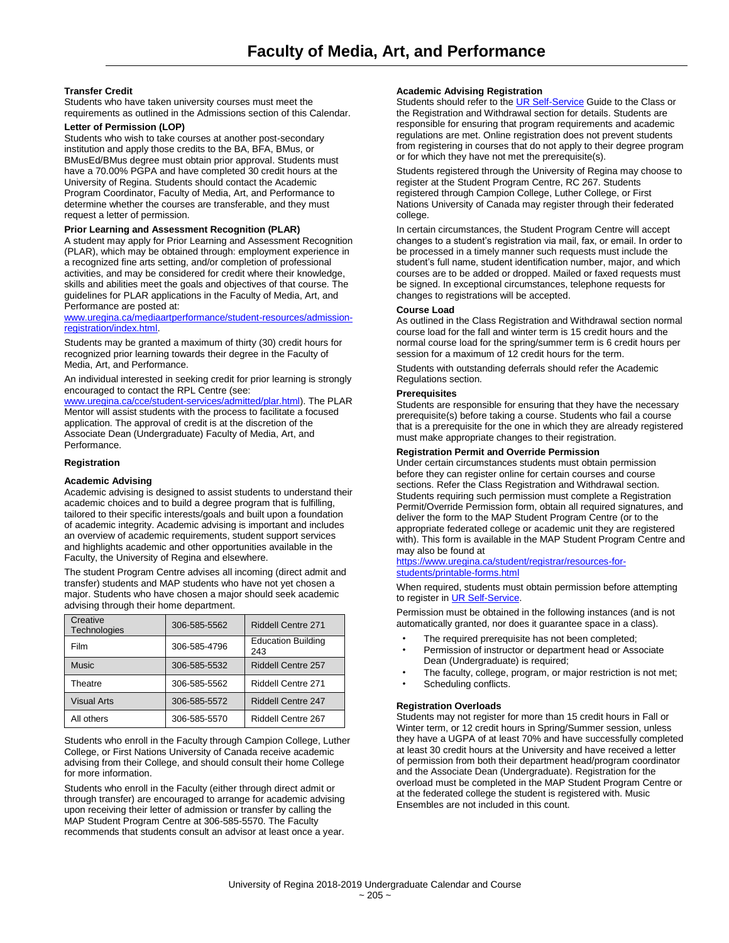## **Transfer Credit**

Students who have taken university courses must meet the requirements as outlined in the Admissions section of this Calendar.

## **Letter of Permission (LOP)**

Students who wish to take courses at another post-secondary institution and apply those credits to the BA, BFA, BMus, or BMusEd/BMus degree must obtain prior approval. Students must have a 70.00% PGPA and have completed 30 credit hours at the University of Regina. Students should contact the Academic Program Coordinator, Faculty of Media, Art, and Performance to determine whether the courses are transferable, and they must request a letter of permission.

## **Prior Learning and Assessment Recognition (PLAR)**

A student may apply for Prior Learning and Assessment Recognition (PLAR), which may be obtained through: employment experience in a recognized fine arts setting, and/or completion of professional activities, and may be considered for credit where their knowledge, skills and abilities meet the goals and objectives of that course. The guidelines for PLAR applications in the Faculty of Media, Art, and Performance are posted at:

## [www.uregina.ca/mediaartperformance/student-resources/admission](http://www.uregina.ca/mediaartperformance/student-resources/admission-registration/index.html)[registration/index.html.](http://www.uregina.ca/mediaartperformance/student-resources/admission-registration/index.html)

Students may be granted a maximum of thirty (30) credit hours for recognized prior learning towards their degree in the Faculty of Media, Art, and Performance.

An individual interested in seeking credit for prior learning is strongly encouraged to contact the RPL Centre (see:

[www.uregina.ca/cce/student-services/admitted/plar.html\)](http://www.uregina.ca/cce/student-services/admitted/plar.html). The PLAR Mentor will assist students with the process to facilitate a focused application. The approval of credit is at the discretion of the Associate Dean (Undergraduate) Faculty of Media, Art, and Performance.

## **Registration**

## **Academic Advising**

Academic advising is designed to assist students to understand their academic choices and to build a degree program that is fulfilling, tailored to their specific interests/goals and built upon a foundation of academic integrity. Academic advising is important and includes an overview of academic requirements, student support services and highlights academic and other opportunities available in the Faculty, the University of Regina and elsewhere.

The student Program Centre advises all incoming (direct admit and transfer) students and MAP students who have not yet chosen a major. Students who have chosen a major should seek academic advising through their home department.

| Creative<br>Technologies | 306-585-5562 | <b>Riddell Centre 271</b>        |
|--------------------------|--------------|----------------------------------|
| Film                     | 306-585-4796 | <b>Education Building</b><br>243 |
| <b>Music</b>             | 306-585-5532 | Riddell Centre 257               |
| Theatre                  | 306-585-5562 | <b>Riddell Centre 271</b>        |
| <b>Visual Arts</b>       | 306-585-5572 | Riddell Centre 247               |
| All others               | 306-585-5570 | Riddell Centre 267               |

Students who enroll in the Faculty through Campion College, Luther College, or First Nations University of Canada receive academic advising from their College, and should consult their home College for more information.

Students who enroll in the Faculty (either through direct admit or through transfer) are encouraged to arrange for academic advising upon receiving their letter of admission or transfer by calling the MAP Student Program Centre at 306-585-5570. The Faculty recommends that students consult an advisor at least once a year.

## **Academic Advising Registration**

Students should refer to th[e UR Self-Service](http://www.uregina.ca/student/registrar/registration) Guide to the Class or the Registration and Withdrawal section for details. Students are responsible for ensuring that program requirements and academic regulations are met. Online registration does not prevent students from registering in courses that do not apply to their degree program or for which they have not met the prerequisite(s).

Students registered through the University of Regina may choose to register at the Student Program Centre, RC 267. Students registered through Campion College, Luther College, or First Nations University of Canada may register through their federated college.

In certain circumstances, the Student Program Centre will accept changes to a student's registration via mail, fax, or email. In order to be processed in a timely manner such requests must include the student's full name, student identification number, major, and which courses are to be added or dropped. Mailed or faxed requests must be signed. In exceptional circumstances, telephone requests for changes to registrations will be accepted.

## **Course Load**

As outlined in the Class Registration and Withdrawal section normal course load for the fall and winter term is 15 credit hours and the normal course load for the spring/summer term is 6 credit hours per session for a maximum of 12 credit hours for the term.

Students with outstanding deferrals should refer the Academic Regulations section.

## **Prerequisites**

Students are responsible for ensuring that they have the necessary prerequisite(s) before taking a course. Students who fail a course that is a prerequisite for the one in which they are already registered must make appropriate changes to their registration.

## **Registration Permit and Override Permission**

Under certain circumstances students must obtain permission before they can register online for certain courses and course sections. Refer the Class Registration and Withdrawal section. Students requiring such permission must complete a Registration Permit/Override Permission form, obtain all required signatures, and deliver the form to the MAP Student Program Centre (or to the appropriate federated college or academic unit they are registered with). This form is available in the MAP Student Program Centre and may also be found at

[https://www.uregina.ca/student/registrar/resources-for](https://www.uregina.ca/student/registrar/resources-for-students/printable-forms.html)[students/printable-forms.html](https://www.uregina.ca/student/registrar/resources-for-students/printable-forms.html)

When required, students must obtain permission before attempting to register i[n UR Self-Service.](https://banner.uregina.ca/prod/sct/twbkwbis.P_WWWLogin)

Permission must be obtained in the following instances (and is not automatically granted, nor does it guarantee space in a class).

- The required prerequisite has not been completed:
- Permission of instructor or department head or Associate Dean (Undergraduate) is required;
- The faculty, college, program, or major restriction is not met;
- Scheduling conflicts.

## **Registration Overloads**

Students may not register for more than 15 credit hours in Fall or Winter term, or 12 credit hours in Spring/Summer session, unless they have a UGPA of at least 70% and have successfully completed at least 30 credit hours at the University and have received a letter of permission from both their department head/program coordinator and the Associate Dean (Undergraduate). Registration for the overload must be completed in the MAP Student Program Centre or at the federated college the student is registered with. Music Ensembles are not included in this count.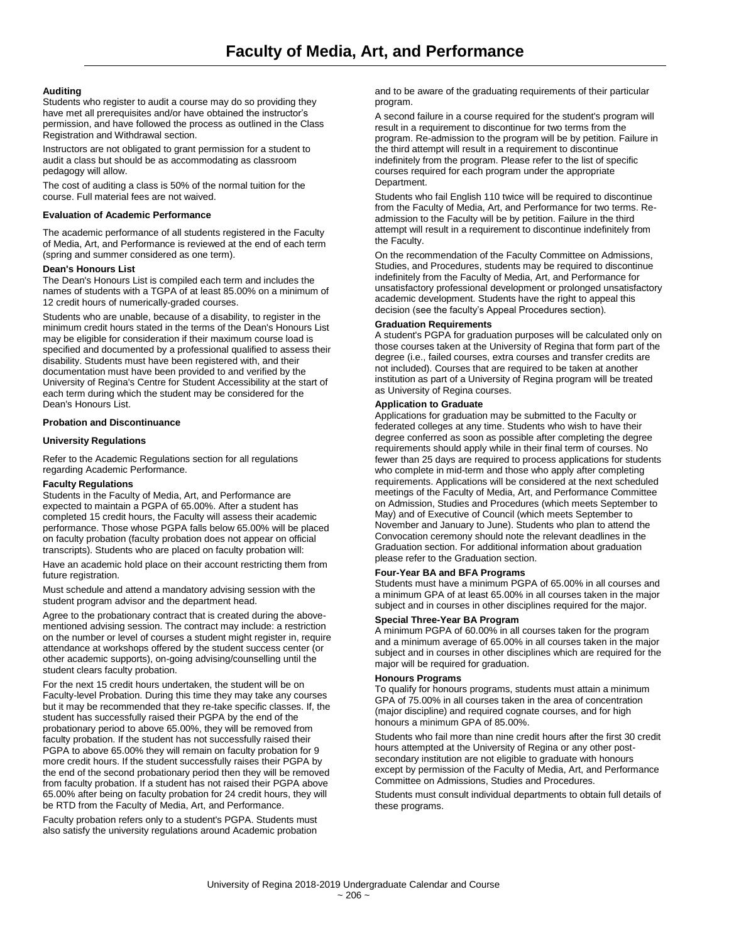## **Auditing**

Students who register to audit a course may do so providing they have met all prerequisites and/or have obtained the instructor's permission, and have followed the process as outlined in the Class Registration and Withdrawal section.

Instructors are not obligated to grant permission for a student to audit a class but should be as accommodating as classroom pedagogy will allow.

The cost of auditing a class is 50% of the normal tuition for the course. Full material fees are not waived.

## **Evaluation of Academic Performance**

The academic performance of all students registered in the Faculty of Media, Art, and Performance is reviewed at the end of each term (spring and summer considered as one term).

## **Dean's Honours List**

The Dean's Honours List is compiled each term and includes the names of students with a TGPA of at least 85.00% on a minimum of 12 credit hours of numerically-graded courses.

Students who are unable, because of a disability, to register in the minimum credit hours stated in the terms of the Dean's Honours List may be eligible for consideration if their maximum course load is specified and documented by a professional qualified to assess their disability. Students must have been registered with, and their documentation must have been provided to and verified by the University of Regina's Centre for Student Accessibility at the start of each term during which the student may be considered for the Dean's Honours List.

## **Probation and Discontinuance**

## **University Regulations**

Refer to the Academic Regulations section for all regulations regarding Academic Performance.

## **Faculty Regulations**

Students in the Faculty of Media, Art, and Performance are expected to maintain a PGPA of 65.00%. After a student has completed 15 credit hours, the Faculty will assess their academic performance. Those whose PGPA falls below 65.00% will be placed on faculty probation (faculty probation does not appear on official transcripts). Students who are placed on faculty probation will:

Have an academic hold place on their account restricting them from future registration.

Must schedule and attend a mandatory advising session with the student program advisor and the department head.

Agree to the probationary contract that is created during the abovementioned advising session. The contract may include: a restriction on the number or level of courses a student might register in, require attendance at workshops offered by the student success center (or other academic supports), on-going advising/counselling until the student clears faculty probation.

For the next 15 credit hours undertaken, the student will be on Faculty-level Probation. During this time they may take any courses but it may be recommended that they re-take specific classes. If, the student has successfully raised their PGPA by the end of the probationary period to above 65.00%, they will be removed from faculty probation. If the student has not successfully raised their PGPA to above 65.00% they will remain on faculty probation for 9 more credit hours. If the student successfully raises their PGPA by the end of the second probationary period then they will be removed from faculty probation. If a student has not raised their PGPA above 65.00% after being on faculty probation for 24 credit hours, they will be RTD from the Faculty of Media, Art, and Performance.

Faculty probation refers only to a student's PGPA. Students must also satisfy the university regulations around Academic probation

and to be aware of the graduating requirements of their particular program.

A second failure in a course required for the student's program will result in a requirement to discontinue for two terms from the program. Re-admission to the program will be by petition. Failure in the third attempt will result in a requirement to discontinue indefinitely from the program. Please refer to the list of specific courses required for each program under the appropriate Department.

Students who fail English 110 twice will be required to discontinue from the Faculty of Media, Art, and Performance for two terms. Readmission to the Faculty will be by petition. Failure in the third attempt will result in a requirement to discontinue indefinitely from the Faculty.

On the recommendation of the Faculty Committee on Admissions, Studies, and Procedures, students may be required to discontinue indefinitely from the Faculty of Media, Art, and Performance for unsatisfactory professional development or prolonged unsatisfactory academic development. Students have the right to appeal this decision (see the faculty's Appeal Procedures section).

#### **Graduation Requirements**

A student's PGPA for graduation purposes will be calculated only on those courses taken at the University of Regina that form part of the degree (i.e., failed courses, extra courses and transfer credits are not included). Courses that are required to be taken at another institution as part of a University of Regina program will be treated as University of Regina courses.

## **Application to Graduate**

Applications for graduation may be submitted to the Faculty or federated colleges at any time. Students who wish to have their degree conferred as soon as possible after completing the degree requirements should apply while in their final term of courses. No fewer than 25 days are required to process applications for students who complete in mid-term and those who apply after completing requirements. Applications will be considered at the next scheduled meetings of the Faculty of Media, Art, and Performance Committee on Admission, Studies and Procedures (which meets September to May) and of Executive of Council (which meets September to November and January to June). Students who plan to attend the Convocation ceremony should note the relevant deadlines in the Graduation section. For additional information about graduation please refer to the Graduation section.

#### **Four-Year BA and BFA Programs**

Students must have a minimum PGPA of 65.00% in all courses and a minimum GPA of at least 65.00% in all courses taken in the major subject and in courses in other disciplines required for the major.

#### **Special Three-Year BA Program**

A minimum PGPA of 60.00% in all courses taken for the program and a minimum average of 65.00% in all courses taken in the major subject and in courses in other disciplines which are required for the major will be required for graduation.

#### **Honours Programs**

To qualify for honours programs, students must attain a minimum GPA of 75.00% in all courses taken in the area of concentration (major discipline) and required cognate courses, and for high honours a minimum GPA of 85.00%.

Students who fail more than nine credit hours after the first 30 credit hours attempted at the University of Regina or any other postsecondary institution are not eligible to graduate with honours except by permission of the Faculty of Media, Art, and Performance Committee on Admissions, Studies and Procedures.

Students must consult individual departments to obtain full details of these programs.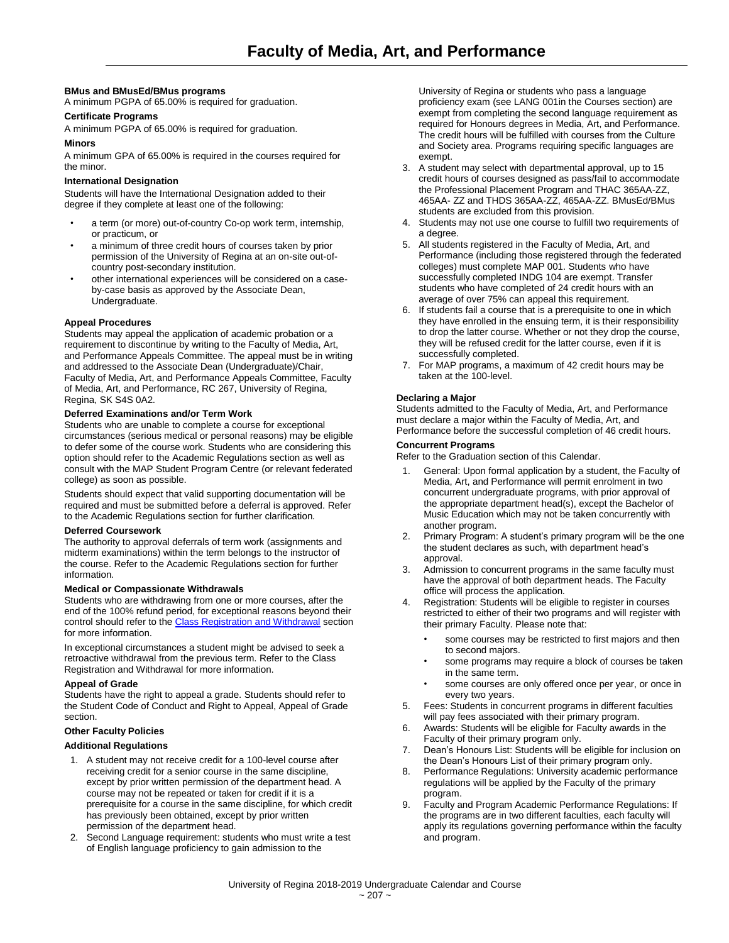## **BMus and BMusEd/BMus programs**

A minimum PGPA of 65.00% is required for graduation.

## **Certificate Programs**

A minimum PGPA of 65.00% is required for graduation.

## **Minors**

A minimum GPA of 65.00% is required in the courses required for the minor.

## **International Designation**

Students will have the International Designation added to their degree if they complete at least one of the following:

- a term (or more) out-of-country Co-op work term, internship, or practicum, or
- a minimum of three credit hours of courses taken by prior permission of the University of Regina at an on-site out-ofcountry post-secondary institution.
- other international experiences will be considered on a caseby-case basis as approved by the Associate Dean, Undergraduate.

## **Appeal Procedures**

Students may appeal the application of academic probation or a requirement to discontinue by writing to the Faculty of Media, Art, and Performance Appeals Committee. The appeal must be in writing and addressed to the Associate Dean (Undergraduate)/Chair, Faculty of Media, Art, and Performance Appeals Committee, Faculty of Media, Art, and Performance, RC 267, University of Regina, Regina, SK S4S 0A2.

## **Deferred Examinations and/or Term Work**

Students who are unable to complete a course for exceptional circumstances (serious medical or personal reasons) may be eligible to defer some of the course work. Students who are considering this option should refer to the Academic Regulations section as well as consult with the MAP Student Program Centre (or relevant federated college) as soon as possible.

Students should expect that valid supporting documentation will be required and must be submitted before a deferral is approved. Refer to the Academic Regulations section for further clarification.

## **Deferred Coursework**

The authority to approval deferrals of term work (assignments and midterm examinations) within the term belongs to the instructor of the course. Refer to the Academic Regulations section for further information.

## **Medical or Compassionate Withdrawals**

Students who are withdrawing from one or more courses, after the end of the 100% refund period, for exceptional reasons beyond their control should refer to the Class Registration and Withdrawal section for more information.

In exceptional circumstances a student might be advised to seek a retroactive withdrawal from the previous term. Refer to the Class Registration and Withdrawal for more information.

#### **Appeal of Grade**

Students have the right to appeal a grade. Students should refer to the Student Code of Conduct and Right to Appeal, Appeal of Grade section.

## **Other Faculty Policies**

## **Additional Regulations**

- 1. A student may not receive credit for a 100-level course after receiving credit for a senior course in the same discipline, except by prior written permission of the department head. A course may not be repeated or taken for credit if it is a prerequisite for a course in the same discipline, for which credit has previously been obtained, except by prior written permission of the department head.
- 2. Second Language requirement: students who must write a test of English language proficiency to gain admission to the

University of Regina or students who pass a language proficiency exam (see LANG 001in the Courses section) are exempt from completing the second language requirement as required for Honours degrees in Media, Art, and Performance. The credit hours will be fulfilled with courses from the Culture and Society area. Programs requiring specific languages are exempt.

- 3. A student may select with departmental approval, up to 15 credit hours of courses designed as pass/fail to accommodate the Professional Placement Program and THAC 365AA-ZZ, 465AA- ZZ and THDS 365AA-ZZ, 465AA-ZZ. BMusEd/BMus students are excluded from this provision.
- 4. Students may not use one course to fulfill two requirements of a degree.
- 5. All students registered in the Faculty of Media, Art, and Performance (including those registered through the federated colleges) must complete MAP 001. Students who have successfully completed INDG 104 are exempt. Transfer students who have completed of 24 credit hours with an average of over 75% can appeal this requirement.
- 6. If students fail a course that is a prerequisite to one in which they have enrolled in the ensuing term, it is their responsibility to drop the latter course. Whether or not they drop the course, they will be refused credit for the latter course, even if it is successfully completed.
- 7. For MAP programs, a maximum of 42 credit hours may be taken at the 100-level.

## **Declaring a Major**

Students admitted to the Faculty of Media, Art, and Performance must declare a major within the Faculty of Media, Art, and Performance before the successful completion of 46 credit hours.

## **Concurrent Programs**

Refer to the Graduation section of this Calendar.

- 1. General: Upon formal application by a student, the Faculty of Media, Art, and Performance will permit enrolment in two concurrent undergraduate programs, with prior approval of the appropriate department head(s), except the Bachelor of Music Education which may not be taken concurrently with another program.
- 2. Primary Program: A student's primary program will be the one the student declares as such, with department head's approval.
- 3. Admission to concurrent programs in the same faculty must have the approval of both department heads. The Faculty office will process the application.
- 4. Registration: Students will be eligible to register in courses restricted to either of their two programs and will register with their primary Faculty. Please note that:
	- some courses may be restricted to first majors and then to second majors.
	- some programs may require a block of courses be taken in the same term.
	- some courses are only offered once per year, or once in every two years.
- 5. Fees: Students in concurrent programs in different faculties will pay fees associated with their primary program.
- 6. Awards: Students will be eligible for Faculty awards in the Faculty of their primary program only.
- 7. Dean's Honours List: Students will be eligible for inclusion on the Dean's Honours List of their primary program only.
- 8. Performance Regulations: University academic performance regulations will be applied by the Faculty of the primary program.
- 9. Faculty and Program Academic Performance Regulations: If the programs are in two different faculties, each faculty will apply its regulations governing performance within the faculty and program.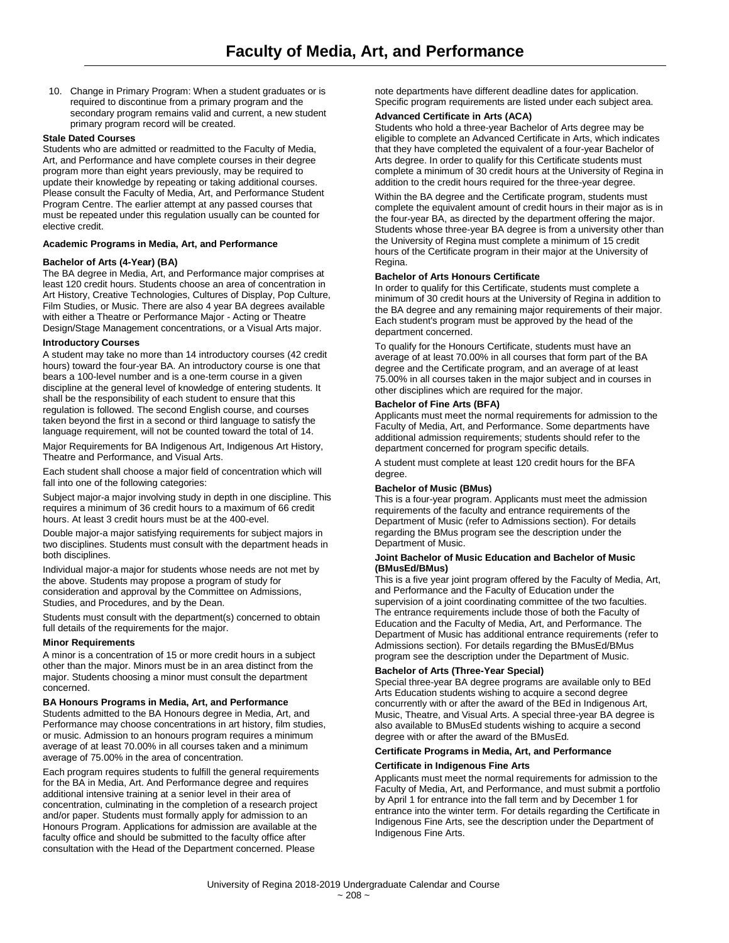10. Change in Primary Program: When a student graduates or is required to discontinue from a primary program and the secondary program remains valid and current, a new student primary program record will be created.

### **Stale Dated Courses**

Students who are admitted or readmitted to the Faculty of Media, Art, and Performance and have complete courses in their degree program more than eight years previously, may be required to update their knowledge by repeating or taking additional courses. Please consult the Faculty of Media, Art, and Performance Student Program Centre. The earlier attempt at any passed courses that must be repeated under this regulation usually can be counted for elective credit.

## **Academic Programs in Media, Art, and Performance**

## **Bachelor of Arts (4-Year) (BA)**

The BA degree in Media, Art, and Performance major comprises at least 120 credit hours. Students choose an area of concentration in Art History, Creative Technologies, Cultures of Display, Pop Culture, Film Studies, or Music. There are also 4 year BA degrees available with either a Theatre or Performance Major - Acting or Theatre Design/Stage Management concentrations, or a Visual Arts major.

## **Introductory Courses**

A student may take no more than 14 introductory courses (42 credit hours) toward the four-year BA. An introductory course is one that bears a 100-level number and is a one-term course in a given discipline at the general level of knowledge of entering students. It shall be the responsibility of each student to ensure that this regulation is followed. The second English course, and courses taken beyond the first in a second or third language to satisfy the language requirement, will not be counted toward the total of 14.

Major Requirements for BA Indigenous Art, Indigenous Art History, Theatre and Performance, and Visual Arts.

Each student shall choose a major field of concentration which will fall into one of the following categories:

Subject major-a major involving study in depth in one discipline. This requires a minimum of 36 credit hours to a maximum of 66 credit hours. At least 3 credit hours must be at the 400-evel.

Double major-a major satisfying requirements for subject majors in two disciplines. Students must consult with the department heads in both disciplines.

Individual major-a major for students whose needs are not met by the above. Students may propose a program of study for consideration and approval by the Committee on Admissions, Studies, and Procedures, and by the Dean.

Students must consult with the department(s) concerned to obtain full details of the requirements for the major.

#### **Minor Requirements**

A minor is a concentration of 15 or more credit hours in a subject other than the major. Minors must be in an area distinct from the major. Students choosing a minor must consult the department concerned.

#### **BA Honours Programs in Media, Art, and Performance**

Students admitted to the BA Honours degree in Media, Art, and Performance may choose concentrations in art history, film studies, or music. Admission to an honours program requires a minimum average of at least 70.00% in all courses taken and a minimum average of 75.00% in the area of concentration.

Each program requires students to fulfill the general requirements for the BA in Media, Art. And Performance degree and requires additional intensive training at a senior level in their area of concentration, culminating in the completion of a research project and/or paper. Students must formally apply for admission to an Honours Program. Applications for admission are available at the faculty office and should be submitted to the faculty office after consultation with the Head of the Department concerned. Please

note departments have different deadline dates for application. Specific program requirements are listed under each subject area.

## **Advanced Certificate in Arts (ACA)**

Students who hold a three-year Bachelor of Arts degree may be eligible to complete an Advanced Certificate in Arts, which indicates that they have completed the equivalent of a four-year Bachelor of Arts degree. In order to qualify for this Certificate students must complete a minimum of 30 credit hours at the University of Regina in addition to the credit hours required for the three-year degree.

Within the BA degree and the Certificate program, students must complete the equivalent amount of credit hours in their major as is in the four-year BA, as directed by the department offering the major. Students whose three-year BA degree is from a university other than the University of Regina must complete a minimum of 15 credit hours of the Certificate program in their major at the University of Regina.

## **Bachelor of Arts Honours Certificate**

In order to qualify for this Certificate, students must complete a minimum of 30 credit hours at the University of Regina in addition to the BA degree and any remaining major requirements of their major. Each student's program must be approved by the head of the department concerned.

To qualify for the Honours Certificate, students must have an average of at least 70.00% in all courses that form part of the BA degree and the Certificate program, and an average of at least 75.00% in all courses taken in the major subject and in courses in other disciplines which are required for the major.

## **Bachelor of Fine Arts (BFA)**

Applicants must meet the normal requirements for admission to the Faculty of Media, Art, and Performance. Some departments have additional admission requirements; students should refer to the department concerned for program specific details.

A student must complete at least 120 credit hours for the BFA degree.

#### **Bachelor of Music (BMus)**

This is a four-year program. Applicants must meet the admission requirements of the faculty and entrance requirements of the Department of Music (refer to Admissions section). For details regarding the BMus program see the description under the Department of Music.

#### **Joint Bachelor of Music Education and Bachelor of Music (BMusEd/BMus)**

This is a five year joint program offered by the Faculty of Media, Art, and Performance and the Faculty of Education under the supervision of a joint coordinating committee of the two faculties. The entrance requirements include those of both the Faculty of Education and the Faculty of Media, Art, and Performance. The Department of Music has additional entrance requirements (refer to Admissions section). For details regarding the BMusEd/BMus program see the description under the Department of Music.

## **Bachelor of Arts (Three-Year Special)**

Special three-year BA degree programs are available only to BEd Arts Education students wishing to acquire a second degree concurrently with or after the award of the BEd in Indigenous Art, Music, Theatre, and Visual Arts. A special three-year BA degree is also available to BMusEd students wishing to acquire a second degree with or after the award of the BMusEd.

#### **Certificate Programs in Media, Art, and Performance**

## **Certificate in Indigenous Fine Arts**

Applicants must meet the normal requirements for admission to the Faculty of Media, Art, and Performance, and must submit a portfolio by April 1 for entrance into the fall term and by December 1 for entrance into the winter term. For details regarding the Certificate in Indigenous Fine Arts, see the description under the Department of Indigenous Fine Arts.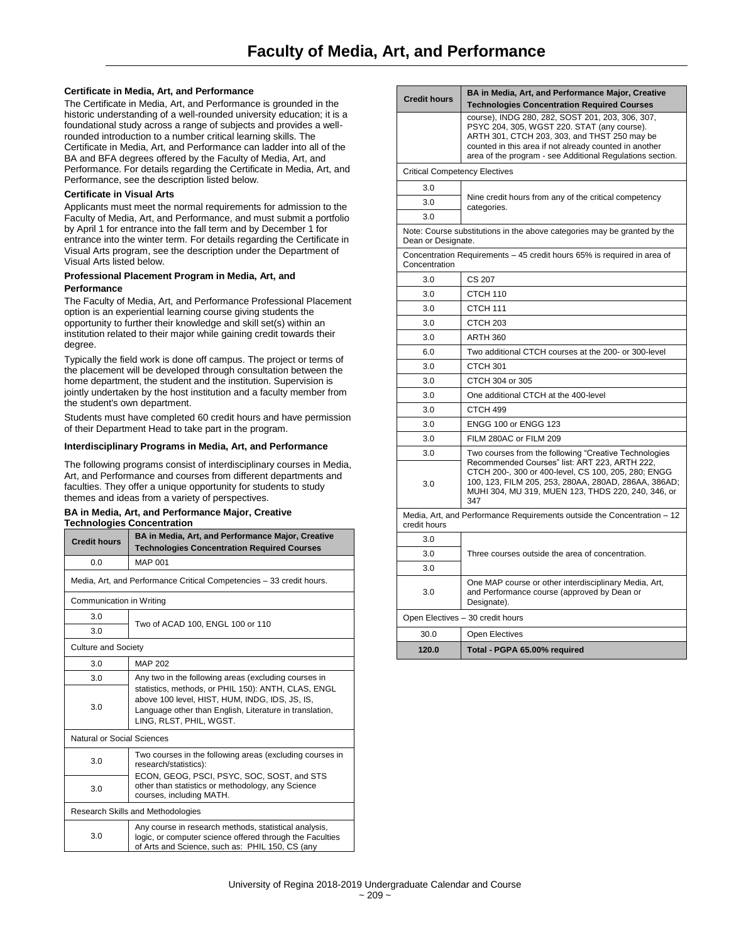## **Certificate in Media, Art, and Performance**

The Certificate in Media, Art, and Performance is grounded in the historic understanding of a well-rounded university education; it is a foundational study across a range of subjects and provides a wellrounded introduction to a number critical learning skills. The Certificate in Media, Art, and Performance can ladder into all of the BA and BFA degrees offered by the Faculty of Media, Art, and Performance. For details regarding the Certificate in Media, Art, and Performance, see the description listed below.

## **Certificate in Visual Arts**

Applicants must meet the normal requirements for admission to the Faculty of Media, Art, and Performance, and must submit a portfolio by April 1 for entrance into the fall term and by December 1 for entrance into the winter term. For details regarding the Certificate in Visual Arts program, see the description under the Department of Visual Arts listed below.

## **Professional Placement Program in Media, Art, and Performance**

The Faculty of Media, Art, and Performance Professional Placement option is an experiential learning course giving students the opportunity to further their knowledge and skill set(s) within an institution related to their major while gaining credit towards their degree.

Typically the field work is done off campus. The project or terms of the placement will be developed through consultation between the home department, the student and the institution. Supervision is jointly undertaken by the host institution and a faculty member from the student's own department.

Students must have completed 60 credit hours and have permission of their Department Head to take part in the program.

#### **Interdisciplinary Programs in Media, Art, and Performance**

The following programs consist of interdisciplinary courses in Media, Art, and Performance and courses from different departments and faculties. They offer a unique opportunity for students to study themes and ideas from a variety of perspectives.

#### **BA in Media, Art, and Performance Major, Creative Technologies Concentration**

| <b>Credit hours</b>               | BA in Media, Art, and Performance Major, Creative<br><b>Technologies Concentration Required Courses</b>                                                                                     |  |
|-----------------------------------|---------------------------------------------------------------------------------------------------------------------------------------------------------------------------------------------|--|
| 0.0                               | <b>MAP 001</b>                                                                                                                                                                              |  |
|                                   | Media, Art, and Performance Critical Competencies - 33 credit hours.                                                                                                                        |  |
| Communication in Writing          |                                                                                                                                                                                             |  |
| 3.0                               | Two of ACAD 100, ENGL 100 or 110                                                                                                                                                            |  |
| 3.0                               |                                                                                                                                                                                             |  |
| <b>Culture and Society</b>        |                                                                                                                                                                                             |  |
| 3.0                               | <b>MAP 202</b>                                                                                                                                                                              |  |
| 3.0                               | Any two in the following areas (excluding courses in                                                                                                                                        |  |
| 3.0                               | statistics, methods, or PHIL 150): ANTH, CLAS, ENGL<br>above 100 level, HIST, HUM, INDG, IDS, JS, IS,<br>Language other than English, Literature in translation,<br>LING, RLST, PHIL, WGST. |  |
| Natural or Social Sciences        |                                                                                                                                                                                             |  |
| 3.0                               | Two courses in the following areas (excluding courses in<br>research/statistics):                                                                                                           |  |
| 3.0                               | ECON, GEOG, PSCI, PSYC, SOC, SOST, and STS<br>other than statistics or methodology, any Science<br>courses, including MATH.                                                                 |  |
| Research Skills and Methodologies |                                                                                                                                                                                             |  |
| 3.0                               | Any course in research methods, statistical analysis,<br>logic, or computer science offered through the Faculties<br>of Arts and Science, such as: PHIL 150, CS (any                        |  |

| <b>Credit hours</b>                                                                     | BA in Media, Art, and Performance Major, Creative<br><b>Technologies Concentration Required Courses</b>                                                                                                                                                                |
|-----------------------------------------------------------------------------------------|------------------------------------------------------------------------------------------------------------------------------------------------------------------------------------------------------------------------------------------------------------------------|
|                                                                                         | course), INDG 280, 282, SOST 201, 203, 306, 307,<br>PSYC 204, 305, WGST 220. STAT (any course).<br>ARTH 301, CTCH 203, 303, and THST 250 may be<br>counted in this area if not already counted in another<br>area of the program - see Additional Regulations section. |
| <b>Critical Competency Electives</b>                                                    |                                                                                                                                                                                                                                                                        |
| 3.0                                                                                     |                                                                                                                                                                                                                                                                        |
| 3.0                                                                                     | Nine credit hours from any of the critical competency<br>categories.                                                                                                                                                                                                   |
| 3.0                                                                                     |                                                                                                                                                                                                                                                                        |
| Dean or Designate.                                                                      | Note: Course substitutions in the above categories may be granted by the                                                                                                                                                                                               |
| Concentration                                                                           | Concentration Requirements - 45 credit hours 65% is required in area of                                                                                                                                                                                                |
| 3.0                                                                                     | CS 207                                                                                                                                                                                                                                                                 |
| 3.0                                                                                     | CTCH 110                                                                                                                                                                                                                                                               |
| 3.0                                                                                     | CTCH 111                                                                                                                                                                                                                                                               |
| 3.0                                                                                     | CTCH <sub>203</sub>                                                                                                                                                                                                                                                    |
| 3.0                                                                                     | <b>ARTH 360</b>                                                                                                                                                                                                                                                        |
| 6.0                                                                                     | Two additional CTCH courses at the 200- or 300-level                                                                                                                                                                                                                   |
| 3.0                                                                                     | CTCH 301                                                                                                                                                                                                                                                               |
| 3.0                                                                                     | CTCH 304 or 305                                                                                                                                                                                                                                                        |
| 3.0                                                                                     | One additional CTCH at the 400-level                                                                                                                                                                                                                                   |
| 3.0                                                                                     | CTCH 499                                                                                                                                                                                                                                                               |
| 3.0                                                                                     | <b>ENGG 100 or ENGG 123</b>                                                                                                                                                                                                                                            |
| 3.0                                                                                     | FILM 280AC or FILM 209                                                                                                                                                                                                                                                 |
| 3.0<br>3.0                                                                              | Two courses from the following "Creative Technologies<br>Recommended Courses" list: ART 223, ARTH 222,<br>CTCH 200-, 300 or 400-level, CS 100, 205, 280; ENGG<br>100, 123, FILM 205, 253, 280AA, 280AD, 286AA, 386AD;                                                  |
|                                                                                         | MUHI 304, MU 319, MUEN 123, THDS 220, 240, 346, or<br>347                                                                                                                                                                                                              |
| Media, Art, and Performance Requirements outside the Concentration – 12<br>credit hours |                                                                                                                                                                                                                                                                        |
| 3.0                                                                                     |                                                                                                                                                                                                                                                                        |
| 3.0                                                                                     | Three courses outside the area of concentration.                                                                                                                                                                                                                       |
| 3.0                                                                                     |                                                                                                                                                                                                                                                                        |
| 3.0                                                                                     | One MAP course or other interdisciplinary Media, Art,<br>and Performance course (approved by Dean or<br>Designate).                                                                                                                                                    |
|                                                                                         | Open Electives - 30 credit hours                                                                                                                                                                                                                                       |
| 30.0                                                                                    | <b>Open Electives</b>                                                                                                                                                                                                                                                  |
| 120.0                                                                                   | Total - PGPA 65.00% required                                                                                                                                                                                                                                           |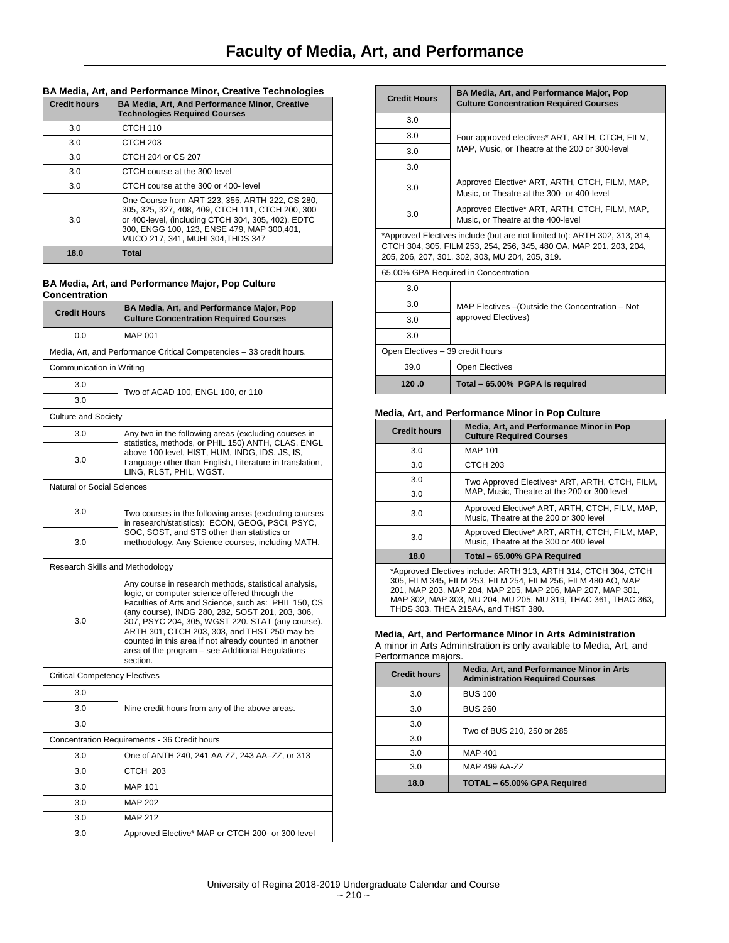# **BA Media, Art, and Performance Minor, Creative Technologies**

| <b>Credit hours</b> | <b>BA Media, Art, And Performance Minor, Creative</b><br><b>Technologies Required Courses</b>                                                                                                                                                 |
|---------------------|-----------------------------------------------------------------------------------------------------------------------------------------------------------------------------------------------------------------------------------------------|
| 3.0                 | CTCH 110                                                                                                                                                                                                                                      |
| 3.0                 | CTCH <sub>203</sub>                                                                                                                                                                                                                           |
| 3.0                 | CTCH 204 or CS 207                                                                                                                                                                                                                            |
| 3.0                 | CTCH course at the 300-level                                                                                                                                                                                                                  |
| 3.0                 | CTCH course at the 300 or 400- level                                                                                                                                                                                                          |
| 3.0                 | One Course from ART 223, 355, ARTH 222, CS 280,<br>305, 325, 327, 408, 409, CTCH 111, CTCH 200, 300<br>or 400-level, (including CTCH 304, 305, 402), EDTC<br>300. ENGG 100, 123, ENSE 479, MAP 300, 401.<br>MUCO 217, 341, MUHI 304, THDS 347 |
| 18.0                | <b>Total</b>                                                                                                                                                                                                                                  |

## **BA Media, Art, and Performance Major, Pop Culture Concentration**

| <b>Credit Hours</b>                          | BA Media, Art, and Performance Major, Pop<br><b>Culture Concentration Required Courses</b>                                                                                                                                                                                                                                                                                                                                                        |  |
|----------------------------------------------|---------------------------------------------------------------------------------------------------------------------------------------------------------------------------------------------------------------------------------------------------------------------------------------------------------------------------------------------------------------------------------------------------------------------------------------------------|--|
| 0.0                                          | <b>MAP 001</b>                                                                                                                                                                                                                                                                                                                                                                                                                                    |  |
|                                              | Media, Art, and Performance Critical Competencies - 33 credit hours.                                                                                                                                                                                                                                                                                                                                                                              |  |
| Communication in Writing                     |                                                                                                                                                                                                                                                                                                                                                                                                                                                   |  |
| 3.0                                          | Two of ACAD 100, ENGL 100, or 110                                                                                                                                                                                                                                                                                                                                                                                                                 |  |
| 3.0                                          |                                                                                                                                                                                                                                                                                                                                                                                                                                                   |  |
| <b>Culture and Society</b>                   |                                                                                                                                                                                                                                                                                                                                                                                                                                                   |  |
| 3.0                                          | Any two in the following areas (excluding courses in                                                                                                                                                                                                                                                                                                                                                                                              |  |
| 3.0                                          | statistics, methods, or PHIL 150) ANTH, CLAS, ENGL<br>above 100 level, HIST, HUM, INDG, IDS, JS, IS,<br>Language other than English, Literature in translation,<br>LING, RLST, PHIL, WGST.                                                                                                                                                                                                                                                        |  |
| Natural or Social Sciences                   |                                                                                                                                                                                                                                                                                                                                                                                                                                                   |  |
| 3.0                                          | Two courses in the following areas (excluding courses<br>in research/statistics): ECON, GEOG, PSCI, PSYC,<br>SOC, SOST, and STS other than statistics or<br>methodology. Any Science courses, including MATH.                                                                                                                                                                                                                                     |  |
| 3.0                                          |                                                                                                                                                                                                                                                                                                                                                                                                                                                   |  |
| Research Skills and Methodology              |                                                                                                                                                                                                                                                                                                                                                                                                                                                   |  |
| 3.0                                          | Any course in research methods, statistical analysis,<br>logic, or computer science offered through the<br>Faculties of Arts and Science, such as: PHIL 150, CS<br>(any course), INDG 280, 282, SOST 201, 203, 306,<br>307, PSYC 204, 305, WGST 220. STAT (any course).<br>ARTH 301, CTCH 203, 303, and THST 250 may be<br>counted in this area if not already counted in another<br>area of the program – see Additional Regulations<br>section. |  |
| <b>Critical Competency Electives</b>         |                                                                                                                                                                                                                                                                                                                                                                                                                                                   |  |
| 3.0                                          |                                                                                                                                                                                                                                                                                                                                                                                                                                                   |  |
| 3.0                                          | Nine credit hours from any of the above areas.                                                                                                                                                                                                                                                                                                                                                                                                    |  |
| 3.0                                          |                                                                                                                                                                                                                                                                                                                                                                                                                                                   |  |
| Concentration Requirements - 36 Credit hours |                                                                                                                                                                                                                                                                                                                                                                                                                                                   |  |
| 3.0                                          | One of ANTH 240, 241 AA-ZZ, 243 AA-ZZ, or 313                                                                                                                                                                                                                                                                                                                                                                                                     |  |
| 3.0                                          | CTCH 203                                                                                                                                                                                                                                                                                                                                                                                                                                          |  |
| 3.0                                          | <b>MAP 101</b>                                                                                                                                                                                                                                                                                                                                                                                                                                    |  |
| 3.0                                          | <b>MAP 202</b>                                                                                                                                                                                                                                                                                                                                                                                                                                    |  |
| 3.0                                          | <b>MAP 212</b>                                                                                                                                                                                                                                                                                                                                                                                                                                    |  |
| 3.0                                          | Approved Elective* MAP or CTCH 200- or 300-level                                                                                                                                                                                                                                                                                                                                                                                                  |  |

| <b>Credit Hours</b>                  | BA Media, Art, and Performance Major, Pop<br><b>Culture Concentration Required Courses</b>                                                                                                         |
|--------------------------------------|----------------------------------------------------------------------------------------------------------------------------------------------------------------------------------------------------|
| 3.0                                  |                                                                                                                                                                                                    |
| 3.0                                  | Four approved electives* ART, ARTH, CTCH, FILM,                                                                                                                                                    |
| 3.0                                  | MAP, Music, or Theatre at the 200 or 300-level                                                                                                                                                     |
| 3.0                                  |                                                                                                                                                                                                    |
| 3.0                                  | Approved Elective* ART, ARTH, CTCH, FILM, MAP,<br>Music, or Theatre at the 300- or 400-level                                                                                                       |
| 3.0                                  | Approved Elective* ART, ARTH, CTCH, FILM, MAP,<br>Music, or Theatre at the 400-level                                                                                                               |
|                                      | *Approved Electives include (but are not limited to): ARTH 302, 313, 314,<br>CTCH 304, 305, FILM 253, 254, 256, 345, 480 OA, MAP 201, 203, 204,<br>205, 206, 207, 301, 302, 303, MU 204, 205, 319. |
| 65.00% GPA Required in Concentration |                                                                                                                                                                                                    |
| 3.0                                  |                                                                                                                                                                                                    |
| 3.0                                  | MAP Electives - (Outside the Concentration - Not                                                                                                                                                   |
| 3.0                                  | approved Electives)                                                                                                                                                                                |
| 3.0                                  |                                                                                                                                                                                                    |
| Open Electives - 39 credit hours     |                                                                                                                                                                                                    |
| 39.0                                 | Open Electives                                                                                                                                                                                     |
| 120.0                                | Total - 65.00% PGPA is required                                                                                                                                                                    |

## **Media, Art, and Performance Minor in Pop Culture**

| <b>Credit hours</b>                                                                                                                                                                                                                                                                                    | Media, Art, and Performance Minor in Pop<br><b>Culture Required Courses</b>              |
|--------------------------------------------------------------------------------------------------------------------------------------------------------------------------------------------------------------------------------------------------------------------------------------------------------|------------------------------------------------------------------------------------------|
| 3.0                                                                                                                                                                                                                                                                                                    | <b>MAP 101</b>                                                                           |
| 3.0                                                                                                                                                                                                                                                                                                    | CTCH 203                                                                                 |
| 3.0                                                                                                                                                                                                                                                                                                    | Two Approved Electives* ART, ARTH, CTCH, FILM,                                           |
| 3.0                                                                                                                                                                                                                                                                                                    | MAP, Music, Theatre at the 200 or 300 level                                              |
| 3.0                                                                                                                                                                                                                                                                                                    | Approved Elective* ART, ARTH, CTCH, FILM, MAP,<br>Music, Theatre at the 200 or 300 level |
| 3.0                                                                                                                                                                                                                                                                                                    | Approved Elective* ART, ARTH, CTCH, FILM, MAP,<br>Music, Theatre at the 300 or 400 level |
| 18.0                                                                                                                                                                                                                                                                                                   | Total - 65.00% GPA Required                                                              |
| *Approved Electives include: ARTH 313, ARTH 314, CTCH 304, CTCH<br>305, FILM 345, FILM 253, FILM 254, FILM 256, FILM 480 AO, MAP<br>201, MAP 203, MAP 204, MAP 205, MAP 206, MAP 207, MAP 301,<br>MAP 302, MAP 303, MU 204, MU 205, MU 319, THAC 361, THAC 363,<br>THDS 303. THEA 215AA. and THST 380. |                                                                                          |

## **Media, Art, and Performance Minor in Arts Administration**

A minor in Arts Administration is only available to Media, Art, and Performance majors.

| <b>Credit hours</b> | Media, Art, and Performance Minor in Arts<br><b>Administration Required Courses</b> |
|---------------------|-------------------------------------------------------------------------------------|
| 3.0                 | <b>BUS 100</b>                                                                      |
| 3.0                 | <b>BUS 260</b>                                                                      |
| 3.0                 | Two of BUS 210, 250 or 285                                                          |
| 3.0                 |                                                                                     |
| 3.0                 | <b>MAP 401</b>                                                                      |
| 3.0                 | MAP 499 AA-ZZ                                                                       |
| 18.0                | TOTAL - 65.00% GPA Required                                                         |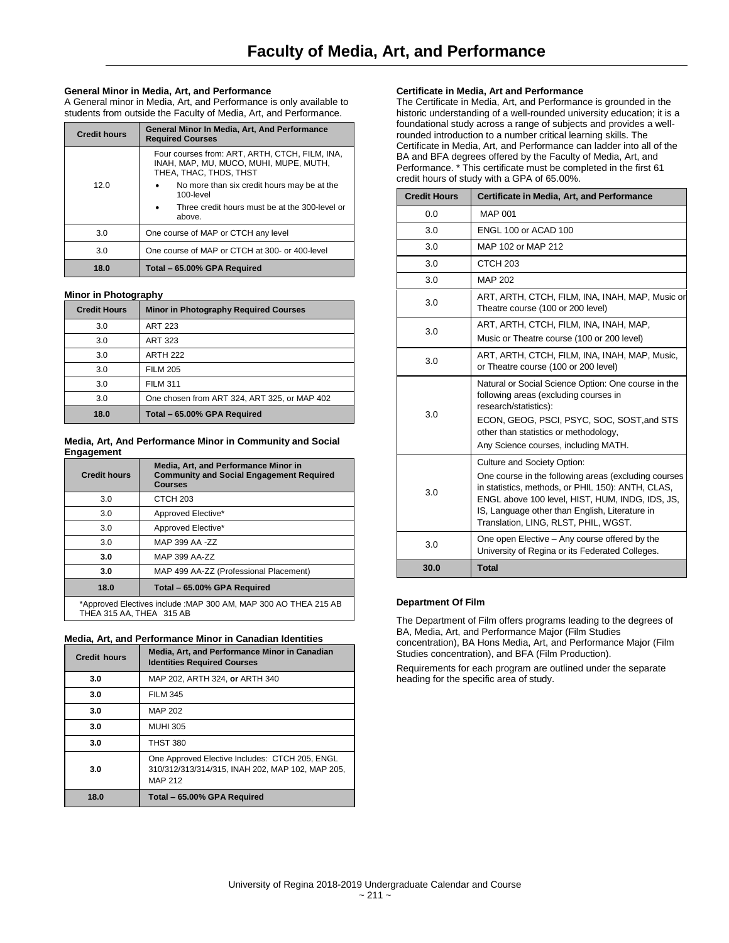## **General Minor in Media, Art, and Performance**

A General minor in Media, Art, and Performance is only available to students from outside the Faculty of Media, Art, and Performance.

| <b>Credit hours</b> | General Minor In Media, Art, And Performance<br><b>Required Courses</b>                                            |
|---------------------|--------------------------------------------------------------------------------------------------------------------|
| 12.0                | Four courses from: ART, ARTH, CTCH, FILM, INA,<br>INAH. MAP. MU. MUCO. MUHI. MUPE. MUTH.<br>THEA, THAC, THDS, THST |
|                     | No more than six credit hours may be at the<br>$\bullet$<br>100-level                                              |
|                     | Three credit hours must be at the 300-level or<br>$\bullet$<br>above.                                              |
| 3.0                 | One course of MAP or CTCH any level                                                                                |
| 3.0                 | One course of MAP or CTCH at 300- or 400-level                                                                     |
| 18.0                | Total - 65.00% GPA Required                                                                                        |

## **Minor in Photography**

| <b>Credit Hours</b> | <b>Minor in Photography Required Courses</b> |
|---------------------|----------------------------------------------|
| 3.0                 | <b>ART 223</b>                               |
| 3.0                 | <b>ART 323</b>                               |
| 3.0                 | <b>ARTH 222</b>                              |
| 3.0                 | <b>FILM 205</b>                              |
| 3.0                 | <b>FILM 311</b>                              |
| 3.0                 | One chosen from ART 324, ART 325, or MAP 402 |
| 18.0                | Total - 65.00% GPA Required                  |

#### **Media, Art, And Performance Minor in Community and Social Engagement**

| <b>Credit hours</b>                                              | Media, Art. and Performance Minor in<br><b>Community and Social Engagement Required</b><br><b>Courses</b> |
|------------------------------------------------------------------|-----------------------------------------------------------------------------------------------------------|
| 3.0                                                              | CTCH <sub>203</sub>                                                                                       |
| 3.0                                                              | Approved Elective*                                                                                        |
| 3.0                                                              | Approved Elective*                                                                                        |
| 3.0                                                              | MAP 399 AA -ZZ                                                                                            |
| 3.0                                                              | MAP 399 AA-ZZ                                                                                             |
| 3.0                                                              | MAP 499 AA-ZZ (Professional Placement)                                                                    |
| 18.0                                                             | Total - 65.00% GPA Required                                                                               |
| *Approved Electives include : MAP 300 AM, MAP 300 AO THEA 215 AB |                                                                                                           |

THEA 315 AA, THEA 315 AB

#### **Media, Art, and Performance Minor in Canadian Identities**

| <b>Credit hours</b> | Media, Art, and Performance Minor in Canadian<br><b>Identities Required Courses</b>                                  |
|---------------------|----------------------------------------------------------------------------------------------------------------------|
| 3.0                 | MAP 202, ARTH 324, or ARTH 340                                                                                       |
| 3.0                 | <b>FILM 345</b>                                                                                                      |
| 3.0                 | <b>MAP 202</b>                                                                                                       |
| 3.0                 | <b>MUHI 305</b>                                                                                                      |
| 3.0                 | <b>THST 380</b>                                                                                                      |
| 3.0                 | One Approved Elective Includes: CTCH 205, ENGL<br>310/312/313/314/315, INAH 202, MAP 102, MAP 205,<br><b>MAP 212</b> |
| 18.0                | Total - 65.00% GPA Required                                                                                          |

## **Certificate in Media, Art and Performance**

The Certificate in Media, Art, and Performance is grounded in the historic understanding of a well-rounded university education; it is a foundational study across a range of subjects and provides a wellrounded introduction to a number critical learning skills. The Certificate in Media, Art, and Performance can ladder into all of the BA and BFA degrees offered by the Faculty of Media, Art, and Performance. \* This certificate must be completed in the first 61 credit hours of study with a GPA of 65.00%.

| <b>Credit Hours</b> | Certificate in Media, Art, and Performance                                                                                                                                                                                                                                            |
|---------------------|---------------------------------------------------------------------------------------------------------------------------------------------------------------------------------------------------------------------------------------------------------------------------------------|
| 0.0                 | <b>MAP 001</b>                                                                                                                                                                                                                                                                        |
| 3.0                 | ENGL 100 or ACAD 100                                                                                                                                                                                                                                                                  |
| 3.0                 | MAP 102 or MAP 212                                                                                                                                                                                                                                                                    |
| 3.0                 | CTCH <sub>203</sub>                                                                                                                                                                                                                                                                   |
| 3.0                 | <b>MAP 202</b>                                                                                                                                                                                                                                                                        |
| 3.0                 | ART, ARTH, CTCH, FILM, INA, INAH, MAP, Music or<br>Theatre course (100 or 200 level)                                                                                                                                                                                                  |
| 3.0                 | ART, ARTH, CTCH, FILM, INA, INAH, MAP,<br>Music or Theatre course (100 or 200 level)                                                                                                                                                                                                  |
| 3.0                 | ART, ARTH, CTCH, FILM, INA, INAH, MAP, Music,<br>or Theatre course (100 or 200 level)                                                                                                                                                                                                 |
| 3.0                 | Natural or Social Science Option: One course in the<br>following areas (excluding courses in<br>research/statistics):<br>ECON, GEOG, PSCI, PSYC, SOC, SOST, and STS<br>other than statistics or methodology,<br>Any Science courses, including MATH.                                  |
| 3.0                 | Culture and Society Option:<br>One course in the following areas (excluding courses<br>in statistics, methods, or PHIL 150): ANTH, CLAS,<br>ENGL above 100 level, HIST, HUM, INDG, IDS, JS,<br>IS, Language other than English, Literature in<br>Translation, LING, RLST, PHIL, WGST. |
| 3.0                 | One open Elective - Any course offered by the<br>University of Regina or its Federated Colleges.                                                                                                                                                                                      |
| 30.0                | <b>Total</b>                                                                                                                                                                                                                                                                          |

## **Department Of Film**

The Department of Film offers programs leading to the degrees of BA, Media, Art, and Performance Major (Film Studies concentration), BA Hons Media, Art, and Performance Major (Film Studies concentration), and BFA (Film Production).

Requirements for each program are outlined under the separate heading for the specific area of study.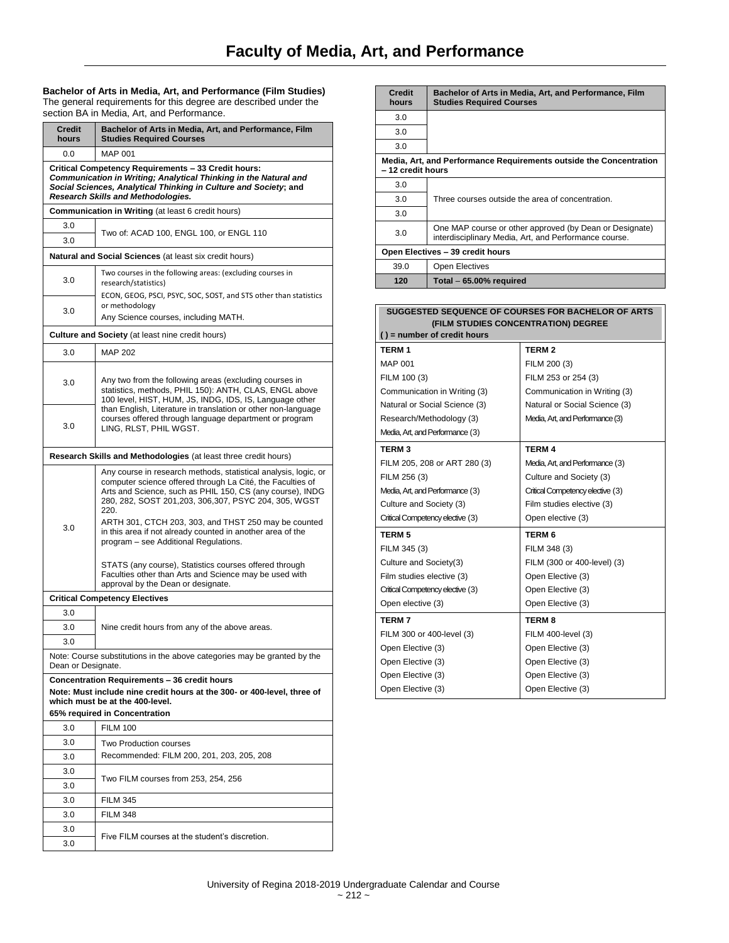**Bachelor of Arts in Media, Art, and Performance (Film Studies)** The general requirements for this degree are described under the section BA in Media, Art, and Performance.

| <b>Credit</b><br>hours                                                                                                                                                                                                            | Bachelor of Arts in Media, Art, and Performance, Film<br><b>Studies Required Courses</b>                                                                                                                                                                                                                                                                                                                                    |  |
|-----------------------------------------------------------------------------------------------------------------------------------------------------------------------------------------------------------------------------------|-----------------------------------------------------------------------------------------------------------------------------------------------------------------------------------------------------------------------------------------------------------------------------------------------------------------------------------------------------------------------------------------------------------------------------|--|
| 0.0                                                                                                                                                                                                                               | <b>MAP 001</b>                                                                                                                                                                                                                                                                                                                                                                                                              |  |
| Critical Competency Requirements - 33 Credit hours:<br>Communication in Writing; Analytical Thinking in the Natural and<br>Social Sciences, Analytical Thinking in Culture and Society; and<br>Research Skills and Methodologies. |                                                                                                                                                                                                                                                                                                                                                                                                                             |  |
|                                                                                                                                                                                                                                   | <b>Communication in Writing (at least 6 credit hours)</b>                                                                                                                                                                                                                                                                                                                                                                   |  |
| 3.0                                                                                                                                                                                                                               |                                                                                                                                                                                                                                                                                                                                                                                                                             |  |
| 3.0                                                                                                                                                                                                                               | Two of: ACAD 100, ENGL 100, or ENGL 110                                                                                                                                                                                                                                                                                                                                                                                     |  |
|                                                                                                                                                                                                                                   | Natural and Social Sciences (at least six credit hours)                                                                                                                                                                                                                                                                                                                                                                     |  |
| 3.0                                                                                                                                                                                                                               | Two courses in the following areas: (excluding courses in<br>research/statistics)<br>ECON, GEOG, PSCI, PSYC, SOC, SOST, and STS other than statistics                                                                                                                                                                                                                                                                       |  |
| 3.0                                                                                                                                                                                                                               | or methodology<br>Any Science courses, including MATH.                                                                                                                                                                                                                                                                                                                                                                      |  |
|                                                                                                                                                                                                                                   |                                                                                                                                                                                                                                                                                                                                                                                                                             |  |
|                                                                                                                                                                                                                                   | <b>Culture and Society</b> (at least nine credit hours)                                                                                                                                                                                                                                                                                                                                                                     |  |
| 3.0                                                                                                                                                                                                                               | <b>MAP 202</b>                                                                                                                                                                                                                                                                                                                                                                                                              |  |
| 3.0                                                                                                                                                                                                                               | Any two from the following areas (excluding courses in<br>statistics, methods, PHIL 150): ANTH, CLAS, ENGL above<br>100 level, HIST, HUM, JS, INDG, IDS, IS, Language other                                                                                                                                                                                                                                                 |  |
| 3.0                                                                                                                                                                                                                               | than English, Literature in translation or other non-language<br>courses offered through language department or program<br>LING, RLST, PHIL WGST.                                                                                                                                                                                                                                                                           |  |
|                                                                                                                                                                                                                                   | Research Skills and Methodologies (at least three credit hours)                                                                                                                                                                                                                                                                                                                                                             |  |
| 3.0                                                                                                                                                                                                                               | Any course in research methods, statistical analysis, logic, or<br>computer science offered through La Cité, the Faculties of<br>Arts and Science, such as PHIL 150, CS (any course), INDG<br>280, 282, SOST 201, 203, 306, 307, PSYC 204, 305, WGST<br>220.<br>ARTH 301, CTCH 203, 303, and THST 250 may be counted<br>in this area if not already counted in another area of the<br>program - see Additional Regulations. |  |
|                                                                                                                                                                                                                                   | STATS (any course), Statistics courses offered through<br>Faculties other than Arts and Science may be used with<br>approval by the Dean or designate.                                                                                                                                                                                                                                                                      |  |
|                                                                                                                                                                                                                                   | <b>Critical Competency Electives</b>                                                                                                                                                                                                                                                                                                                                                                                        |  |
| 3.0                                                                                                                                                                                                                               |                                                                                                                                                                                                                                                                                                                                                                                                                             |  |
| 3.0                                                                                                                                                                                                                               | Nine credit hours from any of the above areas.                                                                                                                                                                                                                                                                                                                                                                              |  |
| 3.0                                                                                                                                                                                                                               |                                                                                                                                                                                                                                                                                                                                                                                                                             |  |
| Dean or Designate.                                                                                                                                                                                                                | Note: Course substitutions in the above categories may be granted by the                                                                                                                                                                                                                                                                                                                                                    |  |
| Concentration Requirements - 36 credit hours<br>Note: Must include nine credit hours at the 300- or 400-level, three of<br>which must be at the 400-level.<br>65% required in Concentration                                       |                                                                                                                                                                                                                                                                                                                                                                                                                             |  |
| 3.0                                                                                                                                                                                                                               | <b>FILM 100</b>                                                                                                                                                                                                                                                                                                                                                                                                             |  |
| 3.0                                                                                                                                                                                                                               | Two Production courses                                                                                                                                                                                                                                                                                                                                                                                                      |  |
| 3.0                                                                                                                                                                                                                               | Recommended: FILM 200, 201, 203, 205, 208                                                                                                                                                                                                                                                                                                                                                                                   |  |
| 3.0                                                                                                                                                                                                                               | Two FILM courses from 253, 254, 256                                                                                                                                                                                                                                                                                                                                                                                         |  |
| 3.0                                                                                                                                                                                                                               |                                                                                                                                                                                                                                                                                                                                                                                                                             |  |
| 3.0                                                                                                                                                                                                                               | <b>FILM 345</b>                                                                                                                                                                                                                                                                                                                                                                                                             |  |
| 3.0                                                                                                                                                                                                                               | <b>FILM 348</b>                                                                                                                                                                                                                                                                                                                                                                                                             |  |
| 3.0                                                                                                                                                                                                                               | Five FILM courses at the student's discretion.                                                                                                                                                                                                                                                                                                                                                                              |  |
| 3.0                                                                                                                                                                                                                               |                                                                                                                                                                                                                                                                                                                                                                                                                             |  |

| <b>Credit</b><br>hours                                                                 | Bachelor of Arts in Media, Art, and Performance, Film<br><b>Studies Required Courses</b>                         |  |
|----------------------------------------------------------------------------------------|------------------------------------------------------------------------------------------------------------------|--|
| 3.0                                                                                    |                                                                                                                  |  |
| 3.0                                                                                    |                                                                                                                  |  |
| 3.0                                                                                    |                                                                                                                  |  |
| Media, Art, and Performance Requirements outside the Concentration<br>-12 credit hours |                                                                                                                  |  |
| 3.0                                                                                    |                                                                                                                  |  |
| 3.0                                                                                    | Three courses outside the area of concentration.                                                                 |  |
| 3.0                                                                                    |                                                                                                                  |  |
| 3.0                                                                                    | One MAP course or other approved (by Dean or Designate)<br>interdisciplinary Media, Art, and Performance course. |  |
| Open Electives - 39 credit hours                                                       |                                                                                                                  |  |
| 39.0                                                                                   | <b>Open Electives</b>                                                                                            |  |
| 120                                                                                    | Total - 65.00% required                                                                                          |  |

| SUGGESTED SEQUENCE OF COURSES FOR BACHELOR OF ARTS |                                  |  |
|----------------------------------------------------|----------------------------------|--|
| (FILM STUDIES CONCENTRATION) DEGREE                |                                  |  |
| $()$ = number of credit hours                      |                                  |  |
| <b>TERM1</b>                                       | <b>TERM2</b>                     |  |
| MAP 001                                            | FILM 200 (3)                     |  |
| FILM 100 (3)                                       | FILM 253 or 254 (3)              |  |
| Communication in Writing (3)                       | Communication in Writing (3)     |  |
| Natural or Social Science (3)                      | Natural or Social Science (3)    |  |
| Research/Methodology (3)                           | Media, Art, and Performance (3)  |  |
| Media, Art, and Performance (3)                    |                                  |  |
| <b>TERM3</b>                                       | <b>TERM 4</b>                    |  |
| FILM 205, 208 or ART 280 (3)                       | Media, Art, and Performance (3)  |  |
| FILM 256 (3)                                       | Culture and Society (3)          |  |
| Media, Art, and Performance (3)                    | Critical Competency elective (3) |  |
| Culture and Society (3)                            | Film studies elective (3)        |  |
| Critical Competency elective (3)                   | Open elective (3)                |  |
| <b>TERM 5</b>                                      | <b>TERM 6</b>                    |  |
| FILM 345 (3)                                       | FILM 348 (3)                     |  |
| Culture and Society(3)                             | FILM (300 or 400-level) (3)      |  |
| Film studies elective (3)                          | Open Elective (3)                |  |
| Critical Competency elective (3)                   | Open Elective (3)                |  |
| Open elective (3)                                  | Open Elective (3)                |  |
| <b>TERM7</b>                                       | <b>TERM8</b>                     |  |
| FILM 300 or 400-level (3)                          | FILM 400-level (3)               |  |
| Open Elective (3)                                  | Open Elective (3)                |  |
| Open Elective (3)                                  | Open Elective (3)                |  |
| Open Elective (3)                                  | Open Elective (3)                |  |
| Open Elective (3)                                  | Open Elective (3)                |  |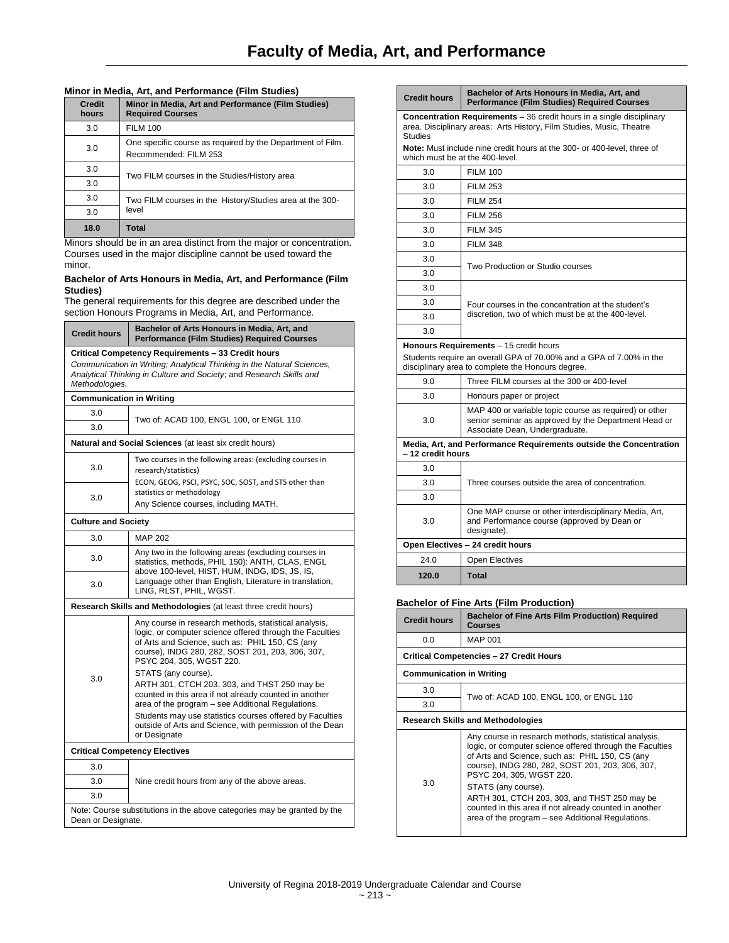## **Minor in Media, Art, and Performance (Film Studies)**

| <b>Credit</b><br>hours | Minor in Media, Art and Performance (Film Studies)<br><b>Required Courses</b>       |
|------------------------|-------------------------------------------------------------------------------------|
| 3.0                    | <b>FILM 100</b>                                                                     |
| 3.0                    | One specific course as required by the Department of Film.<br>Recommended: FILM 253 |
| 3.0                    | Two FILM courses in the Studies/History area                                        |
| 3.0                    |                                                                                     |
| 3.0                    | Two FILM courses in the History/Studies area at the 300-<br>level                   |
| 3.0                    |                                                                                     |
| 18.0                   | Total                                                                               |

Minors should be in an area distinct from the major or concentration. Courses used in the major discipline cannot be used toward the minor.

#### **Bachelor of Arts Honours in Media, Art, and Performance (Film Studies)**

The general requirements for this degree are described under the section Honours Programs in Media, Art, and Performance.

| <b>Credit hours</b>                                             | Bachelor of Arts Honours in Media, Art, and<br><b>Performance (Film Studies) Required Courses</b>                                                                                                                                                                           |  |
|-----------------------------------------------------------------|-----------------------------------------------------------------------------------------------------------------------------------------------------------------------------------------------------------------------------------------------------------------------------|--|
| Critical Competency Requirements - 33 Credit hours              |                                                                                                                                                                                                                                                                             |  |
| Methodologies.                                                  | Communication in Writing; Analytical Thinking in the Natural Sciences,<br>Analytical Thinking in Culture and Society; and Research Skills and                                                                                                                               |  |
| <b>Communication in Writing</b>                                 |                                                                                                                                                                                                                                                                             |  |
| 3.0                                                             | Two of: ACAD 100, ENGL 100, or ENGL 110                                                                                                                                                                                                                                     |  |
| 3.0                                                             |                                                                                                                                                                                                                                                                             |  |
|                                                                 | <b>Natural and Social Sciences</b> (at least six credit hours)                                                                                                                                                                                                              |  |
| 3.0                                                             | Two courses in the following areas: (excluding courses in<br>research/statistics)                                                                                                                                                                                           |  |
| 3.0                                                             | ECON, GEOG, PSCI, PSYC, SOC, SOST, and STS other than<br>statistics or methodology                                                                                                                                                                                          |  |
|                                                                 | Any Science courses, including MATH.                                                                                                                                                                                                                                        |  |
| <b>Culture and Society</b>                                      |                                                                                                                                                                                                                                                                             |  |
| 3.0                                                             | <b>MAP 202</b>                                                                                                                                                                                                                                                              |  |
| 3.0                                                             | Any two in the following areas (excluding courses in<br>statistics, methods, PHIL 150): ANTH, CLAS, ENGL<br>above 100-level, HIST, HUM, INDG, IDS, JS, IS,<br>Language other than English, Literature in translation,<br>LING, RLST, PHIL, WGST.                            |  |
| 3.0                                                             |                                                                                                                                                                                                                                                                             |  |
| Research Skills and Methodologies (at least three credit hours) |                                                                                                                                                                                                                                                                             |  |
| 3.0                                                             | Any course in research methods, statistical analysis,<br>logic, or computer science offered through the Faculties<br>of Arts and Science, such as: PHIL 150, CS (any<br>course), INDG 280, 282, SOST 201, 203, 306, 307,<br>PSYC 204, 305, WGST 220.<br>STATS (any course). |  |
|                                                                 | ARTH 301, CTCH 203, 303, and THST 250 may be<br>counted in this area if not already counted in another<br>area of the program – see Additional Regulations.<br>Students may use statistics courses offered by Faculties                                                     |  |
|                                                                 | outside of Arts and Science, with permission of the Dean<br>or Designate                                                                                                                                                                                                    |  |
| <b>Critical Competency Electives</b>                            |                                                                                                                                                                                                                                                                             |  |
| 3.0                                                             |                                                                                                                                                                                                                                                                             |  |
| 3.0                                                             | Nine credit hours from any of the above areas.                                                                                                                                                                                                                              |  |
| 30                                                              |                                                                                                                                                                                                                                                                             |  |
| Dean or Designate.                                              | Note: Course substitutions in the above categories may be granted by the                                                                                                                                                                                                    |  |

| <b>Credit hours</b>                                                                                                                                                    | Bachelor of Arts Honours in Media, Art, and<br><b>Performance (Film Studies) Required Courses</b>                                                                  |  |
|------------------------------------------------------------------------------------------------------------------------------------------------------------------------|--------------------------------------------------------------------------------------------------------------------------------------------------------------------|--|
| <b>Concentration Requirements - 36 credit hours in a single disciplinary</b><br>area. Disciplinary areas: Arts History, Film Studies, Music, Theatre<br><b>Studies</b> |                                                                                                                                                                    |  |
| which must be at the 400-level.                                                                                                                                        | Note: Must include nine credit hours at the 300- or 400-level, three of                                                                                            |  |
| 3 O                                                                                                                                                                    | FII M 100                                                                                                                                                          |  |
| 3.0                                                                                                                                                                    | <b>FILM 253</b>                                                                                                                                                    |  |
| 3.0                                                                                                                                                                    | <b>FILM 254</b>                                                                                                                                                    |  |
| 3.0                                                                                                                                                                    | <b>FILM 256</b>                                                                                                                                                    |  |
| 3.0                                                                                                                                                                    | <b>FILM 345</b>                                                                                                                                                    |  |
| 3.0                                                                                                                                                                    | <b>FILM 348</b>                                                                                                                                                    |  |
| 3.0                                                                                                                                                                    |                                                                                                                                                                    |  |
| 3.0                                                                                                                                                                    | Two Production or Studio courses                                                                                                                                   |  |
| 3.0                                                                                                                                                                    |                                                                                                                                                                    |  |
| 3.0                                                                                                                                                                    | Four courses in the concentration at the student's                                                                                                                 |  |
| 3.0                                                                                                                                                                    | discretion, two of which must be at the 400-level.                                                                                                                 |  |
| 3.0                                                                                                                                                                    |                                                                                                                                                                    |  |
|                                                                                                                                                                        | Honours Requirements - 15 credit hours<br>Students require an overall GPA of 70.00% and a GPA of 7.00% in the<br>disciplinary area to complete the Honours degree. |  |
| 9.0                                                                                                                                                                    | Three FILM courses at the 300 or 400-level                                                                                                                         |  |
| 3.0                                                                                                                                                                    | Honours paper or project                                                                                                                                           |  |
| 3.0                                                                                                                                                                    | MAP 400 or variable topic course as required) or other<br>senior seminar as approved by the Department Head or<br>Associate Dean, Undergraduate.                   |  |
| Media, Art, and Performance Requirements outside the Concentration<br>-12 credit hours                                                                                 |                                                                                                                                                                    |  |
| 3.0                                                                                                                                                                    |                                                                                                                                                                    |  |
| 3.0                                                                                                                                                                    | Three courses outside the area of concentration.                                                                                                                   |  |
| 3.0                                                                                                                                                                    |                                                                                                                                                                    |  |
| 3.0                                                                                                                                                                    | One MAP course or other interdisciplinary Media, Art,<br>and Performance course (approved by Dean or<br>designate).                                                |  |
|                                                                                                                                                                        | Open Electives - 24 credit hours                                                                                                                                   |  |
| 24.0                                                                                                                                                                   | <b>Open Electives</b>                                                                                                                                              |  |
| 120.0                                                                                                                                                                  | Total                                                                                                                                                              |  |

## **Bachelor of Fine Arts (Film Production)**

| <b>Credit hours</b>                      | <b>Bachelor of Fine Arts Film Production) Required</b><br><b>Courses</b>                                                                                                                                                                                                                                                                                                                                                                   |  |
|------------------------------------------|--------------------------------------------------------------------------------------------------------------------------------------------------------------------------------------------------------------------------------------------------------------------------------------------------------------------------------------------------------------------------------------------------------------------------------------------|--|
| 0.0                                      | <b>MAP 001</b>                                                                                                                                                                                                                                                                                                                                                                                                                             |  |
|                                          | Critical Competencies - 27 Credit Hours                                                                                                                                                                                                                                                                                                                                                                                                    |  |
| <b>Communication in Writing</b>          |                                                                                                                                                                                                                                                                                                                                                                                                                                            |  |
| 3.0                                      |                                                                                                                                                                                                                                                                                                                                                                                                                                            |  |
| 3.0                                      | Two of: ACAD 100, ENGL 100, or ENGL 110                                                                                                                                                                                                                                                                                                                                                                                                    |  |
| <b>Research Skills and Methodologies</b> |                                                                                                                                                                                                                                                                                                                                                                                                                                            |  |
| 3 O                                      | Any course in research methods, statistical analysis,<br>logic, or computer science offered through the Faculties<br>of Arts and Science, such as: PHIL 150, CS (any<br>course), INDG 280, 282, SOST 201, 203, 306, 307,<br>PSYC 204, 305, WGST 220.<br>STATS (any course).<br>ARTH 301, CTCH 203, 303, and THST 250 may be<br>counted in this area if not already counted in another<br>area of the program – see Additional Regulations. |  |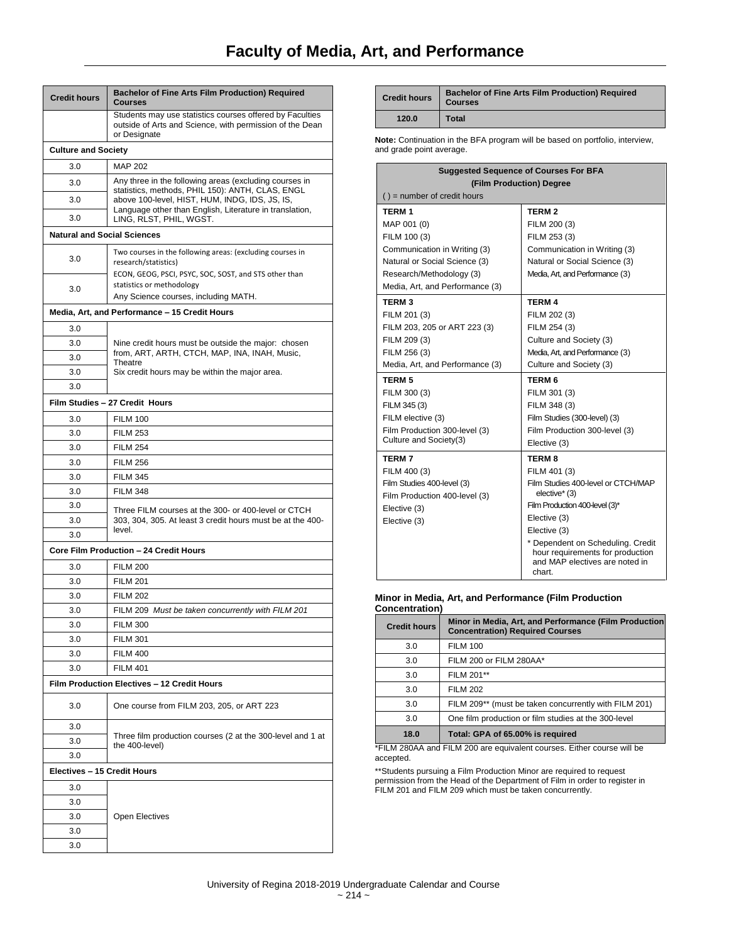| <b>Credit hours</b>                | Bachelor of Fine Arts Film Production) Required<br><b>Courses</b>                                                                    |  |  |
|------------------------------------|--------------------------------------------------------------------------------------------------------------------------------------|--|--|
|                                    | Students may use statistics courses offered by Faculties<br>outside of Arts and Science, with permission of the Dean<br>or Designate |  |  |
|                                    | <b>Culture and Society</b>                                                                                                           |  |  |
| 3.0                                | <b>MAP 202</b>                                                                                                                       |  |  |
| 3.0                                | Any three in the following areas (excluding courses in                                                                               |  |  |
| 3.0                                | statistics, methods, PHIL 150): ANTH, CLAS, ENGL<br>above 100-level, HIST, HUM, INDG, IDS, JS, IS,                                   |  |  |
| 3.0                                | Language other than English, Literature in translation,                                                                              |  |  |
|                                    | LING, RLST, PHIL, WGST.                                                                                                              |  |  |
| <b>Natural and Social Sciences</b> |                                                                                                                                      |  |  |
| 3.0                                | Two courses in the following areas: (excluding courses in<br>research/statistics)                                                    |  |  |
| 3.0                                | ECON, GEOG, PSCI, PSYC, SOC, SOST, and STS other than<br>statistics or methodology<br>Any Science courses, including MATH.           |  |  |
|                                    | Media, Art, and Performance - 15 Credit Hours                                                                                        |  |  |
| 3.0                                |                                                                                                                                      |  |  |
| 3.0                                | Nine credit hours must be outside the major: chosen                                                                                  |  |  |
| 3.0                                | from, ART, ARTH, CTCH, MAP, INA, INAH, Music,                                                                                        |  |  |
| 3.0                                | Theatre<br>Six credit hours may be within the major area.                                                                            |  |  |
| 3.0                                |                                                                                                                                      |  |  |
| Film Studies - 27 Credit Hours     |                                                                                                                                      |  |  |
| 3.0                                | <b>FILM 100</b>                                                                                                                      |  |  |
| 3.0                                | <b>FILM 253</b>                                                                                                                      |  |  |
| 3.0                                | <b>FILM 254</b>                                                                                                                      |  |  |
| 3.0                                | <b>FILM 256</b>                                                                                                                      |  |  |
| 3.0                                | <b>FILM 345</b>                                                                                                                      |  |  |
| 3.0                                | <b>FILM 348</b>                                                                                                                      |  |  |
| 3.0                                | Three FILM courses at the 300- or 400-level or CTCH                                                                                  |  |  |
| 3.0                                | 303, 304, 305. At least 3 credit hours must be at the 400-                                                                           |  |  |
| 3.0                                | level.                                                                                                                               |  |  |
|                                    | Core Film Production - 24 Credit Hours                                                                                               |  |  |
| 3.0                                | <b>FILM 200</b>                                                                                                                      |  |  |
| 3.0                                | <b>FILM 201</b>                                                                                                                      |  |  |
| 3.0                                | <b>FILM 202</b>                                                                                                                      |  |  |
| 3.0                                | FILM 209 Must be taken concurrently with FILM 201                                                                                    |  |  |
| 3.0                                | <b>FILM 300</b>                                                                                                                      |  |  |
| 3.0                                | <b>FILM 301</b>                                                                                                                      |  |  |
| 3.0                                | <b>FILM 400</b>                                                                                                                      |  |  |
| 3.0                                | <b>FILM 401</b>                                                                                                                      |  |  |
|                                    | Film Production Electives - 12 Credit Hours                                                                                          |  |  |
| 3.0                                | One course from FILM 203, 205, or ART 223                                                                                            |  |  |
| 3.0                                |                                                                                                                                      |  |  |
| 3.0                                | Three film production courses (2 at the 300-level and 1 at<br>the 400-level)                                                         |  |  |
| 3.0                                |                                                                                                                                      |  |  |
| Electives - 15 Credit Hours        |                                                                                                                                      |  |  |
| 3.0                                |                                                                                                                                      |  |  |
| 3.0                                |                                                                                                                                      |  |  |
| 3.0                                | Open Electives                                                                                                                       |  |  |
| 3.0                                |                                                                                                                                      |  |  |
| 3.0                                |                                                                                                                                      |  |  |

| <b>Credit hours</b> | <b>Bachelor of Fine Arts Film Production) Required</b><br><b>Courses</b> |
|---------------------|--------------------------------------------------------------------------|
| 120.0               | Total                                                                    |

**Note:** Continuation in the BFA program will be based on portfolio, interview, and grade point average.

| <b>Suggested Sequence of Courses For BFA</b> |                                                                                                                   |  |  |
|----------------------------------------------|-------------------------------------------------------------------------------------------------------------------|--|--|
| (Film Production) Degree                     |                                                                                                                   |  |  |
| $()$ = number of credit hours                |                                                                                                                   |  |  |
| <b>TERM1</b>                                 | <b>TERM2</b>                                                                                                      |  |  |
| MAP 001 (0)                                  | FILM 200 (3)                                                                                                      |  |  |
| FILM 100 (3)                                 | FILM 253 (3)                                                                                                      |  |  |
| Communication in Writing (3)                 | Communication in Writing (3)                                                                                      |  |  |
| Natural or Social Science (3)                | Natural or Social Science (3)                                                                                     |  |  |
| Research/Methodology (3)                     | Media, Art, and Performance (3)                                                                                   |  |  |
| Media, Art, and Performance (3)              |                                                                                                                   |  |  |
| <b>TERM3</b>                                 | <b>TERM 4</b>                                                                                                     |  |  |
| FILM 201 (3)                                 | FILM 202 (3)                                                                                                      |  |  |
| FILM 203, 205 or ART 223 (3)                 | FILM 254 (3)                                                                                                      |  |  |
| FILM 209 (3)                                 | Culture and Society (3)                                                                                           |  |  |
| FILM 256 (3)                                 | Media, Art, and Performance (3)                                                                                   |  |  |
| Media, Art, and Performance (3)              | Culture and Society (3)                                                                                           |  |  |
| <b>TERM 5</b>                                | <b>TERM 6</b>                                                                                                     |  |  |
| FILM 300 (3)                                 | FILM 301 (3)                                                                                                      |  |  |
| FILM 345 (3)                                 | FILM 348 (3)                                                                                                      |  |  |
| FILM elective (3)                            | Film Studies (300-level) (3)                                                                                      |  |  |
| Film Production 300-level (3)                | Film Production 300-level (3)                                                                                     |  |  |
| Culture and Society(3)                       | Elective (3)                                                                                                      |  |  |
| <b>TERM7</b>                                 | <b>TERM8</b>                                                                                                      |  |  |
| FILM 400 (3)                                 | FILM 401 (3)                                                                                                      |  |  |
| Film Studies 400-level (3)                   | Film Studies 400-level or CTCH/MAP                                                                                |  |  |
| Film Production 400-level (3)                | elective* (3)                                                                                                     |  |  |
| Elective (3)                                 | Film Production 400-level (3)*                                                                                    |  |  |
| Elective (3)                                 | Elective (3)                                                                                                      |  |  |
|                                              | Elective (3)                                                                                                      |  |  |
|                                              | * Dependent on Scheduling. Credit<br>hour requirements for production<br>and MAP electives are noted in<br>chart. |  |  |

#### **Minor in Media, Art, and Performance (Film Production Concentration)**

| vviivuin auviil     |                                                                                                 |
|---------------------|-------------------------------------------------------------------------------------------------|
| <b>Credit hours</b> | Minor in Media, Art, and Performance (Film Production<br><b>Concentration) Required Courses</b> |
| 3.0                 | <b>FILM 100</b>                                                                                 |
| 3.0                 | FILM 200 or FILM 280AA*                                                                         |
| 3.0                 | FILM 201**                                                                                      |
| 3.0                 | <b>FILM 202</b>                                                                                 |
| 3.0                 | FILM 209** (must be taken concurrently with FILM 201)                                           |
| 3.0                 | One film production or film studies at the 300-level                                            |
| 18.0                | Total: GPA of 65.00% is required                                                                |

\*FILM 280AA and FILM 200 are equivalent courses. Either course will be accepted.

\*\*Students pursuing a Film Production Minor are required to request permission from the Head of the Department of Film in order to register in FILM 201 and FILM 209 which must be taken concurrently.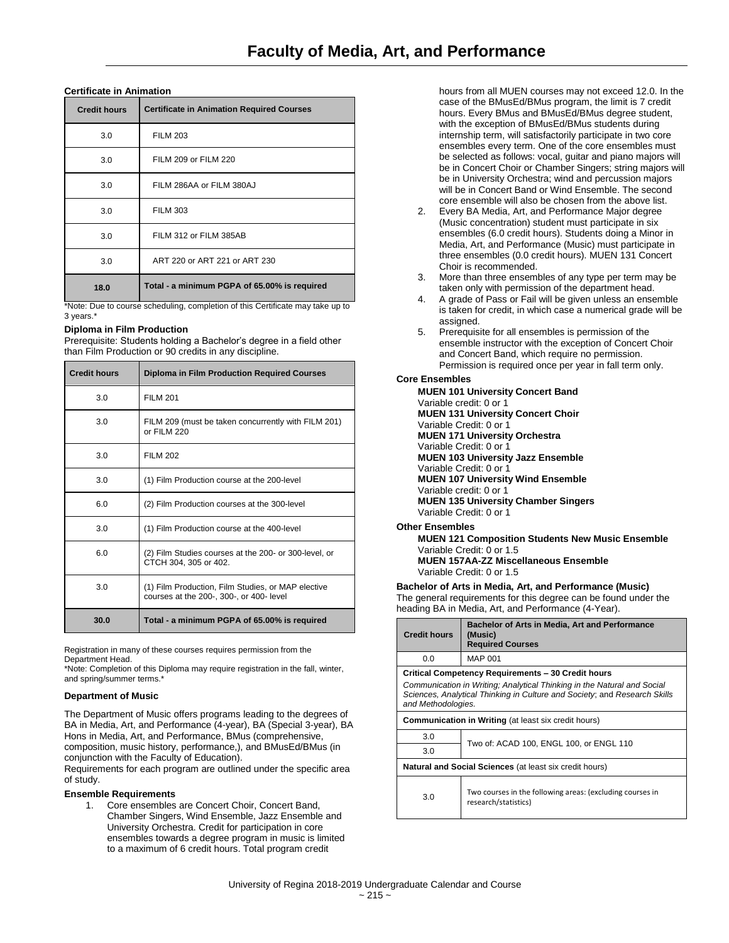## **Certificate in Animation**

| <b>Credit hours</b> | <b>Certificate in Animation Required Courses</b> |
|---------------------|--------------------------------------------------|
| 3.0                 | <b>FILM 203</b>                                  |
| 3.0                 | FILM 209 or FILM 220                             |
| 3.0                 | FILM 286AA or FILM 380AJ                         |
| 3.0                 | <b>FILM 303</b>                                  |
| 3.0                 | FILM 312 or FILM 385AB                           |
| 3.0                 | ART 220 or ART 221 or ART 230                    |
| 18.0                | Total - a minimum PGPA of 65.00% is required     |

\*Note: Due to course scheduling, completion of this Certificate may take up to 3 years.

## **Diploma in Film Production**

Prerequisite: Students holding a Bachelor's degree in a field other than Film Production or 90 credits in any discipline.

| <b>Credit hours</b> | <b>Diploma in Film Production Required Courses</b>                                             |
|---------------------|------------------------------------------------------------------------------------------------|
| 3.0                 | <b>FILM 201</b>                                                                                |
| 3.0                 | FILM 209 (must be taken concurrently with FILM 201)<br>or FII M 220                            |
| 3.0                 | <b>FILM 202</b>                                                                                |
| 3.0                 | (1) Film Production course at the 200-level                                                    |
| 6.0                 | (2) Film Production courses at the 300-level                                                   |
| 3.0                 | (1) Film Production course at the 400-level                                                    |
| 6.0                 | (2) Film Studies courses at the 200- or 300-level, or<br>CTCH 304, 305 or 402.                 |
| 3.0                 | (1) Film Production, Film Studies, or MAP elective<br>courses at the 200-, 300-, or 400- level |
| 30.0                | Total - a minimum PGPA of 65.00% is required                                                   |

Registration in many of these courses requires permission from the Department Head.

\*Note: Completion of this Diploma may require registration in the fall, winter, and spring/summer terms.

## **Department of Music**

The Department of Music offers programs leading to the degrees of BA in Media, Art, and Performance (4-year), BA (Special 3-year), BA Hons in Media, Art, and Performance, BMus (comprehensive, composition, music history, performance,), and BMusEd/BMus (in conjunction with the Faculty of Education).

Requirements for each program are outlined under the specific area of study.

## **Ensemble Requirements**

1. Core ensembles are Concert Choir, Concert Band, Chamber Singers, Wind Ensemble, Jazz Ensemble and University Orchestra. Credit for participation in core ensembles towards a degree program in music is limited to a maximum of 6 credit hours. Total program credit

hours from all MUEN courses may not exceed 12.0. In the case of the BMusEd/BMus program, the limit is 7 credit hours. Every BMus and BMusEd/BMus degree student, with the exception of BMusEd/BMus students during internship term, will satisfactorily participate in two core ensembles every term. One of the core ensembles must be selected as follows: vocal, guitar and piano majors will be in Concert Choir or Chamber Singers; string majors will be in University Orchestra; wind and percussion majors will be in Concert Band or Wind Ensemble. The second core ensemble will also be chosen from the above list.

- 2. Every BA Media, Art, and Performance Major degree (Music concentration) student must participate in six ensembles (6.0 credit hours). Students doing a Minor in Media, Art, and Performance (Music) must participate in three ensembles (0.0 credit hours). MUEN 131 Concert Choir is recommended.
- 3. More than three ensembles of any type per term may be taken only with permission of the department head.
- 4. A grade of Pass or Fail will be given unless an ensemble is taken for credit, in which case a numerical grade will be assigned.
- 5. Prerequisite for all ensembles is permission of the ensemble instructor with the exception of Concert Choir and Concert Band, which require no permission. Permission is required once per year in fall term only.

## **Core Ensembles**

**MUEN 101 University Concert Band** Variable credit: 0 or 1 **MUEN 131 University Concert Choir** Variable Credit: 0 or 1 **MUEN 171 University Orchestra** Variable Credit: 0 or 1 **MUEN 103 University Jazz Ensemble** Variable Credit: 0 or 1 **MUEN 107 University Wind Ensemble** Variable credit: 0 or 1 **MUEN 135 University Chamber Singers** Variable Credit: 0 or 1

## **Other Ensembles**

**MUEN 121 Composition Students New Music Ensemble** Variable Credit: 0 or 1.5 **MUEN 157AA-ZZ Miscellaneous Ensemble** Variable Credit: 0 or 1.5

**Bachelor of Arts in Media, Art, and Performance (Music)** The general requirements for this degree can be found under the heading BA in Media, Art, and Performance (4-Year).

| <b>Credit hours</b>                                                                                                                                                                                                              | Bachelor of Arts in Media, Art and Performance<br>(Music)<br><b>Required Courses</b> |  |
|----------------------------------------------------------------------------------------------------------------------------------------------------------------------------------------------------------------------------------|--------------------------------------------------------------------------------------|--|
| 0.0                                                                                                                                                                                                                              | MAP 001                                                                              |  |
| Critical Competency Requirements - 30 Credit hours<br>Communication in Writing; Analytical Thinking in the Natural and Social<br>Sciences, Analytical Thinking in Culture and Society; and Research Skills<br>and Methodologies. |                                                                                      |  |
| <b>Communication in Writing (at least six credit hours)</b>                                                                                                                                                                      |                                                                                      |  |
| 3.0                                                                                                                                                                                                                              | Two of: ACAD 100, ENGL 100, or ENGL 110                                              |  |
| 3.0                                                                                                                                                                                                                              |                                                                                      |  |
| <b>Natural and Social Sciences</b> (at least six credit hours)                                                                                                                                                                   |                                                                                      |  |
| 3.0                                                                                                                                                                                                                              | Two courses in the following areas: (excluding courses in<br>research/statistics)    |  |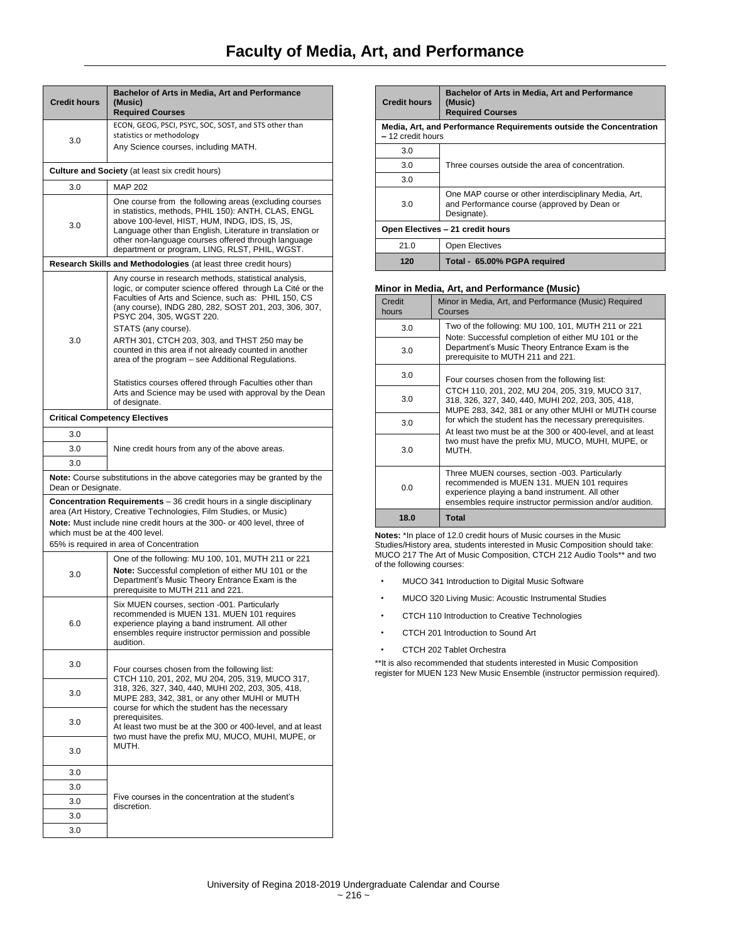| <b>Credit hours</b>                                                                                                                                                                                                                                                                                         | Bachelor of Arts in Media, Art and Performance<br>(Music)<br><b>Required Courses</b>                                                                                                                                                                                                                                                                                                                                                                  |  |
|-------------------------------------------------------------------------------------------------------------------------------------------------------------------------------------------------------------------------------------------------------------------------------------------------------------|-------------------------------------------------------------------------------------------------------------------------------------------------------------------------------------------------------------------------------------------------------------------------------------------------------------------------------------------------------------------------------------------------------------------------------------------------------|--|
|                                                                                                                                                                                                                                                                                                             | ECON, GEOG, PSCI, PSYC, SOC, SOST, and STS other than                                                                                                                                                                                                                                                                                                                                                                                                 |  |
| 3.0                                                                                                                                                                                                                                                                                                         | statistics or methodology                                                                                                                                                                                                                                                                                                                                                                                                                             |  |
|                                                                                                                                                                                                                                                                                                             | Any Science courses, including MATH.                                                                                                                                                                                                                                                                                                                                                                                                                  |  |
|                                                                                                                                                                                                                                                                                                             | <b>Culture and Society</b> (at least six credit hours)                                                                                                                                                                                                                                                                                                                                                                                                |  |
| 3.0                                                                                                                                                                                                                                                                                                         | <b>MAP 202</b>                                                                                                                                                                                                                                                                                                                                                                                                                                        |  |
| 3.0                                                                                                                                                                                                                                                                                                         | One course from the following areas (excluding courses<br>in statistics, methods, PHIL 150): ANTH, CLAS, ENGL<br>above 100-level, HIST, HUM, INDG, IDS, IS, JS,<br>Language other than English, Literature in translation or<br>other non-language courses offered through language<br>department or program, LING, RLST, PHIL, WGST.                                                                                                                 |  |
|                                                                                                                                                                                                                                                                                                             | Research Skills and Methodologies (at least three credit hours)                                                                                                                                                                                                                                                                                                                                                                                       |  |
| 3.0                                                                                                                                                                                                                                                                                                         | Any course in research methods, statistical analysis,<br>logic, or computer science offered through La Cité or the<br>Faculties of Arts and Science, such as: PHIL 150, CS<br>(any course), INDG 280, 282, SOST 201, 203, 306, 307,<br>PSYC 204, 305, WGST 220.<br>STATS (any course).<br>ARTH 301, CTCH 203, 303, and THST 250 may be<br>counted in this area if not already counted in another<br>area of the program - see Additional Regulations. |  |
|                                                                                                                                                                                                                                                                                                             | Statistics courses offered through Faculties other than<br>Arts and Science may be used with approval by the Dean<br>of designate.                                                                                                                                                                                                                                                                                                                    |  |
|                                                                                                                                                                                                                                                                                                             | <b>Critical Competency Electives</b>                                                                                                                                                                                                                                                                                                                                                                                                                  |  |
| 3.0                                                                                                                                                                                                                                                                                                         |                                                                                                                                                                                                                                                                                                                                                                                                                                                       |  |
| 3.0                                                                                                                                                                                                                                                                                                         | Nine credit hours from any of the above areas.                                                                                                                                                                                                                                                                                                                                                                                                        |  |
| 3.0                                                                                                                                                                                                                                                                                                         |                                                                                                                                                                                                                                                                                                                                                                                                                                                       |  |
| Dean or Designate.                                                                                                                                                                                                                                                                                          | <b>Note:</b> Course substitutions in the above categories may be granted by the                                                                                                                                                                                                                                                                                                                                                                       |  |
| <b>Concentration Requirements</b> – 36 credit hours in a single disciplinary<br>area (Art History, Creative Technologies, Film Studies, or Music)<br>Note: Must include nine credit hours at the 300- or 400 level, three of<br>which must be at the 400 level.<br>65% is required in area of Concentration |                                                                                                                                                                                                                                                                                                                                                                                                                                                       |  |
| 3.0                                                                                                                                                                                                                                                                                                         | One of the following: MU 100, 101, MUTH 211 or 221<br>Note: Successful completion of either MU 101 or the<br>Department's Music Theory Entrance Exam is the<br>prerequisite to MUTH 211 and 221.                                                                                                                                                                                                                                                      |  |
| 6.0                                                                                                                                                                                                                                                                                                         | Six MUEN courses, section -001. Particularly<br>recommended is MUEN 131. MUEN 101 requires<br>experience playing a band instrument. All other<br>ensembles require instructor permission and possible<br>audition.                                                                                                                                                                                                                                    |  |
| 3.0                                                                                                                                                                                                                                                                                                         | Four courses chosen from the following list:                                                                                                                                                                                                                                                                                                                                                                                                          |  |
| 3.0                                                                                                                                                                                                                                                                                                         | CTCH 110, 201, 202, MU 204, 205, 319, MUCO 317,<br>318, 326, 327, 340, 440, MUHI 202, 203, 305, 418,<br>MUPE 283, 342, 381, or any other MUHI or MUTH<br>course for which the student has the necessary                                                                                                                                                                                                                                               |  |
| 3.0                                                                                                                                                                                                                                                                                                         | prerequisites.<br>At least two must be at the 300 or 400-level, and at least<br>two must have the prefix MU, MUCO, MUHI, MUPE, or                                                                                                                                                                                                                                                                                                                     |  |
| 3.0                                                                                                                                                                                                                                                                                                         | MUTH.                                                                                                                                                                                                                                                                                                                                                                                                                                                 |  |
| 3.0                                                                                                                                                                                                                                                                                                         |                                                                                                                                                                                                                                                                                                                                                                                                                                                       |  |
| 3.0                                                                                                                                                                                                                                                                                                         |                                                                                                                                                                                                                                                                                                                                                                                                                                                       |  |
| 3.0                                                                                                                                                                                                                                                                                                         | Five courses in the concentration at the student's<br>discretion.                                                                                                                                                                                                                                                                                                                                                                                     |  |
| 3.0                                                                                                                                                                                                                                                                                                         |                                                                                                                                                                                                                                                                                                                                                                                                                                                       |  |
| 3.0                                                                                                                                                                                                                                                                                                         |                                                                                                                                                                                                                                                                                                                                                                                                                                                       |  |

| <b>Credit hours</b>                                                                      | Bachelor of Arts in Media, Art and Performance<br>(Music)<br><b>Required Courses</b>                                |
|------------------------------------------------------------------------------------------|---------------------------------------------------------------------------------------------------------------------|
| Media, Art, and Performance Requirements outside the Concentration<br>$-12$ credit hours |                                                                                                                     |
| 3.0                                                                                      |                                                                                                                     |
| 3.0                                                                                      | Three courses outside the area of concentration.                                                                    |
| 3.0                                                                                      |                                                                                                                     |
| 3.0                                                                                      | One MAP course or other interdisciplinary Media, Art,<br>and Performance course (approved by Dean or<br>Designate). |
| Open Electives - 21 credit hours                                                         |                                                                                                                     |
| 21.0                                                                                     | <b>Open Electives</b>                                                                                               |
| 120                                                                                      | Total - 65.00% PGPA required                                                                                        |

## **Minor in Media, Art, and Performance (Music)**

| Credit<br>hours | Minor in Media, Art, and Performance (Music) Required<br>Courses                                                                                                                                            |
|-----------------|-------------------------------------------------------------------------------------------------------------------------------------------------------------------------------------------------------------|
| 3.0             | Two of the following: MU 100, 101, MUTH 211 or 221                                                                                                                                                          |
| 3.0             | Note: Successful completion of either MU 101 or the<br>Department's Music Theory Entrance Exam is the<br>prerequisite to MUTH 211 and 221.                                                                  |
| 3.0             | Four courses chosen from the following list:                                                                                                                                                                |
| 3.0             | CTCH 110, 201, 202, MU 204, 205, 319, MUCO 317,<br>318, 326, 327, 340, 440, MUHI 202, 203, 305, 418,<br>MUPE 283, 342, 381 or any other MUHI or MUTH course                                                 |
| 3.0             | for which the student has the necessary prerequisites.<br>At least two must be at the 300 or 400-level, and at least<br>two must have the prefix MU, MUCO, MUHI, MUPE, or<br>MUTH.                          |
| 3.0             |                                                                                                                                                                                                             |
| 0.0             | Three MUEN courses, section -003. Particularly<br>recommended is MUEN 131. MUEN 101 requires<br>experience playing a band instrument. All other<br>ensembles require instructor permission and/or audition. |
| 18.0            | <b>Total</b>                                                                                                                                                                                                |

**Notes:** \*In place of 12.0 credit hours of Music courses in the Music Studies/History area, students interested in Music Composition should take: MUCO 217 The Art of Music Composition, CTCH 212 Audio Tools\*\* and two of the following courses:

- MUCO 341 Introduction to Digital Music Software
- MUCO 320 Living Music: Acoustic Instrumental Studies
- CTCH 110 Introduction to Creative Technologies
- CTCH 201 Introduction to Sound Art
- CTCH 202 Tablet Orchestra

\*\*It is also recommended that students interested in Music Composition register for MUEN 123 New Music Ensemble (instructor permission required).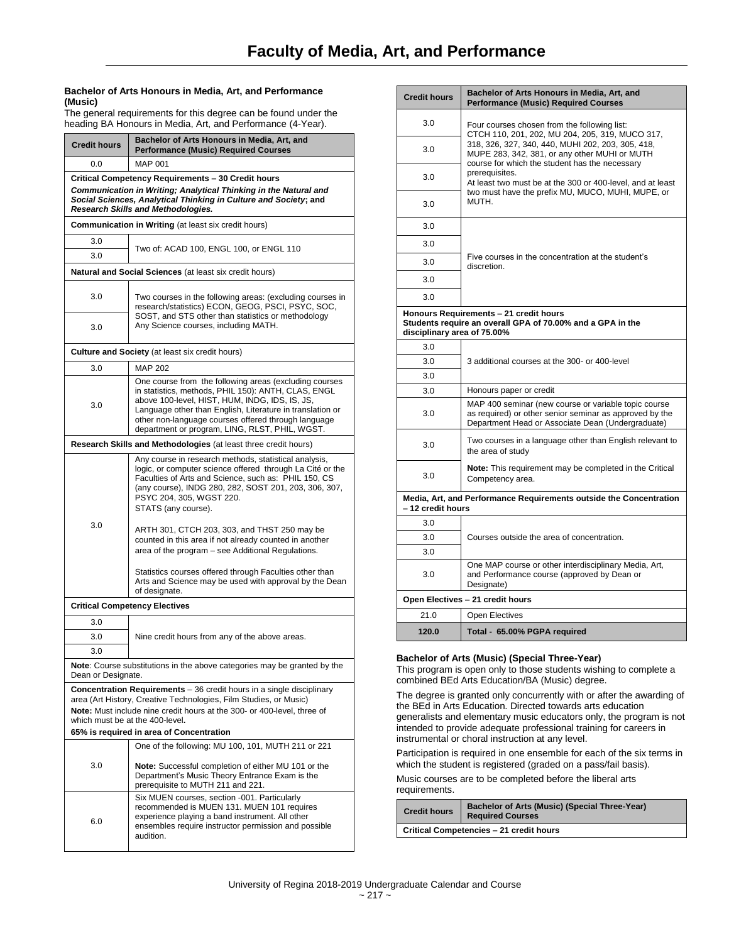## **Bachelor of Arts Honours in Media, Art, and Performance (Music)**

The general requirements for this degree can be found under the heading BA Honours in Media, Art, and Performance (4-Year).

| <b>Credit hours</b>                                                                                                                                                                                                              | Bachelor of Arts Honours in Media, Art, and<br><b>Performance (Music) Required Courses</b>                                                                                                                                                                                                                                            |  |
|----------------------------------------------------------------------------------------------------------------------------------------------------------------------------------------------------------------------------------|---------------------------------------------------------------------------------------------------------------------------------------------------------------------------------------------------------------------------------------------------------------------------------------------------------------------------------------|--|
| 0.0                                                                                                                                                                                                                              | <b>MAP 001</b>                                                                                                                                                                                                                                                                                                                        |  |
| Critical Competency Requirements - 30 Credit hours<br>Communication in Writing; Analytical Thinking in the Natural and<br>Social Sciences, Analytical Thinking in Culture and Society; and<br>Research Skills and Methodologies. |                                                                                                                                                                                                                                                                                                                                       |  |
|                                                                                                                                                                                                                                  | <b>Communication in Writing (at least six credit hours)</b>                                                                                                                                                                                                                                                                           |  |
| 3.0                                                                                                                                                                                                                              | Two of: ACAD 100, ENGL 100, or ENGL 110                                                                                                                                                                                                                                                                                               |  |
| 3.0                                                                                                                                                                                                                              |                                                                                                                                                                                                                                                                                                                                       |  |
|                                                                                                                                                                                                                                  | <b>Natural and Social Sciences</b> (at least six credit hours)                                                                                                                                                                                                                                                                        |  |
| 3.0                                                                                                                                                                                                                              | Two courses in the following areas: (excluding courses in<br>research/statistics) ECON, GEOG, PSCI, PSYC, SOC,                                                                                                                                                                                                                        |  |
| 3.0                                                                                                                                                                                                                              | SOST, and STS other than statistics or methodology<br>Any Science courses, including MATH.                                                                                                                                                                                                                                            |  |
|                                                                                                                                                                                                                                  | <b>Culture and Society</b> (at least six credit hours)                                                                                                                                                                                                                                                                                |  |
| 3.0                                                                                                                                                                                                                              | <b>MAP 202</b>                                                                                                                                                                                                                                                                                                                        |  |
| 3.0                                                                                                                                                                                                                              | One course from the following areas (excluding courses<br>in statistics, methods, PHIL 150): ANTH, CLAS, ENGL<br>above 100-level, HIST, HUM, INDG, IDS, IS, JS,<br>Language other than English, Literature in translation or<br>other non-language courses offered through language<br>department or program, LING, RLST, PHIL, WGST. |  |
|                                                                                                                                                                                                                                  | Research Skills and Methodologies (at least three credit hours)                                                                                                                                                                                                                                                                       |  |
|                                                                                                                                                                                                                                  | Any course in research methods, statistical analysis,<br>logic, or computer science offered through La Cité or the<br>Faculties of Arts and Science, such as: PHIL 150, CS<br>(any course), INDG 280, 282, SOST 201, 203, 306, 307,<br>PSYC 204, 305, WGST 220.<br>STATS (any course).                                                |  |
| 3.0                                                                                                                                                                                                                              | ARTH 301, CTCH 203, 303, and THST 250 may be<br>counted in this area if not already counted in another<br>area of the program – see Additional Regulations.<br>Statistics courses offered through Faculties other than                                                                                                                |  |
|                                                                                                                                                                                                                                  | Arts and Science may be used with approval by the Dean<br>of designate.                                                                                                                                                                                                                                                               |  |
|                                                                                                                                                                                                                                  | <b>Critical Competency Electives</b>                                                                                                                                                                                                                                                                                                  |  |
| 3.0                                                                                                                                                                                                                              |                                                                                                                                                                                                                                                                                                                                       |  |
| 3.0                                                                                                                                                                                                                              | Nine credit hours from any of the above areas.                                                                                                                                                                                                                                                                                        |  |
| 3.0                                                                                                                                                                                                                              |                                                                                                                                                                                                                                                                                                                                       |  |
| Dean or Designate.                                                                                                                                                                                                               | Note: Course substitutions in the above categories may be granted by the                                                                                                                                                                                                                                                              |  |
|                                                                                                                                                                                                                                  | <b>Concentration Requirements</b> - 36 credit hours in a single disciplinary<br>area (Art History, Creative Technologies, Film Studies, or Music)                                                                                                                                                                                     |  |
|                                                                                                                                                                                                                                  | Note: Must include nine credit hours at the 300- or 400-level, three of                                                                                                                                                                                                                                                               |  |
|                                                                                                                                                                                                                                  | which must be at the 400-level.                                                                                                                                                                                                                                                                                                       |  |
|                                                                                                                                                                                                                                  | 65% is required in area of Concentration<br>One of the following: MU 100, 101, MUTH 211 or 221                                                                                                                                                                                                                                        |  |
| 3.0                                                                                                                                                                                                                              | Note: Successful completion of either MU 101 or the<br>Department's Music Theory Entrance Exam is the<br>prerequisite to MUTH 211 and 221.                                                                                                                                                                                            |  |
| 6.0                                                                                                                                                                                                                              | Six MUEN courses, section -001. Particularly<br>recommended is MUEN 131. MUEN 101 requires<br>experience playing a band instrument. All other<br>ensembles require instructor permission and possible<br>audition.                                                                                                                    |  |

| <b>Credit hours</b>                                                                     | Bachelor of Arts Honours in Media, Art, and<br><b>Performance (Music) Required Courses</b>                                                                                                                                                                                                                                                                                                            |  |
|-----------------------------------------------------------------------------------------|-------------------------------------------------------------------------------------------------------------------------------------------------------------------------------------------------------------------------------------------------------------------------------------------------------------------------------------------------------------------------------------------------------|--|
| 3.0                                                                                     | Four courses chosen from the following list:<br>CTCH 110, 201, 202, MU 204, 205, 319, MUCO 317,<br>318, 326, 327, 340, 440, MUHI 202, 203, 305, 418,<br>MUPE 283, 342, 381, or any other MUHI or MUTH<br>course for which the student has the necessary<br>prerequisites.<br>At least two must be at the 300 or 400-level, and at least<br>two must have the prefix MU, MUCO, MUHI, MUPE, or<br>MUTH. |  |
| 3.0                                                                                     |                                                                                                                                                                                                                                                                                                                                                                                                       |  |
| 3.0                                                                                     |                                                                                                                                                                                                                                                                                                                                                                                                       |  |
| 3.0                                                                                     |                                                                                                                                                                                                                                                                                                                                                                                                       |  |
| 3.0                                                                                     |                                                                                                                                                                                                                                                                                                                                                                                                       |  |
| 3.0                                                                                     |                                                                                                                                                                                                                                                                                                                                                                                                       |  |
| 3.0                                                                                     | Five courses in the concentration at the student's<br>discretion.                                                                                                                                                                                                                                                                                                                                     |  |
| 3.0                                                                                     |                                                                                                                                                                                                                                                                                                                                                                                                       |  |
| 3.0                                                                                     |                                                                                                                                                                                                                                                                                                                                                                                                       |  |
| disciplinary area of 75.00%                                                             | Honours Requirements - 21 credit hours<br>Students require an overall GPA of 70.00% and a GPA in the                                                                                                                                                                                                                                                                                                  |  |
| 3.0                                                                                     |                                                                                                                                                                                                                                                                                                                                                                                                       |  |
| 3.0                                                                                     | 3 additional courses at the 300- or 400-level                                                                                                                                                                                                                                                                                                                                                         |  |
| 3.0                                                                                     |                                                                                                                                                                                                                                                                                                                                                                                                       |  |
| 3.0                                                                                     | Honours paper or credit                                                                                                                                                                                                                                                                                                                                                                               |  |
| 3.0                                                                                     | MAP 400 seminar (new course or variable topic course<br>as required) or other senior seminar as approved by the<br>Department Head or Associate Dean (Undergraduate)                                                                                                                                                                                                                                  |  |
| 3.0                                                                                     | Two courses in a language other than English relevant to<br>the area of study                                                                                                                                                                                                                                                                                                                         |  |
| 3.0                                                                                     | Note: This requirement may be completed in the Critical<br>Competency area.                                                                                                                                                                                                                                                                                                                           |  |
| Media, Art, and Performance Requirements outside the Concentration<br>- 12 credit hours |                                                                                                                                                                                                                                                                                                                                                                                                       |  |
| 3.0                                                                                     |                                                                                                                                                                                                                                                                                                                                                                                                       |  |
| 3.0                                                                                     | Courses outside the area of concentration.                                                                                                                                                                                                                                                                                                                                                            |  |
| 3.0                                                                                     |                                                                                                                                                                                                                                                                                                                                                                                                       |  |
| 3.0                                                                                     | One MAP course or other interdisciplinary Media, Art,<br>and Performance course (approved by Dean or<br>Designate)                                                                                                                                                                                                                                                                                    |  |
|                                                                                         | Open Electives - 21 credit hours                                                                                                                                                                                                                                                                                                                                                                      |  |
| 21.0                                                                                    | <b>Open Electives</b>                                                                                                                                                                                                                                                                                                                                                                                 |  |
| 120.0                                                                                   | Total - 65.00% PGPA required                                                                                                                                                                                                                                                                                                                                                                          |  |

## **Bachelor of Arts (Music) (Special Three-Year)**

This program is open only to those students wishing to complete a combined BEd Arts Education/BA (Music) degree.

The degree is granted only concurrently with or after the awarding of the BEd in Arts Education. Directed towards arts education generalists and elementary music educators only, the program is not intended to provide adequate professional training for careers in instrumental or choral instruction at any level.

Participation is required in one ensemble for each of the six terms in which the student is registered (graded on a pass/fail basis).

Music courses are to be completed before the liberal arts requirements.

| <b>Credit hours</b>                     | Bachelor of Arts (Music) (Special Three-Year)<br><b>Required Courses</b> |
|-----------------------------------------|--------------------------------------------------------------------------|
| Critical Competencies - 21 credit hours |                                                                          |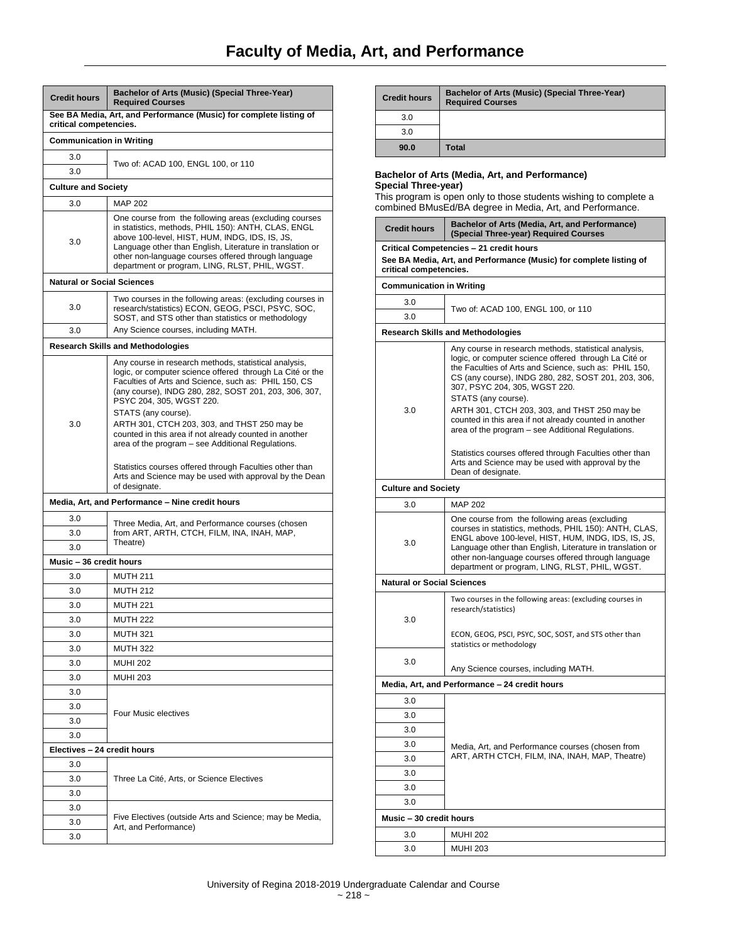| <b>Credit hours</b>               | Bachelor of Arts (Music) (Special Three-Year)<br><b>Required Courses</b>                                                                                                                                                                                                                                                                                                                         |
|-----------------------------------|--------------------------------------------------------------------------------------------------------------------------------------------------------------------------------------------------------------------------------------------------------------------------------------------------------------------------------------------------------------------------------------------------|
| critical competencies.            | See BA Media, Art, and Performance (Music) for complete listing of                                                                                                                                                                                                                                                                                                                               |
| <b>Communication in Writing</b>   |                                                                                                                                                                                                                                                                                                                                                                                                  |
| 3.0                               |                                                                                                                                                                                                                                                                                                                                                                                                  |
| 3.0                               | Two of: ACAD 100, ENGL 100, or 110                                                                                                                                                                                                                                                                                                                                                               |
| <b>Culture and Society</b>        |                                                                                                                                                                                                                                                                                                                                                                                                  |
| 3.0                               | <b>MAP 202</b>                                                                                                                                                                                                                                                                                                                                                                                   |
| 3.0                               | One course from the following areas (excluding courses<br>in statistics, methods, PHIL 150): ANTH, CLAS, ENGL<br>above 100-level, HIST, HUM, INDG, IDS, IS, JS,<br>Language other than English, Literature in translation or<br>other non-language courses offered through language<br>department or program, LING, RLST, PHIL, WGST.                                                            |
| <b>Natural or Social Sciences</b> |                                                                                                                                                                                                                                                                                                                                                                                                  |
| 3.0                               | Two courses in the following areas: (excluding courses in<br>research/statistics) ECON, GEOG, PSCI, PSYC, SOC,<br>SOST, and STS other than statistics or methodology                                                                                                                                                                                                                             |
| 3.0                               | Any Science courses, including MATH.                                                                                                                                                                                                                                                                                                                                                             |
|                                   | <b>Research Skills and Methodologies</b>                                                                                                                                                                                                                                                                                                                                                         |
| 3.0                               | Any course in research methods, statistical analysis,<br>logic, or computer science offered through La Cité or the<br>Faculties of Arts and Science, such as: PHIL 150, CS<br>(any course), INDG 280, 282, SOST 201, 203, 306, 307,<br>PSYC 204, 305, WGST 220.<br>STATS (any course).<br>ARTH 301, CTCH 203, 303, and THST 250 may be<br>counted in this area if not already counted in another |
|                                   | area of the program - see Additional Regulations.<br>Statistics courses offered through Faculties other than<br>Arts and Science may be used with approval by the Dean<br>of designate.                                                                                                                                                                                                          |
|                                   | Media, Art, and Performance - Nine credit hours                                                                                                                                                                                                                                                                                                                                                  |
| 3.0                               | Three Media, Art, and Performance courses (chosen                                                                                                                                                                                                                                                                                                                                                |
| 3.0                               | from ART, ARTH, CTCH, FILM, INA, INAH, MAP,<br>Theatre)                                                                                                                                                                                                                                                                                                                                          |
| 3.0                               |                                                                                                                                                                                                                                                                                                                                                                                                  |
| Music - 36 credit hours           |                                                                                                                                                                                                                                                                                                                                                                                                  |
| 3.0                               | <b>MUTH 211</b>                                                                                                                                                                                                                                                                                                                                                                                  |
| 3.0                               | <b>MUTH 212</b>                                                                                                                                                                                                                                                                                                                                                                                  |
| 3.0                               | <b>MUTH 221</b>                                                                                                                                                                                                                                                                                                                                                                                  |
| 3.0                               | <b>MUTH 222</b>                                                                                                                                                                                                                                                                                                                                                                                  |
| 3.0                               | <b>MUTH 321</b>                                                                                                                                                                                                                                                                                                                                                                                  |
| 3.0                               | <b>MUTH 322</b>                                                                                                                                                                                                                                                                                                                                                                                  |
| 3.0                               | <b>MUHI 202</b>                                                                                                                                                                                                                                                                                                                                                                                  |
| 3.0                               | <b>MUHI 203</b>                                                                                                                                                                                                                                                                                                                                                                                  |
| 3.0                               |                                                                                                                                                                                                                                                                                                                                                                                                  |
| 3.0                               | Four Music electives                                                                                                                                                                                                                                                                                                                                                                             |
| 3.0                               |                                                                                                                                                                                                                                                                                                                                                                                                  |
| 3.0                               |                                                                                                                                                                                                                                                                                                                                                                                                  |
| Electives - 24 credit hours       |                                                                                                                                                                                                                                                                                                                                                                                                  |
| 3.0                               |                                                                                                                                                                                                                                                                                                                                                                                                  |
| 3.0                               | Three La Cité, Arts, or Science Electives                                                                                                                                                                                                                                                                                                                                                        |
| 3.0                               |                                                                                                                                                                                                                                                                                                                                                                                                  |
| 3.0                               | Five Electives (outside Arts and Science; may be Media,                                                                                                                                                                                                                                                                                                                                          |
| 3.0<br>3.0                        | Art, and Performance)                                                                                                                                                                                                                                                                                                                                                                            |
|                                   |                                                                                                                                                                                                                                                                                                                                                                                                  |

| <b>Credit hours</b>                                                                                                                                                                                     | Bachelor of Arts (Music) (Special Three-Year)<br><b>Required Courses</b> |
|---------------------------------------------------------------------------------------------------------------------------------------------------------------------------------------------------------|--------------------------------------------------------------------------|
| 3.0                                                                                                                                                                                                     |                                                                          |
| 3.0                                                                                                                                                                                                     |                                                                          |
| 90.0                                                                                                                                                                                                    | <b>Total</b>                                                             |
| Bachelor of Arts (Media, Art, and Performance)<br>Special Three-year)<br>This program is open only to those students wishing to complete a<br>combined BMusEd/BA degree in Media, Art, and Performance. |                                                                          |

| <b>Credit hours</b>               | Bachelor of Arts (Media, Art, and Performance)<br>(Special Three-year) Required Courses                                                                                                                                                                                                                                                                                                                                                                                                                          |  |  |  |
|-----------------------------------|------------------------------------------------------------------------------------------------------------------------------------------------------------------------------------------------------------------------------------------------------------------------------------------------------------------------------------------------------------------------------------------------------------------------------------------------------------------------------------------------------------------|--|--|--|
| critical competencies.            | Critical Competencies - 21 credit hours<br>See BA Media, Art, and Performance (Music) for complete listing of                                                                                                                                                                                                                                                                                                                                                                                                    |  |  |  |
| <b>Communication in Writing</b>   |                                                                                                                                                                                                                                                                                                                                                                                                                                                                                                                  |  |  |  |
| 3.0                               |                                                                                                                                                                                                                                                                                                                                                                                                                                                                                                                  |  |  |  |
| 3.0                               | Two of: ACAD 100, ENGL 100, or 110                                                                                                                                                                                                                                                                                                                                                                                                                                                                               |  |  |  |
|                                   | <b>Research Skills and Methodologies</b>                                                                                                                                                                                                                                                                                                                                                                                                                                                                         |  |  |  |
| 3.0                               | Any course in research methods, statistical analysis,<br>logic, or computer science offered through La Cité or<br>the Faculties of Arts and Science, such as: PHIL 150,<br>CS (any course), INDG 280, 282, SOST 201, 203, 306,<br>307, PSYC 204, 305, WGST 220.<br>STATS (any course).<br>ARTH 301, CTCH 203, 303, and THST 250 may be<br>counted in this area if not already counted in another<br>area of the program – see Additional Regulations.<br>Statistics courses offered through Faculties other than |  |  |  |
|                                   | Arts and Science may be used with approval by the<br>Dean of designate.                                                                                                                                                                                                                                                                                                                                                                                                                                          |  |  |  |
| <b>Culture and Society</b>        |                                                                                                                                                                                                                                                                                                                                                                                                                                                                                                                  |  |  |  |
| 3.0                               | <b>MAP 202</b>                                                                                                                                                                                                                                                                                                                                                                                                                                                                                                   |  |  |  |
| 3.0                               | One course from the following areas (excluding<br>courses in statistics, methods, PHIL 150): ANTH, CLAS,<br>ENGL above 100-level, HIST, HUM, INDG, IDS, IS, JS,<br>Language other than English, Literature in translation or<br>other non-language courses offered through language<br>department or program, LING, RLST, PHIL, WGST.                                                                                                                                                                            |  |  |  |
| <b>Natural or Social Sciences</b> |                                                                                                                                                                                                                                                                                                                                                                                                                                                                                                                  |  |  |  |
| 3.0                               | Two courses in the following areas: (excluding courses in<br>research/statistics)<br>ECON, GEOG, PSCI, PSYC, SOC, SOST, and STS other than<br>statistics or methodology                                                                                                                                                                                                                                                                                                                                          |  |  |  |
|                                   |                                                                                                                                                                                                                                                                                                                                                                                                                                                                                                                  |  |  |  |
| 3.0                               | Any Science courses, including MATH.                                                                                                                                                                                                                                                                                                                                                                                                                                                                             |  |  |  |
|                                   | Media, Art, and Performance - 24 credit hours                                                                                                                                                                                                                                                                                                                                                                                                                                                                    |  |  |  |
| 3.0                               |                                                                                                                                                                                                                                                                                                                                                                                                                                                                                                                  |  |  |  |
| 3.0                               |                                                                                                                                                                                                                                                                                                                                                                                                                                                                                                                  |  |  |  |
| 3.0                               |                                                                                                                                                                                                                                                                                                                                                                                                                                                                                                                  |  |  |  |
| 3.0                               | Media, Art, and Performance courses (chosen from<br>ART, ARTH CTCH, FILM, INA, INAH, MAP, Theatre)                                                                                                                                                                                                                                                                                                                                                                                                               |  |  |  |
| 3.0                               |                                                                                                                                                                                                                                                                                                                                                                                                                                                                                                                  |  |  |  |
| 3.0                               |                                                                                                                                                                                                                                                                                                                                                                                                                                                                                                                  |  |  |  |
| 3.0                               |                                                                                                                                                                                                                                                                                                                                                                                                                                                                                                                  |  |  |  |
| 3.0                               |                                                                                                                                                                                                                                                                                                                                                                                                                                                                                                                  |  |  |  |
| Music - 30 credit hours           |                                                                                                                                                                                                                                                                                                                                                                                                                                                                                                                  |  |  |  |
| 3.0                               | <b>MUHI 202</b>                                                                                                                                                                                                                                                                                                                                                                                                                                                                                                  |  |  |  |
| 3.0                               | <b>MUHI 203</b>                                                                                                                                                                                                                                                                                                                                                                                                                                                                                                  |  |  |  |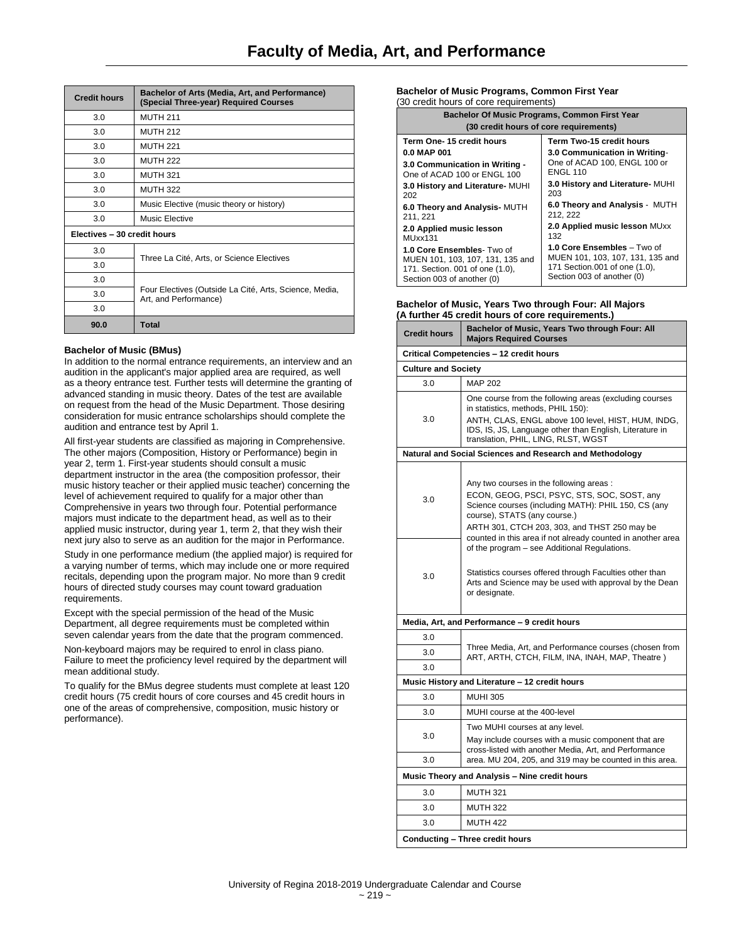| <b>Credit hours</b>         | Bachelor of Arts (Media, Art, and Performance)<br>(Special Three-year) Required Courses |  |
|-----------------------------|-----------------------------------------------------------------------------------------|--|
| 3.0                         | <b>MUTH 211</b>                                                                         |  |
| 3.0                         | <b>MUTH 212</b>                                                                         |  |
| 3.0                         | <b>MUTH 221</b>                                                                         |  |
| 3.0                         | <b>MUTH 222</b>                                                                         |  |
| 3.0                         | <b>MUTH 321</b>                                                                         |  |
| 3.0                         | <b>MUTH 322</b>                                                                         |  |
| 3.0                         | Music Elective (music theory or history)                                                |  |
| 3.0                         | Music Elective                                                                          |  |
| Electives - 30 credit hours |                                                                                         |  |
| 3.0                         | Three La Cité, Arts, or Science Electives                                               |  |
| 3.0                         |                                                                                         |  |
| 3.0                         |                                                                                         |  |
| 3.0                         | Four Electives (Outside La Cité, Arts, Science, Media,<br>Art, and Performance)         |  |
| 3.0                         |                                                                                         |  |
| 90.0                        | <b>Total</b>                                                                            |  |

## **Bachelor of Music (BMus)**

In addition to the normal entrance requirements, an interview and an audition in the applicant's major applied area are required, as well as a theory entrance test. Further tests will determine the granting of advanced standing in music theory. Dates of the test are available on request from the head of the Music Department. Those desiring consideration for music entrance scholarships should complete the audition and entrance test by April 1.

All first-year students are classified as majoring in Comprehensive. The other majors (Composition, History or Performance) begin in year 2, term 1. First-year students should consult a music department instructor in the area (the composition professor, their music history teacher or their applied music teacher) concerning the level of achievement required to qualify for a major other than Comprehensive in years two through four. Potential performance majors must indicate to the department head, as well as to their applied music instructor, during year 1, term 2, that they wish their next jury also to serve as an audition for the major in Performance.

Study in one performance medium (the applied major) is required for a varying number of terms, which may include one or more required recitals, depending upon the program major. No more than 9 credit hours of directed study courses may count toward graduation requirements.

Except with the special permission of the head of the Music Department, all degree requirements must be completed within seven calendar years from the date that the program commenced.

Non-keyboard majors may be required to enrol in class piano. Failure to meet the proficiency level required by the department will mean additional study.

To qualify for the BMus degree students must complete at least 120 credit hours (75 credit hours of core courses and 45 credit hours in one of the areas of comprehensive, composition, music history or performance).

#### **Bachelor of Music Programs, Common First Year** (30 credit hours of core requirements)

| Bachelor Of Music Programs, Common First Year |                                  |  |  |
|-----------------------------------------------|----------------------------------|--|--|
| (30 credit hours of core requirements)        |                                  |  |  |
| Term One-15 credit hours                      | Term Two-15 credit hours         |  |  |
| 0.0 MAP 001                                   | 3.0 Communication in Writing-    |  |  |
| 3.0 Communication in Writing -                | One of ACAD 100, ENGL 100 or     |  |  |
| One of ACAD 100 or ENGL 100                   | <b>ENGL 110</b>                  |  |  |
| 3.0 History and Literature- MUHI              | 3.0 History and Literature- MUHI |  |  |
| 202                                           | 203                              |  |  |
| 6.0 Theory and Analysis- MUTH                 | 6.0 Theory and Analysis - MUTH   |  |  |
| 211.221                                       | 212.222                          |  |  |
| 2.0 Applied music lesson                      | 2.0 Applied music lesson MUxx    |  |  |
| MUxx131                                       | 132                              |  |  |
| 1.0 Core Ensembles- Two of                    | 1.0 Core Ensembles - Two of      |  |  |
| MUEN 101, 103, 107, 131, 135 and              | MUEN 101, 103, 107, 131, 135 and |  |  |
| 171. Section. 001 of one (1.0),               | 171 Section.001 of one (1.0),    |  |  |
| Section 003 of another (0)                    | Section 003 of another (0)       |  |  |

#### **Bachelor of Music, Years Two through Four: All Majors (A further 45 credit hours of core requirements**

|                            | rummer 45 cream nours or core requirements.                                                                                                                                                                                                                                                  |
|----------------------------|----------------------------------------------------------------------------------------------------------------------------------------------------------------------------------------------------------------------------------------------------------------------------------------------|
| <b>Credit hours</b>        | Bachelor of Music, Years Two through Four: All<br><b>Majors Required Courses</b>                                                                                                                                                                                                             |
|                            | Critical Competencies - 12 credit hours                                                                                                                                                                                                                                                      |
| <b>Culture and Society</b> |                                                                                                                                                                                                                                                                                              |
| 3.0                        | <b>MAP 202</b>                                                                                                                                                                                                                                                                               |
| 3.0                        | One course from the following areas (excluding courses<br>in statistics, methods, PHIL 150):<br>ANTH, CLAS, ENGL above 100 level, HIST, HUM, INDG,<br>IDS, IS, JS, Language other than English, Literature in<br>translation, PHIL, LING, RLST, WGST                                         |
|                            | Natural and Social Sciences and Research and Methodology                                                                                                                                                                                                                                     |
| 3.0                        | Any two courses in the following areas:<br>ECON, GEOG, PSCI, PSYC, STS, SOC, SOST, any<br>Science courses (including MATH): PHIL 150, CS (any<br>course), STATS (any course.)<br>ARTH 301, CTCH 203, 303, and THST 250 may be<br>counted in this area if not already counted in another area |
| 3.0                        | of the program – see Additional Regulations.<br>Statistics courses offered through Faculties other than<br>Arts and Science may be used with approval by the Dean<br>or designate.                                                                                                           |
|                            | Media, Art, and Performance - 9 credit hours                                                                                                                                                                                                                                                 |
| 3.0                        |                                                                                                                                                                                                                                                                                              |
| 3.0                        | Three Media, Art, and Performance courses (chosen from<br>ART, ARTH, CTCH, FILM, INA, INAH, MAP, Theatre)                                                                                                                                                                                    |
| 3.0                        |                                                                                                                                                                                                                                                                                              |
|                            | Music History and Literature - 12 credit hours                                                                                                                                                                                                                                               |
| 3.0                        | <b>MUHI 305</b>                                                                                                                                                                                                                                                                              |
| 3.0                        | MUHI course at the 400-level                                                                                                                                                                                                                                                                 |
| 3.0                        | Two MUHI courses at any level.<br>May include courses with a music component that are<br>cross-listed with another Media, Art, and Performance                                                                                                                                               |
| 3.0                        | area. MU 204, 205, and 319 may be counted in this area.                                                                                                                                                                                                                                      |
|                            | Music Theory and Analysis - Nine credit hours                                                                                                                                                                                                                                                |
| 3.0                        | <b>MUTH 321</b>                                                                                                                                                                                                                                                                              |
| 3.0                        | <b>MUTH 322</b>                                                                                                                                                                                                                                                                              |
| 3.0                        | <b>MUTH 422</b>                                                                                                                                                                                                                                                                              |
|                            | <b>Conducting - Three credit hours</b>                                                                                                                                                                                                                                                       |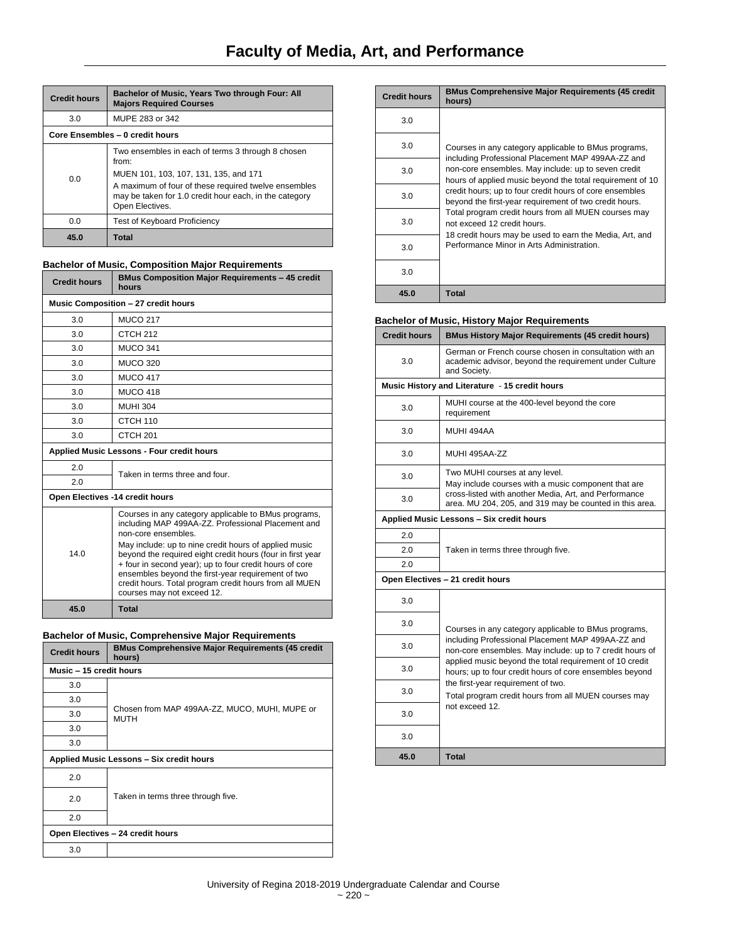| <b>Credit hours</b> | Bachelor of Music, Years Two through Four: All<br><b>Majors Required Courses</b>                                                                                                                                                         |  |
|---------------------|------------------------------------------------------------------------------------------------------------------------------------------------------------------------------------------------------------------------------------------|--|
| 3.0                 | MUPE 283 or 342                                                                                                                                                                                                                          |  |
|                     | Core Ensembles - 0 credit hours                                                                                                                                                                                                          |  |
| 0.0                 | Two ensembles in each of terms 3 through 8 chosen<br>from:<br>MUEN 101, 103, 107, 131, 135, and 171<br>A maximum of four of these required twelve ensembles<br>may be taken for 1.0 credit hour each, in the category<br>Open Electives. |  |
| 0.0                 | <b>Test of Keyboard Proficiency</b>                                                                                                                                                                                                      |  |
| 45.0                | Total                                                                                                                                                                                                                                    |  |

## **Bachelor of Music, Composition Major Requirements**

| <b>Credit hours</b>                 | <b>BMus Composition Major Requirements - 45 credit</b><br>hours                                                                                                                                                                                                                                                              |  |
|-------------------------------------|------------------------------------------------------------------------------------------------------------------------------------------------------------------------------------------------------------------------------------------------------------------------------------------------------------------------------|--|
| Music Composition - 27 credit hours |                                                                                                                                                                                                                                                                                                                              |  |
| 3.0                                 | <b>MUCO 217</b>                                                                                                                                                                                                                                                                                                              |  |
| 3 O                                 | CTCH 212                                                                                                                                                                                                                                                                                                                     |  |
| 3.0                                 | <b>MUCO 341</b>                                                                                                                                                                                                                                                                                                              |  |
| 3.0                                 | <b>MUCO 320</b>                                                                                                                                                                                                                                                                                                              |  |
| 3.0                                 | <b>MUCO 417</b>                                                                                                                                                                                                                                                                                                              |  |
| 3.0                                 | <b>MUCO 418</b>                                                                                                                                                                                                                                                                                                              |  |
| 3.0                                 | <b>MUHI 304</b>                                                                                                                                                                                                                                                                                                              |  |
| 3.0                                 | CTCH <sub>110</sub>                                                                                                                                                                                                                                                                                                          |  |
| 3.0                                 | CTCH 201                                                                                                                                                                                                                                                                                                                     |  |
|                                     | Applied Music Lessons - Four credit hours                                                                                                                                                                                                                                                                                    |  |
| 2.0                                 | Taken in terms three and four.                                                                                                                                                                                                                                                                                               |  |
| 20                                  |                                                                                                                                                                                                                                                                                                                              |  |
| Open Electives -14 credit hours     |                                                                                                                                                                                                                                                                                                                              |  |
|                                     | Courses in any category applicable to BMus programs,<br>including MAP 499AA-ZZ. Professional Placement and<br>non-core ensembles.                                                                                                                                                                                            |  |
| 14.0                                | May include: up to nine credit hours of applied music<br>beyond the required eight credit hours (four in first year<br>+ four in second year); up to four credit hours of core<br>ensembles beyond the first-year requirement of two<br>credit hours. Total program credit hours from all MUEN<br>courses may not exceed 12. |  |
| 45.0                                | <b>Total</b>                                                                                                                                                                                                                                                                                                                 |  |

## **Bachelor of Music, Comprehensive Major Requirements**

| <b>Credit hours</b>              | <b>BMus Comprehensive Major Requirements (45 credit</b><br>hours) |  |
|----------------------------------|-------------------------------------------------------------------|--|
| Music - 15 credit hours          |                                                                   |  |
| 3.0                              |                                                                   |  |
| 3.0                              |                                                                   |  |
| 3.0                              | Chosen from MAP 499AA-ZZ, MUCO, MUHI, MUPE or<br><b>MUTH</b>      |  |
| 3.0                              |                                                                   |  |
| 3.0                              |                                                                   |  |
|                                  | Applied Music Lessons - Six credit hours                          |  |
| 2.0                              |                                                                   |  |
| 2.0                              | Taken in terms three through five.                                |  |
| 2.0                              |                                                                   |  |
| Open Electives - 24 credit hours |                                                                   |  |
| 3.0                              |                                                                   |  |

| <b>Credit hours</b> | <b>BMus Comprehensive Major Requirements (45 credit</b><br>hours)                                                 |
|---------------------|-------------------------------------------------------------------------------------------------------------------|
| 3.0                 |                                                                                                                   |
| 3.0                 | Courses in any category applicable to BMus programs,<br>including Professional Placement MAP 499AA-ZZ and         |
| 3.0                 | non-core ensembles. May include: up to seven credit<br>hours of applied music beyond the total requirement of 10  |
| 3.0                 | credit hours; up to four credit hours of core ensembles<br>beyond the first-year requirement of two credit hours. |
| 3.0                 | Total program credit hours from all MUEN courses may<br>not exceed 12 credit hours.                               |
| 3.0                 | 18 credit hours may be used to earn the Media, Art, and<br>Performance Minor in Arts Administration.              |
| 3.0                 |                                                                                                                   |
| 45.0                | <b>Total</b>                                                                                                      |

## **Bachelor of Music, History Major Requirements**

|                     | . <b>.</b>                                                                                                                                                              |
|---------------------|-------------------------------------------------------------------------------------------------------------------------------------------------------------------------|
| <b>Credit hours</b> | <b>BMus History Major Requirements (45 credit hours)</b>                                                                                                                |
| 3.0                 | German or French course chosen in consultation with an<br>academic advisor, beyond the requirement under Culture<br>and Society.                                        |
|                     | Music History and Literature - 15 credit hours                                                                                                                          |
| 3.0                 | MUHI course at the 400-level beyond the core<br>requirement                                                                                                             |
| 3.0                 | MUHI 494AA                                                                                                                                                              |
| 3.0                 | MUHI 495AA-ZZ                                                                                                                                                           |
| 3.0                 | Two MUHI courses at any level.                                                                                                                                          |
| 3.0                 | May include courses with a music component that are<br>cross-listed with another Media, Art, and Performance<br>area. MU 204, 205, and 319 may be counted in this area. |
|                     | Applied Music Lessons - Six credit hours                                                                                                                                |
| 2.0                 |                                                                                                                                                                         |
| 2.0                 | Taken in terms three through five.                                                                                                                                      |
| 2.0                 |                                                                                                                                                                         |
|                     | Open Electives - 21 credit hours                                                                                                                                        |
| 3.0                 |                                                                                                                                                                         |
| 3.0                 | Courses in any category applicable to BMus programs,                                                                                                                    |
| 3.0                 | including Professional Placement MAP 499AA-ZZ and<br>non-core ensembles. May include: up to 7 credit hours of                                                           |
| 3.0                 | applied music beyond the total requirement of 10 credit<br>hours; up to four credit hours of core ensembles beyond                                                      |
| 3.0                 | the first-year requirement of two.<br>Total program credit hours from all MUEN courses may                                                                              |
| 3.0                 | not exceed 12.                                                                                                                                                          |
| 3.0                 |                                                                                                                                                                         |
| 45.0                | <b>Total</b>                                                                                                                                                            |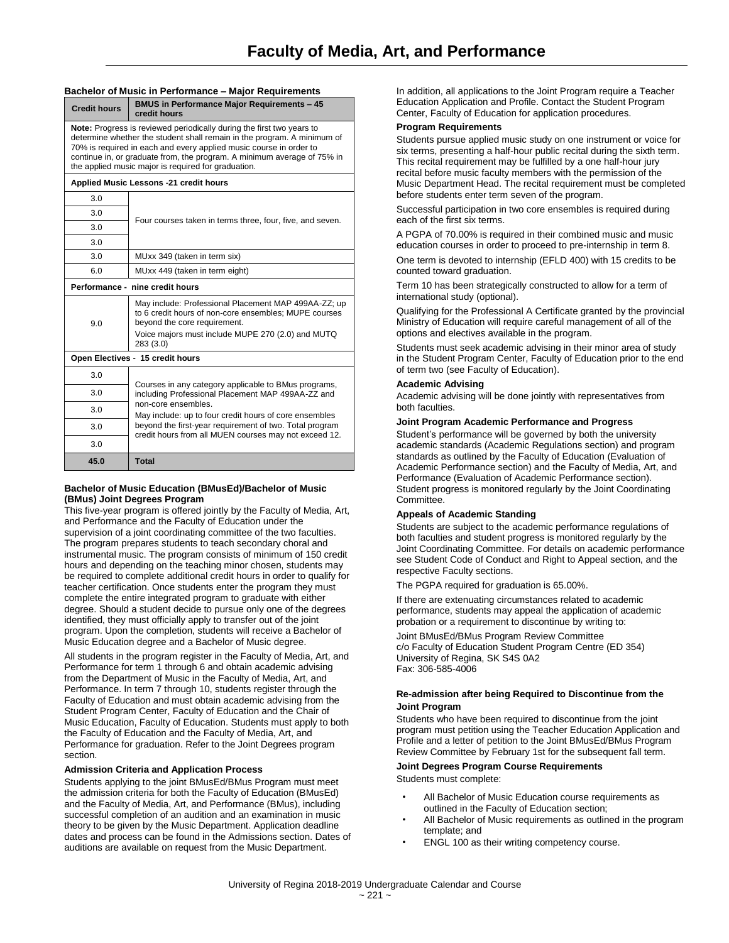#### **Bachelor of Music in Performance – Major Requirements**

| <b>Credit hours</b> | <b>BMUS in Performance Major Requirements - 45</b><br>credit hours                                                                                                                                                                                                                                                                                              |
|---------------------|-----------------------------------------------------------------------------------------------------------------------------------------------------------------------------------------------------------------------------------------------------------------------------------------------------------------------------------------------------------------|
|                     | <b>Note:</b> Progress is reviewed periodically during the first two years to<br>determine whether the student shall remain in the program. A minimum of<br>70% is required in each and every applied music course in order to<br>continue in, or graduate from, the program. A minimum average of 75% in<br>the applied music major is required for graduation. |
|                     | Applied Music Lessons -21 credit hours                                                                                                                                                                                                                                                                                                                          |
| 3.0                 |                                                                                                                                                                                                                                                                                                                                                                 |
| 3.0                 | Four courses taken in terms three, four, five, and seven.                                                                                                                                                                                                                                                                                                       |
| 3.0                 |                                                                                                                                                                                                                                                                                                                                                                 |
| 3.0                 |                                                                                                                                                                                                                                                                                                                                                                 |
| 3.0                 | MUxx 349 (taken in term six)                                                                                                                                                                                                                                                                                                                                    |
| 6.0                 | MUxx 449 (taken in term eight)                                                                                                                                                                                                                                                                                                                                  |
|                     | Performance - nine credit hours                                                                                                                                                                                                                                                                                                                                 |
| 9.0                 | May include: Professional Placement MAP 499AA-ZZ; up<br>to 6 credit hours of non-core ensembles: MUPE courses<br>beyond the core requirement.<br>Voice majors must include MUPE 270 (2.0) and MUTQ<br>283 (3.0)                                                                                                                                                 |
|                     | Open Electives - 15 credit hours                                                                                                                                                                                                                                                                                                                                |
| 3.0                 |                                                                                                                                                                                                                                                                                                                                                                 |
| 3.0                 | Courses in any category applicable to BMus programs,<br>including Professional Placement MAP 499AA-ZZ and                                                                                                                                                                                                                                                       |
| 3.0                 | non-core ensembles.<br>May include: up to four credit hours of core ensembles                                                                                                                                                                                                                                                                                   |
| 3.0                 | beyond the first-year requirement of two. Total program<br>credit hours from all MUEN courses may not exceed 12.                                                                                                                                                                                                                                                |
| 3.0                 |                                                                                                                                                                                                                                                                                                                                                                 |
| 45.0                | <b>Total</b>                                                                                                                                                                                                                                                                                                                                                    |

## **Bachelor of Music Education (BMusEd)/Bachelor of Music (BMus) Joint Degrees Program**

This five-year program is offered jointly by the Faculty of Media, Art, and Performance and the Faculty of Education under the supervision of a joint coordinating committee of the two faculties. The program prepares students to teach secondary choral and instrumental music. The program consists of minimum of 150 credit hours and depending on the teaching minor chosen, students may be required to complete additional credit hours in order to qualify for teacher certification. Once students enter the program they must complete the entire integrated program to graduate with either degree. Should a student decide to pursue only one of the degrees identified, they must officially apply to transfer out of the joint program. Upon the completion, students will receive a Bachelor of Music Education degree and a Bachelor of Music degree.

All students in the program register in the Faculty of Media, Art, and Performance for term 1 through 6 and obtain academic advising from the Department of Music in the Faculty of Media, Art, and Performance. In term 7 through 10, students register through the Faculty of Education and must obtain academic advising from the Student Program Center, Faculty of Education and the Chair of Music Education, Faculty of Education. Students must apply to both the Faculty of Education and the Faculty of Media, Art, and Performance for graduation. Refer to the Joint Degrees program section.

## **Admission Criteria and Application Process**

Students applying to the joint BMusEd/BMus Program must meet the admission criteria for both the Faculty of Education (BMusEd) and the Faculty of Media, Art, and Performance (BMus), including successful completion of an audition and an examination in music theory to be given by the Music Department. Application deadline dates and process can be found in the Admissions section. Dates of auditions are available on request from the Music Department.

In addition, all applications to the Joint Program require a Teacher Education Application and Profile. Contact the Student Program Center, Faculty of Education for application procedures.

## **Program Requirements**

Students pursue applied music study on one instrument or voice for six terms, presenting a half-hour public recital during the sixth term. This recital requirement may be fulfilled by a one half-hour jury recital before music faculty members with the permission of the Music Department Head. The recital requirement must be completed before students enter term seven of the program.

Successful participation in two core ensembles is required during each of the first six terms.

A PGPA of 70.00% is required in their combined music and music education courses in order to proceed to pre-internship in term 8.

One term is devoted to internship (EFLD 400) with 15 credits to be counted toward graduation.

Term 10 has been strategically constructed to allow for a term of international study (optional).

Qualifying for the Professional A Certificate granted by the provincial Ministry of Education will require careful management of all of the options and electives available in the program.

Students must seek academic advising in their minor area of study in the Student Program Center, Faculty of Education prior to the end of term two (see Faculty of Education).

#### **Academic Advising**

Academic advising will be done jointly with representatives from both faculties.

## **Joint Program Academic Performance and Progress**

Student's performance will be governed by both the university academic standards (Academic Regulations section) and program standards as outlined by the Faculty of Education (Evaluation of Academic Performance section) and the Faculty of Media, Art, and Performance (Evaluation of Academic Performance section). Student progress is monitored regularly by the Joint Coordinating Committee.

#### **Appeals of Academic Standing**

Students are subject to the academic performance regulations of both faculties and student progress is monitored regularly by the Joint Coordinating Committee. For details on academic performance see Student Code of Conduct and Right to Appeal section, and the respective Faculty sections.

The PGPA required for graduation is 65.00%.

If there are extenuating circumstances related to academic performance, students may appeal the application of academic probation or a requirement to discontinue by writing to:

Joint BMusEd/BMus Program Review Committee c/o Faculty of Education Student Program Centre (ED 354) University of Regina, SK S4S 0A2 Fax: 306-585-4006

## **Re-admission after being Required to Discontinue from the Joint Program**

Students who have been required to discontinue from the joint program must petition using the Teacher Education Application and Profile and a letter of petition to the Joint BMusEd/BMus Program Review Committee by February 1st for the subsequent fall term.

## **Joint Degrees Program Course Requirements** Students must complete:

All Bachelor of Music Education course requirements as

- outlined in the Faculty of Education section; All Bachelor of Music requirements as outlined in the program template; and
- ENGL 100 as their writing competency course.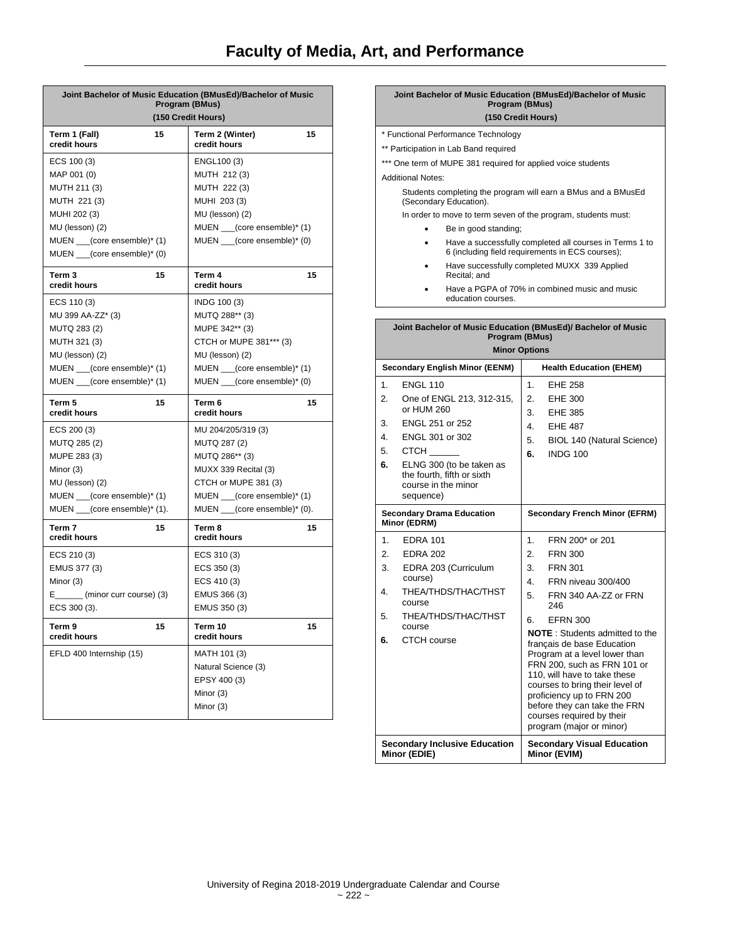# **Faculty of Media, Art, and Performance**

| Joint Bachelor of Music Education (BMusEd)/Bachelor of Music<br>Program (BMus)<br>(150 Credit Hours) |  |                                 |    |
|------------------------------------------------------------------------------------------------------|--|---------------------------------|----|
| 15<br>Term 1 (Fall)<br>credit hours                                                                  |  | Term 2 (Winter)<br>credit hours | 15 |
| ECS 100 (3)                                                                                          |  | ENGL100 (3)                     |    |
| MAP 001 (0)                                                                                          |  | MUTH 212 (3)                    |    |
| MUTH 211 (3)                                                                                         |  | MUTH 222 (3)                    |    |
| MUTH 221 (3)                                                                                         |  | MUHI 203 (3)                    |    |
| MUHI 202 (3)                                                                                         |  | MU (lesson) (2)                 |    |
| MU (lesson) (2)                                                                                      |  | MUEN ___(core ensemble)* (1)    |    |
| MUEN ___(core ensemble)* (1)                                                                         |  | MUEN ___(core ensemble)* (0)    |    |
| MUEN ___(core ensemble)* (0)                                                                         |  |                                 |    |
| Term 3<br>15<br>credit hours                                                                         |  | Term 4<br>credit hours          | 15 |
| ECS 110 (3)                                                                                          |  | INDG 100 (3)                    |    |
| MU 399 AA-ZZ* (3)                                                                                    |  | MUTQ 288** (3)                  |    |
| MUTQ 283 (2)                                                                                         |  | MUPE 342** (3)                  |    |
| MUTH 321 (3)                                                                                         |  | CTCH or MUPE 381*** (3)         |    |
| MU (lesson) (2)                                                                                      |  | MU (lesson) (2)                 |    |
| MUEN __(core ensemble)* (1)                                                                          |  | MUEN __(core ensemble)* (1)     |    |
| MUEN __(core ensemble)* (1)                                                                          |  | MUEN ___(core ensemble)* (0)    |    |
| Term 5<br>15<br>credit hours                                                                         |  | Term 6<br>credit hours          | 15 |
| ECS 200 (3)                                                                                          |  | MU 204/205/319 (3)              |    |
| MUTQ 285 (2)                                                                                         |  | MUTQ 287 (2)                    |    |
| MUPE 283 (3)                                                                                         |  | MUTQ 286** (3)                  |    |
| Minor (3)                                                                                            |  | MUXX 339 Recital (3)            |    |
| MU (lesson) (2)                                                                                      |  | CTCH or MUPE 381 (3)            |    |
| MUEN ___(core ensemble)* (1)                                                                         |  | MUEN ___(core ensemble)* (1)    |    |
| MUEN $_{\_\_}$ (core ensemble)* (1).                                                                 |  | MUEN ___(core ensemble)* (0).   |    |
| Term 7<br>15<br>credit hours                                                                         |  | Term 8<br>credit hours          | 15 |
| ECS 210 (3)                                                                                          |  | ECS 310 (3)                     |    |
| EMUS 377 (3)                                                                                         |  | ECS 350 (3)                     |    |
| Minor (3)                                                                                            |  | ECS 410 (3)                     |    |
| E________ (minor curr course) (3)                                                                    |  | EMUS 366 (3)                    |    |
| ECS 300 (3).                                                                                         |  | EMUS 350 (3)                    |    |
| Term 9<br>15<br>credit hours                                                                         |  | Term 10<br>credit hours         | 15 |
| EFLD 400 Internship (15)                                                                             |  | MATH 101 (3)                    |    |
|                                                                                                      |  | Natural Science (3)             |    |
|                                                                                                      |  | EPSY 400 (3)                    |    |
|                                                                                                      |  | Minor (3)                       |    |
|                                                                                                      |  | Minor (3)                       |    |
|                                                                                                      |  |                                 |    |

|                                                              |                                                                                         | Program (BMus)<br>(150 Credit Hours)                   |    | Joint Bachelor of Music Education (BMusEd)/Bachelor of Music                                                |
|--------------------------------------------------------------|-----------------------------------------------------------------------------------------|--------------------------------------------------------|----|-------------------------------------------------------------------------------------------------------------|
|                                                              |                                                                                         | * Functional Performance Technology                    |    |                                                                                                             |
|                                                              |                                                                                         |                                                        |    |                                                                                                             |
| ** Participation in Lab Band required                        |                                                                                         |                                                        |    |                                                                                                             |
| *** One term of MUPE 381 required for applied voice students |                                                                                         |                                                        |    |                                                                                                             |
|                                                              | <b>Additional Notes:</b>                                                                |                                                        |    |                                                                                                             |
|                                                              | Students completing the program will earn a BMus and a BMusEd<br>(Secondary Education). |                                                        |    |                                                                                                             |
|                                                              | In order to move to term seven of the program, students must:                           |                                                        |    |                                                                                                             |
|                                                              |                                                                                         | Be in good standing;                                   |    |                                                                                                             |
|                                                              | ٠                                                                                       |                                                        |    | Have a successfully completed all courses in Terms 1 to<br>6 (including field requirements in ECS courses); |
|                                                              |                                                                                         | Recital; and                                           |    | Have successfully completed MUXX 339 Applied                                                                |
|                                                              |                                                                                         | education courses.                                     |    | Have a PGPA of 70% in combined music and music                                                              |
|                                                              |                                                                                         |                                                        |    |                                                                                                             |
|                                                              |                                                                                         |                                                        |    | Joint Bachelor of Music Education (BMusEd)/ Bachelor of Music                                               |
|                                                              |                                                                                         | Program (BMus)                                         |    |                                                                                                             |
|                                                              |                                                                                         |                                                        |    |                                                                                                             |
|                                                              |                                                                                         | <b>Minor Options</b>                                   |    |                                                                                                             |
|                                                              |                                                                                         | <b>Secondary English Minor (EENM)</b>                  |    | <b>Health Education (EHEM)</b>                                                                              |
| 1.                                                           | <b>ENGL 110</b>                                                                         |                                                        | 1. | <b>EHE 258</b>                                                                                              |
| 2.                                                           |                                                                                         | One of ENGL 213, 312-315,                              | 2. | <b>EHE 300</b>                                                                                              |
|                                                              | or HUM 260                                                                              |                                                        | 3. | <b>EHE 385</b>                                                                                              |
| 3.                                                           | ENGL 251 or 252                                                                         |                                                        | 4. | <b>EHE 487</b>                                                                                              |
| 4.                                                           | ENGL 301 or 302                                                                         |                                                        | 5. | BIOL 140 (Natural Science)                                                                                  |
| 5.                                                           | <b>CTCH</b>                                                                             |                                                        | 6. | <b>INDG 100</b>                                                                                             |
| 6.                                                           | course in the minor<br>sequence)                                                        | ELNG 300 (to be taken as<br>the fourth, fifth or sixth |    |                                                                                                             |
|                                                              | Minor (EDRM)                                                                            | <b>Secondary Drama Education</b>                       |    | <b>Secondary French Minor (EFRM)</b>                                                                        |
| 1.                                                           | <b>EDRA 101</b>                                                                         |                                                        | 1. | FRN 200* or 201                                                                                             |
| 2.                                                           | <b>EDRA 202</b>                                                                         |                                                        | 2. | <b>FRN 300</b>                                                                                              |
| 3.                                                           |                                                                                         | EDRA 203 (Curriculum                                   | 3. | <b>FRN 301</b>                                                                                              |
| 4.                                                           | course)                                                                                 | THEA/THDS/THAC/THST                                    | 4. | FRN niveau 300/400                                                                                          |

246 6. EFRN 300

**Minor (EVIM)**

**NOTE** : Students admitted to the français de base Education Program at a level lower than FRN 200, such as FRN 101 or 110, will have to take these courses to bring their level of proficiency up to FRN 200 before they can take the FRN courses required by their program (major or minor)

**Secondary Visual Education** 

5. THEA/THDS/THAC/THST

**Secondary Inclusive Education** 

course **6.** CTCH course

**Minor (EDIE)**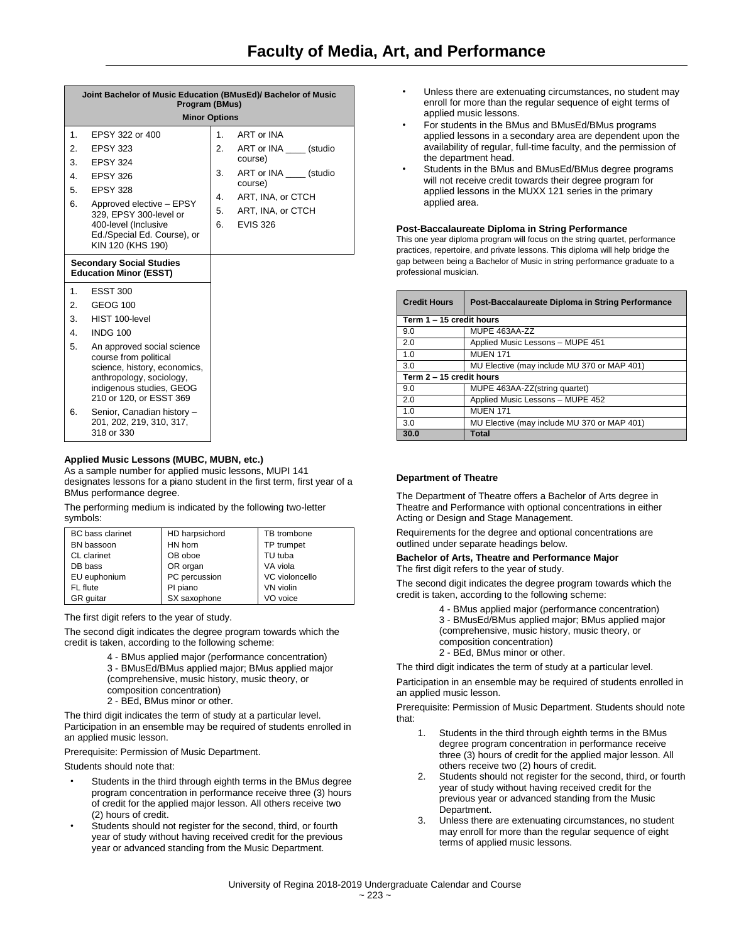|                | Joint Bachelor of Music Education (BMusEd)/ Bachelor of Music<br>Program (BMus)<br><b>Minor Options</b>                                                                |    |                                     |
|----------------|------------------------------------------------------------------------------------------------------------------------------------------------------------------------|----|-------------------------------------|
| 1.             | EPSY 322 or 400                                                                                                                                                        | 1. | ART or INA                          |
| 2.             | <b>EPSY 323</b>                                                                                                                                                        | 2. | ART or INA (studio                  |
| 3.             | <b>EPSY 324</b>                                                                                                                                                        |    | course)                             |
| 4.             | <b>EPSY 326</b>                                                                                                                                                        | 3. | ART or INA _____ (studio<br>course) |
| 5.             | <b>EPSY 328</b>                                                                                                                                                        | 4. | ART, INA, or CTCH                   |
| 6.             | Approved elective - EPSY<br>329, EPSY 300-level or                                                                                                                     | 5. | ART, INA, or CTCH                   |
|                | 400-level (Inclusive                                                                                                                                                   | 6. | <b>EVIS 326</b>                     |
|                | Ed./Special Ed. Course), or<br>KIN 120 (KHS 190)                                                                                                                       |    |                                     |
|                | <b>Secondary Social Studies</b><br><b>Education Minor (ESST)</b>                                                                                                       |    |                                     |
| 1 <sub>1</sub> | <b>ESST 300</b>                                                                                                                                                        |    |                                     |
| 2.             | <b>GEOG 100</b>                                                                                                                                                        |    |                                     |
| 3.             | HIST 100-level                                                                                                                                                         |    |                                     |
| 4.             | <b>INDG 100</b>                                                                                                                                                        |    |                                     |
| 5.             | An approved social science<br>course from political<br>science, history, economics,<br>anthropology, sociology,<br>indigenous studies, GEOG<br>210 or 120, or ESST 369 |    |                                     |
| 6.             | Senior, Canadian history -<br>201, 202, 219, 310, 317,<br>318 or 330                                                                                                   |    |                                     |

## **Applied Music Lessons (MUBC, MUBN, etc.)**

As a sample number for applied music lessons, MUPI 141 designates lessons for a piano student in the first term, first year of a BMus performance degree.

The performing medium is indicated by the following two-letter symbols:

| <b>BC</b> bass clarinet | HD harpsichord | TB trombone    |
|-------------------------|----------------|----------------|
| BN bassoon              | HN horn        | TP trumpet     |
| CL clarinet             | OB oboe        | TU tuba        |
| DB bass                 | OR organ       | VA viola       |
| EU euphonium            | PC percussion  | VC violoncello |
| FL flute                | PI piano       | VN violin      |
| GR quitar               | SX saxophone   | VO voice       |

The first digit refers to the year of study.

The second digit indicates the degree program towards which the credit is taken, according to the following scheme:

- 4 BMus applied major (performance concentration) 3 - BMusEd/BMus applied major; BMus applied major (comprehensive, music history, music theory, or
- composition concentration)
- 2 BEd, BMus minor or other.

The third digit indicates the term of study at a particular level. Participation in an ensemble may be required of students enrolled in an applied music lesson.

Prerequisite: Permission of Music Department.

Students should note that:

- Students in the third through eighth terms in the BMus degree program concentration in performance receive three (3) hours of credit for the applied major lesson. All others receive two (2) hours of credit.
- Students should not register for the second, third, or fourth year of study without having received credit for the previous year or advanced standing from the Music Department.
- Unless there are extenuating circumstances, no student may enroll for more than the regular sequence of eight terms of applied music lessons.
- For students in the BMus and BMusEd/BMus programs applied lessons in a secondary area are dependent upon the availability of regular, full-time faculty, and the permission of the department head.
- Students in the BMus and BMusEd/BMus degree programs will not receive credit towards their degree program for applied lessons in the MUXX 121 series in the primary applied area.

## **Post-Baccalaureate Diploma in String Performance**

This one year diploma program will focus on the string quartet, performance practices, repertoire, and private lessons. This diploma will help bridge the gap between being a Bachelor of Music in string performance graduate to a professional musician.

| <b>Credit Hours</b>      | Post-Baccalaureate Diploma in String Performance |  |  |
|--------------------------|--------------------------------------------------|--|--|
|                          | Term 1 - 15 credit hours                         |  |  |
| 9.0                      | MUPE 463AA-ZZ                                    |  |  |
| 2.0                      | Applied Music Lessons - MUPE 451                 |  |  |
| 1.0                      | <b>MUEN 171</b>                                  |  |  |
| 3.0                      | MU Elective (may include MU 370 or MAP 401)      |  |  |
| Term 2 - 15 credit hours |                                                  |  |  |
| 9.0                      | MUPE 463AA-ZZ(string quartet)                    |  |  |
| 2.0                      | Applied Music Lessons - MUPE 452                 |  |  |
| 1.0                      | <b>MUEN 171</b>                                  |  |  |
| 3.0                      | MU Elective (may include MU 370 or MAP 401)      |  |  |
| 30.0                     | Total                                            |  |  |

## **Department of Theatre**

The Department of Theatre offers a Bachelor of Arts degree in Theatre and Performance with optional concentrations in either Acting or Design and Stage Management.

Requirements for the degree and optional concentrations are outlined under separate headings below.

## **Bachelor of Arts, Theatre and Performance Major** The first digit refers to the year of study.

The second digit indicates the degree program towards which the credit is taken, according to the following scheme:

- 4 BMus applied major (performance concentration)
- 3 BMusEd/BMus applied major; BMus applied major (comprehensive, music history, music theory, or composition concentration) 2 - BEd, BMus minor or other.

The third digit indicates the term of study at a particular level.

Participation in an ensemble may be required of students enrolled in an applied music lesson.

Prerequisite: Permission of Music Department. Students should note that:

- 1. Students in the third through eighth terms in the BMus degree program concentration in performance receive three (3) hours of credit for the applied major lesson. All others receive two (2) hours of credit.
- 2. Students should not register for the second, third, or fourth year of study without having received credit for the previous year or advanced standing from the Music Department.
- 3. Unless there are extenuating circumstances, no student may enroll for more than the regular sequence of eight terms of applied music lessons.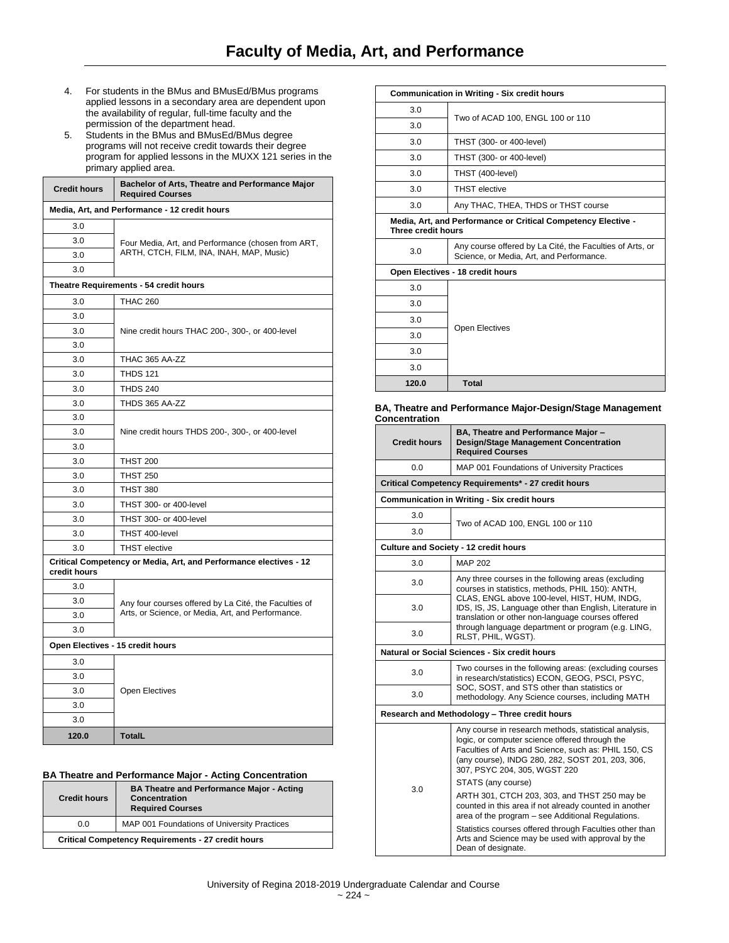- 4. For students in the BMus and BMusEd/BMus programs applied lessons in a secondary area are dependent upon the availability of regular, full-time faculty and the permission of the department head.
- 5. Students in the BMus and BMusEd/BMus degree programs will not receive credit towards their degree program for applied lessons in the MUXX 121 series in the primary applied area.

| <b>Credit hours</b>                                                               | Bachelor of Arts, Theatre and Performance Major<br><b>Required Courses</b>                                 |  |
|-----------------------------------------------------------------------------------|------------------------------------------------------------------------------------------------------------|--|
| Media, Art, and Performance - 12 credit hours                                     |                                                                                                            |  |
| 3.0                                                                               |                                                                                                            |  |
| 3.0                                                                               | Four Media, Art, and Performance (chosen from ART,<br>ARTH, CTCH, FILM, INA, INAH, MAP, Music)             |  |
| 3.0                                                                               |                                                                                                            |  |
| 3.0                                                                               |                                                                                                            |  |
|                                                                                   | Theatre Requirements - 54 credit hours                                                                     |  |
| 3.0                                                                               | <b>THAC 260</b>                                                                                            |  |
| 3.0                                                                               |                                                                                                            |  |
| 3.0                                                                               | Nine credit hours THAC 200-, 300-, or 400-level                                                            |  |
| 3.0                                                                               |                                                                                                            |  |
| 3.0                                                                               | <b>THAC 365 AA-ZZ</b>                                                                                      |  |
| 3.0                                                                               | <b>THDS 121</b>                                                                                            |  |
| 3.0                                                                               | <b>THDS 240</b>                                                                                            |  |
| 3.0                                                                               | THDS 365 AA-ZZ                                                                                             |  |
| 3.0                                                                               |                                                                                                            |  |
| 3.0                                                                               | Nine credit hours THDS 200-, 300-, or 400-level                                                            |  |
| 3.0                                                                               |                                                                                                            |  |
| 3.0                                                                               | <b>THST 200</b>                                                                                            |  |
| 3.0                                                                               | <b>THST 250</b>                                                                                            |  |
| 3.0                                                                               | <b>THST 380</b>                                                                                            |  |
| 3.0                                                                               | THST 300- or 400-level                                                                                     |  |
| 3.0                                                                               | THST 300- or 400-level                                                                                     |  |
| 3.0                                                                               | THST 400-level                                                                                             |  |
| 3.0                                                                               | <b>THST</b> elective                                                                                       |  |
| Critical Competency or Media, Art, and Performance electives - 12<br>credit hours |                                                                                                            |  |
| 3.0                                                                               |                                                                                                            |  |
| 3.0                                                                               | Any four courses offered by La Cité, the Faculties of<br>Arts, or Science, or Media, Art, and Performance. |  |
| 3.0                                                                               |                                                                                                            |  |
| 3.0                                                                               |                                                                                                            |  |
| Open Electives - 15 credit hours                                                  |                                                                                                            |  |
| 3.0                                                                               |                                                                                                            |  |
| 3.0                                                                               |                                                                                                            |  |
| 3.0                                                                               | <b>Open Electives</b>                                                                                      |  |
| 3.0                                                                               |                                                                                                            |  |
| 3.0                                                                               |                                                                                                            |  |
| 120.0                                                                             | <b>TotalL</b>                                                                                              |  |

## **BA Theatre and Performance Major - Acting Concentration**

| <b>Credit hours</b>                                       | <b>BA Theatre and Performance Major - Acting</b><br><b>Concentration</b><br><b>Required Courses</b> |
|-----------------------------------------------------------|-----------------------------------------------------------------------------------------------------|
| 0.0                                                       | MAP 001 Foundations of University Practices                                                         |
| <b>Critical Competency Requirements - 27 credit hours</b> |                                                                                                     |

| <b>Communication in Writing - Six credit hours</b>                                  |                                                                                                      |  |
|-------------------------------------------------------------------------------------|------------------------------------------------------------------------------------------------------|--|
| 3.0                                                                                 | Two of ACAD 100, ENGL 100 or 110                                                                     |  |
| 3.0                                                                                 |                                                                                                      |  |
| 3.0                                                                                 | THST (300- or 400-level)                                                                             |  |
| 3.0                                                                                 | THST (300- or 400-level)                                                                             |  |
| 3.0                                                                                 | THST (400-level)                                                                                     |  |
| 3.0                                                                                 | <b>THST</b> elective                                                                                 |  |
| 3.0                                                                                 | Any THAC, THEA, THDS or THST course                                                                  |  |
| Media, Art, and Performance or Critical Competency Elective -<br>Three credit hours |                                                                                                      |  |
| 3.0                                                                                 | Any course offered by La Cité, the Faculties of Arts, or<br>Science, or Media, Art, and Performance. |  |
| Open Electives - 18 credit hours                                                    |                                                                                                      |  |
| 3.0                                                                                 |                                                                                                      |  |
| 3.0                                                                                 |                                                                                                      |  |
|                                                                                     |                                                                                                      |  |
| 3.0                                                                                 |                                                                                                      |  |
| 3.0                                                                                 | <b>Open Electives</b>                                                                                |  |
| 3.0                                                                                 |                                                                                                      |  |
| 3.0                                                                                 |                                                                                                      |  |

#### **BA, Theatre and Performance Major-Design/Stage Management Concentration**

| <b>Credit hours</b>                           | BA, Theatre and Performance Major -<br><b>Design/Stage Management Concentration</b><br><b>Required Courses</b>                                                                                                                                                          |  |  |
|-----------------------------------------------|-------------------------------------------------------------------------------------------------------------------------------------------------------------------------------------------------------------------------------------------------------------------------|--|--|
| 0.0                                           | MAP 001 Foundations of University Practices                                                                                                                                                                                                                             |  |  |
|                                               | Critical Competency Requirements* - 27 credit hours                                                                                                                                                                                                                     |  |  |
|                                               | <b>Communication in Writing - Six credit hours</b>                                                                                                                                                                                                                      |  |  |
| 3.0                                           | Two of ACAD 100, ENGL 100 or 110                                                                                                                                                                                                                                        |  |  |
| 3.0                                           |                                                                                                                                                                                                                                                                         |  |  |
|                                               | Culture and Society - 12 credit hours                                                                                                                                                                                                                                   |  |  |
| 3.0                                           | <b>MAP 202</b>                                                                                                                                                                                                                                                          |  |  |
| 3.0                                           | Any three courses in the following areas (excluding<br>courses in statistics, methods, PHIL 150): ANTH,<br>CLAS, ENGL above 100-level, HIST, HUM, INDG,<br>IDS, IS, JS, Language other than English, Literature in<br>translation or other non-language courses offered |  |  |
| 3.0                                           |                                                                                                                                                                                                                                                                         |  |  |
| 3.0                                           | through language department or program (e.g. LING,<br>RLST, PHIL, WGST).                                                                                                                                                                                                |  |  |
| Natural or Social Sciences - Six credit hours |                                                                                                                                                                                                                                                                         |  |  |
| 3.0                                           | Two courses in the following areas: (excluding courses<br>in research/statistics) ECON, GEOG, PSCI, PSYC,                                                                                                                                                               |  |  |
| 3.0                                           | SOC, SOST, and STS other than statistics or<br>methodology. Any Science courses, including MATH                                                                                                                                                                         |  |  |
| Research and Methodology - Three credit hours |                                                                                                                                                                                                                                                                         |  |  |
|                                               | Any course in research methods, statistical analysis,<br>logic, or computer science offered through the<br>Faculties of Arts and Science, such as: PHIL 150, CS<br>(any course), INDG 280, 282, SOST 201, 203, 306,<br>307, PSYC 204, 305, WGST 220                     |  |  |
| 3.0                                           | STATS (any course)                                                                                                                                                                                                                                                      |  |  |
|                                               | ARTH 301, CTCH 203, 303, and THST 250 may be<br>counted in this area if not already counted in another<br>area of the program - see Additional Regulations.                                                                                                             |  |  |
|                                               | Statistics courses offered through Faculties other than<br>Arts and Science may be used with approval by the<br>Dean of designate.                                                                                                                                      |  |  |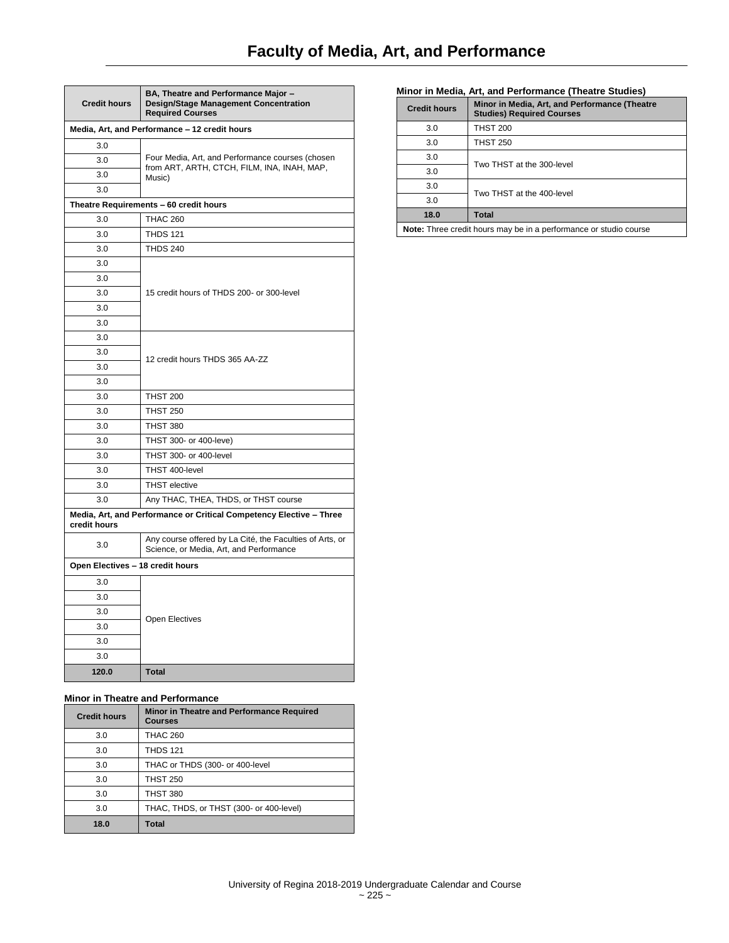| <b>Credit hours</b>                                                                 | BA, Theatre and Performance Major -<br><b>Design/Stage Management Concentration</b><br><b>Required Courses</b> |  |  |
|-------------------------------------------------------------------------------------|----------------------------------------------------------------------------------------------------------------|--|--|
| Media, Art, and Performance - 12 credit hours                                       |                                                                                                                |  |  |
| 3.0                                                                                 |                                                                                                                |  |  |
| 3.0                                                                                 | Four Media, Art, and Performance courses (chosen<br>from ART, ARTH, CTCH, FILM, INA, INAH, MAP,<br>Music)      |  |  |
| 3.0                                                                                 |                                                                                                                |  |  |
| 3.0                                                                                 |                                                                                                                |  |  |
|                                                                                     | Theatre Requirements - 60 credit hours                                                                         |  |  |
| 3.0                                                                                 | <b>THAC 260</b>                                                                                                |  |  |
| 3.0                                                                                 | <b>THDS 121</b>                                                                                                |  |  |
| 3.0                                                                                 | <b>THDS 240</b>                                                                                                |  |  |
| 3.0                                                                                 |                                                                                                                |  |  |
| 3.0                                                                                 |                                                                                                                |  |  |
| 3.0                                                                                 | 15 credit hours of THDS 200- or 300-level                                                                      |  |  |
| 3.0                                                                                 |                                                                                                                |  |  |
| 3.0                                                                                 |                                                                                                                |  |  |
| 3.0                                                                                 |                                                                                                                |  |  |
| 3.0                                                                                 | 12 credit hours THDS 365 AA-ZZ                                                                                 |  |  |
| 3.0                                                                                 |                                                                                                                |  |  |
| 3.0                                                                                 |                                                                                                                |  |  |
| 3.0                                                                                 | <b>THST 200</b>                                                                                                |  |  |
| 3.0                                                                                 | <b>THST 250</b>                                                                                                |  |  |
| 3.0                                                                                 | <b>THST 380</b>                                                                                                |  |  |
| 3.0                                                                                 | THST 300- or 400-leve)                                                                                         |  |  |
| 3.0                                                                                 | THST 300- or 400-level                                                                                         |  |  |
| 3.0                                                                                 | THST 400-level                                                                                                 |  |  |
| 3.0                                                                                 | <b>THST</b> elective                                                                                           |  |  |
| 3.0                                                                                 | Any THAC, THEA, THDS, or THST course                                                                           |  |  |
| Media, Art, and Performance or Critical Competency Elective - Three<br>credit hours |                                                                                                                |  |  |
| 3.0                                                                                 | Any course offered by La Cité, the Faculties of Arts, or<br>Science, or Media, Art, and Performance            |  |  |
| Open Electives - 18 credit hours                                                    |                                                                                                                |  |  |
| 3.0                                                                                 |                                                                                                                |  |  |
| 3.0                                                                                 |                                                                                                                |  |  |
| 3.0                                                                                 |                                                                                                                |  |  |
| 3.0                                                                                 | <b>Open Electives</b>                                                                                          |  |  |
| 3.0                                                                                 |                                                                                                                |  |  |
| 3.0                                                                                 |                                                                                                                |  |  |
| 120.0                                                                               | <b>Total</b>                                                                                                   |  |  |

## **Minor in Theatre and Performance**

| <b>Credit hours</b> | Minor in Theatre and Performance Required<br><b>Courses</b> |
|---------------------|-------------------------------------------------------------|
| 3.0                 | <b>THAC 260</b>                                             |
| 3.0                 | <b>THDS 121</b>                                             |
| 3.0                 | THAC or THDS (300- or 400-level                             |
| 3.0                 | <b>THST 250</b>                                             |
| 3.0                 | <b>THST 380</b>                                             |
| 3.0                 | THAC, THDS, or THST (300- or 400-level)                     |
| 18.0                | <b>Total</b>                                                |

## **Minor in Media, Art, and Performance (Theatre Studies)**

| <b>Credit hours</b>                                               | Minor in Media, Art, and Performance (Theatre<br><b>Studies) Required Courses</b> |
|-------------------------------------------------------------------|-----------------------------------------------------------------------------------|
| 3.0                                                               | <b>THST 200</b>                                                                   |
| 3.0                                                               | <b>THST 250</b>                                                                   |
| 3.0                                                               | Two THST at the 300-level                                                         |
| 3.0                                                               |                                                                                   |
| 3.0                                                               | Two THST at the 400-level                                                         |
| 3.0                                                               |                                                                                   |
| 18.0                                                              | Total                                                                             |
| Note: Three credit hours may be in a performance or studio course |                                                                                   |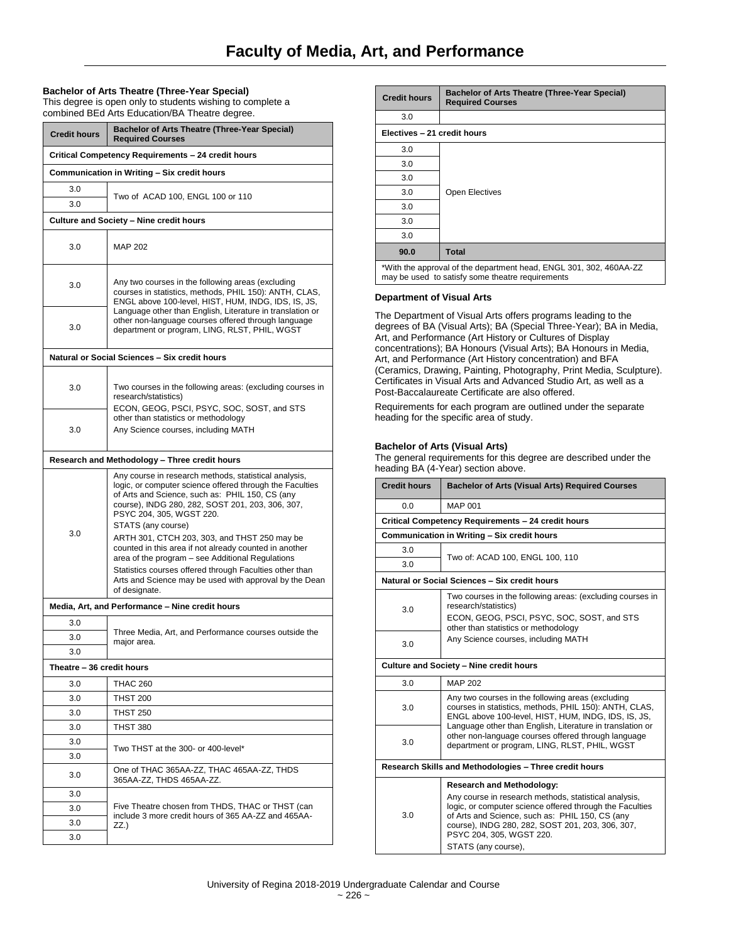## **Bachelor of Arts Theatre (Three-Year Special)**

This degree is open only to students wishing to complete a combined BEd Arts Education/BA Theatre degree.

| <b>Credit hours</b>                                | <b>Bachelor of Arts Theatre (Three-Year Special)</b><br><b>Required Courses</b>                                                                                                                                                                                                                                                                                                                                                                                                                                                                                                |  |  |
|----------------------------------------------------|--------------------------------------------------------------------------------------------------------------------------------------------------------------------------------------------------------------------------------------------------------------------------------------------------------------------------------------------------------------------------------------------------------------------------------------------------------------------------------------------------------------------------------------------------------------------------------|--|--|
| Critical Competency Requirements - 24 credit hours |                                                                                                                                                                                                                                                                                                                                                                                                                                                                                                                                                                                |  |  |
| Communication in Writing - Six credit hours        |                                                                                                                                                                                                                                                                                                                                                                                                                                                                                                                                                                                |  |  |
| 3.0                                                | Two of ACAD 100, ENGL 100 or 110                                                                                                                                                                                                                                                                                                                                                                                                                                                                                                                                               |  |  |
| 3.0                                                |                                                                                                                                                                                                                                                                                                                                                                                                                                                                                                                                                                                |  |  |
|                                                    | Culture and Society - Nine credit hours                                                                                                                                                                                                                                                                                                                                                                                                                                                                                                                                        |  |  |
| 3.0                                                | <b>MAP 202</b>                                                                                                                                                                                                                                                                                                                                                                                                                                                                                                                                                                 |  |  |
| 3.0                                                | Any two courses in the following areas (excluding<br>courses in statistics, methods, PHIL 150): ANTH, CLAS,<br>ENGL above 100-level, HIST, HUM, INDG, IDS, IS, JS,                                                                                                                                                                                                                                                                                                                                                                                                             |  |  |
| 3.0                                                | Language other than English, Literature in translation or<br>other non-language courses offered through language<br>department or program, LING, RLST, PHIL, WGST                                                                                                                                                                                                                                                                                                                                                                                                              |  |  |
|                                                    | Natural or Social Sciences - Six credit hours                                                                                                                                                                                                                                                                                                                                                                                                                                                                                                                                  |  |  |
| 3.0                                                | Two courses in the following areas: (excluding courses in<br>research/statistics)<br>ECON, GEOG, PSCI, PSYC, SOC, SOST, and STS                                                                                                                                                                                                                                                                                                                                                                                                                                                |  |  |
| 3.0                                                | other than statistics or methodology<br>Any Science courses, including MATH                                                                                                                                                                                                                                                                                                                                                                                                                                                                                                    |  |  |
|                                                    | Research and Methodology - Three credit hours                                                                                                                                                                                                                                                                                                                                                                                                                                                                                                                                  |  |  |
| 3.0                                                | Any course in research methods, statistical analysis,<br>logic, or computer science offered through the Faculties<br>of Arts and Science, such as: PHIL 150, CS (any<br>course), INDG 280, 282, SOST 201, 203, 306, 307,<br>PSYC 204, 305, WGST 220.<br>STATS (any course)<br>ARTH 301, CTCH 203, 303, and THST 250 may be<br>counted in this area if not already counted in another<br>area of the program – see Additional Regulations<br>Statistics courses offered through Faculties other than<br>Arts and Science may be used with approval by the Dean<br>of designate. |  |  |
|                                                    | Media, Art, and Performance - Nine credit hours                                                                                                                                                                                                                                                                                                                                                                                                                                                                                                                                |  |  |
| 3.0                                                |                                                                                                                                                                                                                                                                                                                                                                                                                                                                                                                                                                                |  |  |
| 3.0                                                | Three Media, Art, and Performance courses outside the<br>major area.                                                                                                                                                                                                                                                                                                                                                                                                                                                                                                           |  |  |
| 30                                                 |                                                                                                                                                                                                                                                                                                                                                                                                                                                                                                                                                                                |  |  |
| Theatre - 36 credit hours                          |                                                                                                                                                                                                                                                                                                                                                                                                                                                                                                                                                                                |  |  |
| 3.0                                                | <b>THAC 260</b>                                                                                                                                                                                                                                                                                                                                                                                                                                                                                                                                                                |  |  |
| 3.0                                                | THST 200                                                                                                                                                                                                                                                                                                                                                                                                                                                                                                                                                                       |  |  |
| 3.0                                                | <b>THST 250</b>                                                                                                                                                                                                                                                                                                                                                                                                                                                                                                                                                                |  |  |
| 3.0                                                | <b>THST 380</b>                                                                                                                                                                                                                                                                                                                                                                                                                                                                                                                                                                |  |  |
| 3.0                                                | Two THST at the 300- or 400-level*                                                                                                                                                                                                                                                                                                                                                                                                                                                                                                                                             |  |  |
| 3.0                                                |                                                                                                                                                                                                                                                                                                                                                                                                                                                                                                                                                                                |  |  |
| 3.0                                                | One of THAC 365AA-ZZ, THAC 465AA-ZZ, THDS<br>365AA-ZZ. THDS 465AA-ZZ.                                                                                                                                                                                                                                                                                                                                                                                                                                                                                                          |  |  |
| 3.0                                                |                                                                                                                                                                                                                                                                                                                                                                                                                                                                                                                                                                                |  |  |
| 3.0                                                | Five Theatre chosen from THDS, THAC or THST (can<br>include 3 more credit hours of 365 AA-ZZ and 465AA-                                                                                                                                                                                                                                                                                                                                                                                                                                                                        |  |  |
| 3.0                                                | ZZ.)                                                                                                                                                                                                                                                                                                                                                                                                                                                                                                                                                                           |  |  |
| 3.0                                                |                                                                                                                                                                                                                                                                                                                                                                                                                                                                                                                                                                                |  |  |

| <b>Credit hours</b>         | <b>Bachelor of Arts Theatre (Three-Year Special)</b><br><b>Required Courses</b> |  |
|-----------------------------|---------------------------------------------------------------------------------|--|
| 3.0                         |                                                                                 |  |
| Electives - 21 credit hours |                                                                                 |  |
| 3.0                         |                                                                                 |  |
| 3.0                         |                                                                                 |  |
| 3.0                         |                                                                                 |  |
| 3.0                         | Open Electives                                                                  |  |
| 3.0                         |                                                                                 |  |
| 3.0                         |                                                                                 |  |
| 3.0                         |                                                                                 |  |
| 90.0                        | <b>Total</b>                                                                    |  |

\*With the approval of the department head, ENGL 301, 302, 460AA-ZZ may be used to satisfy some theatre requirements

#### **Department of Visual Arts**

The Department of Visual Arts offers programs leading to the degrees of BA (Visual Arts); BA (Special Three-Year); BA in Media, Art, and Performance (Art History or Cultures of Display concentrations); BA Honours (Visual Arts); BA Honours in Media, Art, and Performance (Art History concentration) and BFA (Ceramics, Drawing, Painting, Photography, Print Media, Sculpture). Certificates in Visual Arts and Advanced Studio Art, as well as a Post-Baccalaureate Certificate are also offered.

Requirements for each program are outlined under the separate heading for the specific area of study.

## **Bachelor of Arts (Visual Arts)**

The general requirements for this degree are described under the heading BA (4-Year) section above.

| <b>Bachelor of Arts (Visual Arts) Required Courses</b>                                                                                                                                                                                                                      |  |  |
|-----------------------------------------------------------------------------------------------------------------------------------------------------------------------------------------------------------------------------------------------------------------------------|--|--|
| <b>MAP 001</b>                                                                                                                                                                                                                                                              |  |  |
| Critical Competency Requirements - 24 credit hours                                                                                                                                                                                                                          |  |  |
| Communication in Writing - Six credit hours                                                                                                                                                                                                                                 |  |  |
| Two of: ACAD 100, ENGL 100, 110                                                                                                                                                                                                                                             |  |  |
|                                                                                                                                                                                                                                                                             |  |  |
| Natural or Social Sciences - Six credit hours                                                                                                                                                                                                                               |  |  |
| Two courses in the following areas: (excluding courses in<br>research/statistics)                                                                                                                                                                                           |  |  |
| ECON, GEOG, PSCI, PSYC, SOC, SOST, and STS<br>other than statistics or methodology                                                                                                                                                                                          |  |  |
| Any Science courses, including MATH                                                                                                                                                                                                                                         |  |  |
| Culture and Society - Nine credit hours                                                                                                                                                                                                                                     |  |  |
| <b>MAP 202</b>                                                                                                                                                                                                                                                              |  |  |
| Any two courses in the following areas (excluding<br>courses in statistics, methods, PHIL 150): ANTH, CLAS,<br>ENGL above 100-level, HIST, HUM, INDG, IDS, IS, JS,                                                                                                          |  |  |
| Language other than English, Literature in translation or<br>other non-language courses offered through language<br>department or program, LING, RLST, PHIL, WGST                                                                                                           |  |  |
| Research Skills and Methodologies - Three credit hours                                                                                                                                                                                                                      |  |  |
| <b>Research and Methodology:</b>                                                                                                                                                                                                                                            |  |  |
| Any course in research methods, statistical analysis,<br>logic, or computer science offered through the Faculties<br>of Arts and Science, such as: PHIL 150, CS (any<br>course), INDG 280, 282, SOST 201, 203, 306, 307,<br>PSYC 204, 305, WGST 220.<br>STATS (any course), |  |  |
|                                                                                                                                                                                                                                                                             |  |  |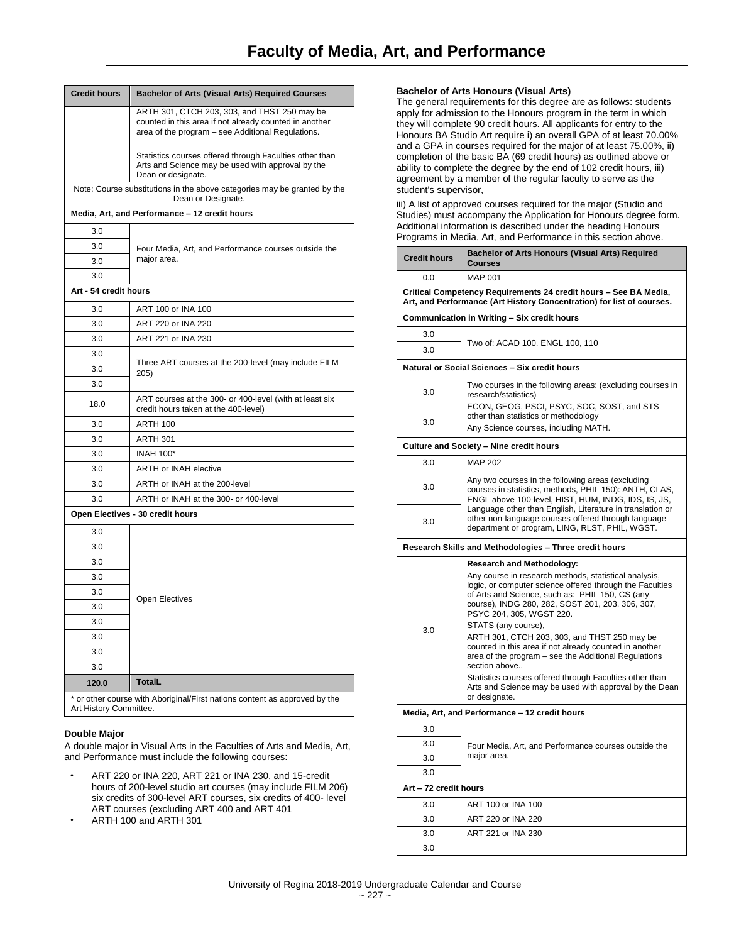| <b>Credit hours</b>   | <b>Bachelor of Arts (Visual Arts) Required Courses</b>                                                                                                      |
|-----------------------|-------------------------------------------------------------------------------------------------------------------------------------------------------------|
|                       | ARTH 301, CTCH 203, 303, and THST 250 may be<br>counted in this area if not already counted in another<br>area of the program - see Additional Regulations. |
|                       | Statistics courses offered through Faculties other than<br>Arts and Science may be used with approval by the<br>Dean or designate.                          |
|                       | Note: Course substitutions in the above categories may be granted by the<br>Dean or Designate.                                                              |
|                       | Media, Art, and Performance - 12 credit hours                                                                                                               |
| 3.0                   |                                                                                                                                                             |
| 3.0                   | Four Media, Art, and Performance courses outside the                                                                                                        |
| 3.0                   | major area.                                                                                                                                                 |
| 3.0                   |                                                                                                                                                             |
| Art - 54 credit hours |                                                                                                                                                             |
| 3.0                   | ART 100 or INA 100                                                                                                                                          |
| 3.0                   | ART 220 or INA 220                                                                                                                                          |
| 3.0                   | ART 221 or INA 230                                                                                                                                          |
| 3.0                   |                                                                                                                                                             |
| 3.0                   | Three ART courses at the 200-level (may include FILM<br>205)                                                                                                |
| 3.0                   |                                                                                                                                                             |
| 18.0                  | ART courses at the 300- or 400-level (with at least six<br>credit hours taken at the 400-level)                                                             |
| 3.0                   | <b>ARTH 100</b>                                                                                                                                             |
| 3.0                   | <b>ARTH 301</b>                                                                                                                                             |
| 3.0                   | <b>INAH 100*</b>                                                                                                                                            |
| 3.0                   | <b>ARTH or INAH elective</b>                                                                                                                                |
| 3.0                   | ARTH or INAH at the 200-level                                                                                                                               |
| 3.0                   | ARTH or INAH at the 300- or 400-level                                                                                                                       |
|                       | Open Electives - 30 credit hours                                                                                                                            |
| 3.0                   |                                                                                                                                                             |
| 3.0                   |                                                                                                                                                             |
| 3.0                   |                                                                                                                                                             |
| 3.0                   |                                                                                                                                                             |
| 3.0                   | Open Electives                                                                                                                                              |
| 3.0                   |                                                                                                                                                             |
| 3.0                   |                                                                                                                                                             |
| 3.0                   |                                                                                                                                                             |
| 3.0                   |                                                                                                                                                             |
| 3.0                   |                                                                                                                                                             |
| 120.0                 | <b>TotalL</b>                                                                                                                                               |
|                       | * or other course with Aboriginal/First nations content as approved by the                                                                                  |

Art History Committee.

## **Double Major**

A double major in Visual Arts in the Faculties of Arts and Media, Art, and Performance must include the following courses:

- ART 220 or INA 220, ART 221 or INA 230, and 15-credit hours of 200-level studio art courses (may include FILM 206) six credits of 300-level ART courses, six credits of 400- level ART courses (excluding ART 400 and ART 401
- ARTH 100 and ARTH 301

## **Bachelor of Arts Honours (Visual Arts)**

The general requirements for this degree are as follows: students apply for admission to the Honours program in the term in which they will complete 90 credit hours. All applicants for entry to the Honours BA Studio Art require i) an overall GPA of at least 70.00% and a GPA in courses required for the major of at least 75.00%, ii) completion of the basic BA (69 credit hours) as outlined above or ability to complete the degree by the end of 102 credit hours, iii) agreement by a member of the regular faculty to serve as the student's supervisor,

iii) A list of approved courses required for the major (Studio and Studies) must accompany the Application for Honours degree form. Additional information is described under the heading Honours Programs in Media, Art, and Performance in this section above.

| <b>Credit hours</b>                                                                                                                       | <b>Bachelor of Arts Honours (Visual Arts) Required</b><br>Courses                                                                                                                                                                                    |  |
|-------------------------------------------------------------------------------------------------------------------------------------------|------------------------------------------------------------------------------------------------------------------------------------------------------------------------------------------------------------------------------------------------------|--|
| 0.0                                                                                                                                       | <b>MAP 001</b>                                                                                                                                                                                                                                       |  |
| Critical Competency Requirements 24 credit hours - See BA Media,<br>Art, and Performance (Art History Concentration) for list of courses. |                                                                                                                                                                                                                                                      |  |
|                                                                                                                                           | Communication in Writing - Six credit hours                                                                                                                                                                                                          |  |
| 3.0                                                                                                                                       |                                                                                                                                                                                                                                                      |  |
| 3.0                                                                                                                                       | Two of: ACAD 100, ENGL 100, 110                                                                                                                                                                                                                      |  |
|                                                                                                                                           | Natural or Social Sciences - Six credit hours                                                                                                                                                                                                        |  |
| 3.0                                                                                                                                       | Two courses in the following areas: (excluding courses in<br>research/statistics)<br>ECON, GEOG, PSCI, PSYC, SOC, SOST, and STS                                                                                                                      |  |
| 3.0                                                                                                                                       | other than statistics or methodology<br>Any Science courses, including MATH.                                                                                                                                                                         |  |
|                                                                                                                                           | Culture and Society - Nine credit hours                                                                                                                                                                                                              |  |
| 3.0                                                                                                                                       | <b>MAP 202</b>                                                                                                                                                                                                                                       |  |
| 3.0                                                                                                                                       | Any two courses in the following areas (excluding<br>courses in statistics, methods, PHIL 150): ANTH, CLAS,<br>ENGL above 100-level, HIST, HUM, INDG, IDS, IS, JS,                                                                                   |  |
| 3.0                                                                                                                                       | Language other than English, Literature in translation or<br>other non-language courses offered through language<br>department or program, LING, RLST, PHIL, WGST.                                                                                   |  |
|                                                                                                                                           | Research Skills and Methodologies - Three credit hours                                                                                                                                                                                               |  |
|                                                                                                                                           | <b>Research and Methodology:</b>                                                                                                                                                                                                                     |  |
|                                                                                                                                           | Any course in research methods, statistical analysis,<br>logic, or computer science offered through the Faculties<br>of Arts and Science, such as: PHIL 150, CS (any<br>course), INDG 280, 282, SOST 201, 203, 306, 307,<br>PSYC 204, 305, WGST 220. |  |
| 3.0                                                                                                                                       | STATS (any course),                                                                                                                                                                                                                                  |  |
|                                                                                                                                           | ARTH 301, CTCH 203, 303, and THST 250 may be<br>counted in this area if not already counted in another<br>area of the program – see the Additional Regulations<br>section above                                                                      |  |
|                                                                                                                                           | Statistics courses offered through Faculties other than<br>Arts and Science may be used with approval by the Dean<br>or designate.                                                                                                                   |  |
|                                                                                                                                           | Media, Art, and Performance - 12 credit hours                                                                                                                                                                                                        |  |
| 3.0                                                                                                                                       |                                                                                                                                                                                                                                                      |  |
| 3.0                                                                                                                                       | Four Media, Art, and Performance courses outside the                                                                                                                                                                                                 |  |
| 3.0                                                                                                                                       | major area.                                                                                                                                                                                                                                          |  |
| 3.0                                                                                                                                       |                                                                                                                                                                                                                                                      |  |
| Art - 72 credit hours                                                                                                                     |                                                                                                                                                                                                                                                      |  |
| 3.0                                                                                                                                       | ART 100 or INA 100                                                                                                                                                                                                                                   |  |
| 3.0                                                                                                                                       | ART 220 or INA 220                                                                                                                                                                                                                                   |  |
| 3.0                                                                                                                                       | ART 221 or INA 230                                                                                                                                                                                                                                   |  |
| 3.0                                                                                                                                       |                                                                                                                                                                                                                                                      |  |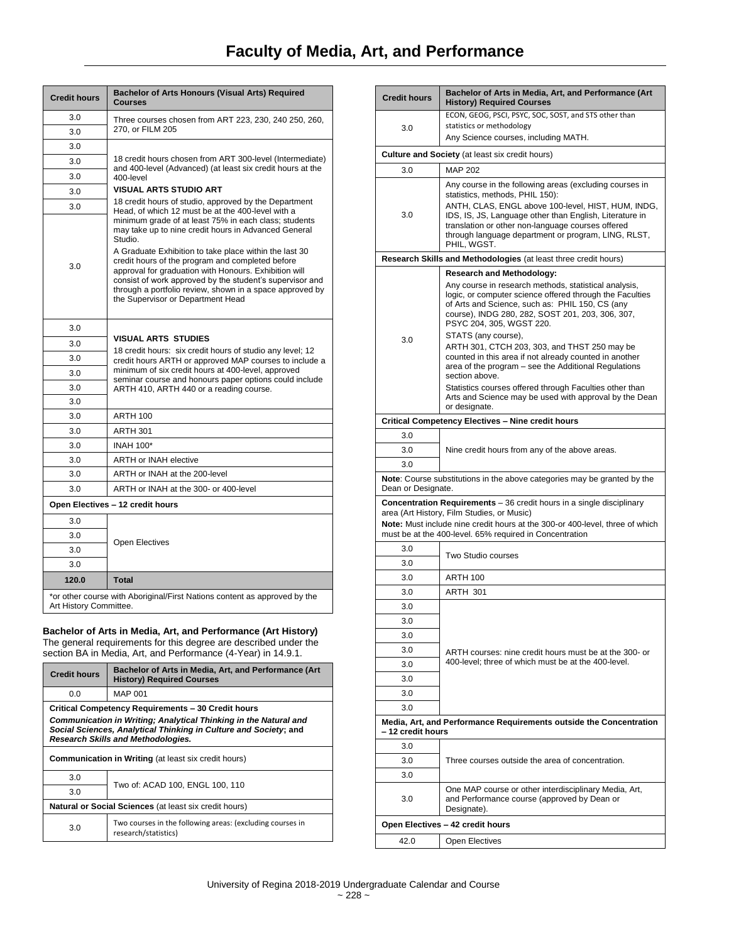| <b>Credit hours</b>              | Bachelor of Arts Honours (Visual Arts) Required<br><b>Courses</b>                                                                                                                                                                                                                                                                                                                                                                                            |  |
|----------------------------------|--------------------------------------------------------------------------------------------------------------------------------------------------------------------------------------------------------------------------------------------------------------------------------------------------------------------------------------------------------------------------------------------------------------------------------------------------------------|--|
| 3.0                              | Three courses chosen from ART 223, 230, 240 250, 260,                                                                                                                                                                                                                                                                                                                                                                                                        |  |
| 3.0                              | 270. or FILM 205                                                                                                                                                                                                                                                                                                                                                                                                                                             |  |
| 3.0                              |                                                                                                                                                                                                                                                                                                                                                                                                                                                              |  |
| 3.0                              | 18 credit hours chosen from ART 300-level (Intermediate)<br>and 400-level (Advanced) (at least six credit hours at the                                                                                                                                                                                                                                                                                                                                       |  |
| 3.0                              | 400-level                                                                                                                                                                                                                                                                                                                                                                                                                                                    |  |
| 3.0                              | <b>VISUAL ARTS STUDIO ART</b>                                                                                                                                                                                                                                                                                                                                                                                                                                |  |
| 3.0                              | 18 credit hours of studio, approved by the Department<br>Head, of which 12 must be at the 400-level with a                                                                                                                                                                                                                                                                                                                                                   |  |
| 3.0                              | minimum grade of at least 75% in each class; students<br>may take up to nine credit hours in Advanced General<br>Studio.<br>A Graduate Exhibition to take place within the last 30<br>credit hours of the program and completed before<br>approval for graduation with Honours. Exhibition will<br>consist of work approved by the student's supervisor and<br>through a portfolio review, shown in a space approved by<br>the Supervisor or Department Head |  |
| 3.0                              |                                                                                                                                                                                                                                                                                                                                                                                                                                                              |  |
| 3.0                              | <b>VISUAL ARTS STUDIES</b>                                                                                                                                                                                                                                                                                                                                                                                                                                   |  |
| 3.0                              | 18 credit hours: six credit hours of studio any level; 12<br>credit hours ARTH or approved MAP courses to include a                                                                                                                                                                                                                                                                                                                                          |  |
| 3.0                              | minimum of six credit hours at 400-level, approved<br>seminar course and honours paper options could include<br>ARTH 410, ARTH 440 or a reading course.                                                                                                                                                                                                                                                                                                      |  |
| 3.0                              |                                                                                                                                                                                                                                                                                                                                                                                                                                                              |  |
| 3.0                              |                                                                                                                                                                                                                                                                                                                                                                                                                                                              |  |
| 3.0                              | <b>ARTH 100</b>                                                                                                                                                                                                                                                                                                                                                                                                                                              |  |
| 3.0                              | <b>ARTH 301</b>                                                                                                                                                                                                                                                                                                                                                                                                                                              |  |
| 3.0                              | <b>INAH 100*</b>                                                                                                                                                                                                                                                                                                                                                                                                                                             |  |
| 3.0                              | <b>ARTH or INAH elective</b>                                                                                                                                                                                                                                                                                                                                                                                                                                 |  |
| 3.0                              | ARTH or INAH at the 200-level                                                                                                                                                                                                                                                                                                                                                                                                                                |  |
| 3.0                              | ARTH or INAH at the 300- or 400-level                                                                                                                                                                                                                                                                                                                                                                                                                        |  |
| Open Electives - 12 credit hours |                                                                                                                                                                                                                                                                                                                                                                                                                                                              |  |
| 3.0                              |                                                                                                                                                                                                                                                                                                                                                                                                                                                              |  |
| 3.0                              | <b>Open Electives</b>                                                                                                                                                                                                                                                                                                                                                                                                                                        |  |
| 3.0                              |                                                                                                                                                                                                                                                                                                                                                                                                                                                              |  |
| 3.0                              |                                                                                                                                                                                                                                                                                                                                                                                                                                                              |  |
| 120.0                            | <b>Total</b>                                                                                                                                                                                                                                                                                                                                                                                                                                                 |  |
| Art History Committee.           | *or other course with Aboriginal/First Nations content as approved by the                                                                                                                                                                                                                                                                                                                                                                                    |  |

# **Bachelor of Arts in Media, Art, and Performance (Art History)**

The general requirements for this degree are described under the section BA in Media, Art, and Performance (4-Year) in 14.9.1.

| <b>Credit hours</b>                                                                                                                                                               | Bachelor of Arts in Media, Art, and Performance (Art<br><b>History) Required Courses</b> |
|-----------------------------------------------------------------------------------------------------------------------------------------------------------------------------------|------------------------------------------------------------------------------------------|
| 0.0                                                                                                                                                                               | <b>MAP 001</b>                                                                           |
| Critical Competency Requirements - 30 Credit hours                                                                                                                                |                                                                                          |
| Communication in Writing; Analytical Thinking in the Natural and<br>Social Sciences, Analytical Thinking in Culture and Society; and<br><b>Research Skills and Methodologies.</b> |                                                                                          |
| <b>Communication in Writing (at least six credit hours)</b>                                                                                                                       |                                                                                          |
| 3.0                                                                                                                                                                               | Two of: ACAD 100, ENGL 100, 110                                                          |
| 3.0                                                                                                                                                                               |                                                                                          |
| Natural or Social Sciences (at least six credit hours)                                                                                                                            |                                                                                          |
| 3.0                                                                                                                                                                               | Two courses in the following areas: (excluding courses in<br>research/statistics)        |

| <b>Credit hours</b>              | Bachelor of Arts in Media, Art, and Performance (Art<br><b>History) Required Courses</b>                                                                                                                                                             |
|----------------------------------|------------------------------------------------------------------------------------------------------------------------------------------------------------------------------------------------------------------------------------------------------|
|                                  | ECON, GEOG, PSCI, PSYC, SOC, SOST, and STS other than                                                                                                                                                                                                |
| 3.0                              | statistics or methodology<br>Any Science courses, including MATH.                                                                                                                                                                                    |
|                                  |                                                                                                                                                                                                                                                      |
|                                  | Culture and Society (at least six credit hours)                                                                                                                                                                                                      |
| 3.0                              | <b>MAP 202</b>                                                                                                                                                                                                                                       |
|                                  | Any course in the following areas (excluding courses in<br>statistics, methods, PHIL 150):                                                                                                                                                           |
| 3.0                              | ANTH, CLAS, ENGL above 100-level, HIST, HUM, INDG,<br>IDS, IS, JS, Language other than English, Literature in<br>translation or other non-language courses offered<br>through language department or program, LING, RLST,<br>PHIL, WGST.             |
|                                  | Research Skills and Methodologies (at least three credit hours)                                                                                                                                                                                      |
|                                  | <b>Research and Methodology:</b>                                                                                                                                                                                                                     |
|                                  | Any course in research methods, statistical analysis,<br>logic, or computer science offered through the Faculties<br>of Arts and Science, such as: PHIL 150, CS (any<br>course), INDG 280, 282, SOST 201, 203, 306, 307,<br>PSYC 204, 305, WGST 220. |
| 3.0                              | STATS (any course),                                                                                                                                                                                                                                  |
|                                  | ARTH 301, CTCH 203, 303, and THST 250 may be<br>counted in this area if not already counted in another<br>area of the program - see the Additional Regulations<br>section above.                                                                     |
|                                  | Statistics courses offered through Faculties other than<br>Arts and Science may be used with approval by the Dean<br>or designate.                                                                                                                   |
|                                  | Critical Competency Electives - Nine credit hours                                                                                                                                                                                                    |
| 3.0                              |                                                                                                                                                                                                                                                      |
| 3.0                              | Nine credit hours from any of the above areas.                                                                                                                                                                                                       |
| 3.0                              |                                                                                                                                                                                                                                                      |
| Dean or Designate.               | Note: Course substitutions in the above categories may be granted by the                                                                                                                                                                             |
|                                  | <b>Concentration Requirements</b> - 36 credit hours in a single disciplinary                                                                                                                                                                         |
|                                  | area (Art History, Film Studies, or Music)<br>Note: Must include nine credit hours at the 300-or 400-level, three of which<br>must be at the 400-level. 65% required in Concentration                                                                |
| 3.0                              |                                                                                                                                                                                                                                                      |
| 3.0                              | Two Studio courses                                                                                                                                                                                                                                   |
| 3.0                              | ARTH 100                                                                                                                                                                                                                                             |
| 3.0                              | ARTH 301                                                                                                                                                                                                                                             |
| 3.0                              |                                                                                                                                                                                                                                                      |
| 3.0                              |                                                                                                                                                                                                                                                      |
| 3.0                              |                                                                                                                                                                                                                                                      |
| 3.0                              | ARTH courses: nine credit hours must be at the 300- or                                                                                                                                                                                               |
| 3.0                              | 400-level; three of which must be at the 400-level.                                                                                                                                                                                                  |
| 3.0                              |                                                                                                                                                                                                                                                      |
| 3.0                              |                                                                                                                                                                                                                                                      |
| 3.0                              |                                                                                                                                                                                                                                                      |
| - 12 credit hours                | Media, Art, and Performance Requirements outside the Concentration                                                                                                                                                                                   |
| 3.0                              |                                                                                                                                                                                                                                                      |
| 3.0                              | Three courses outside the area of concentration.                                                                                                                                                                                                     |
| 3.0                              |                                                                                                                                                                                                                                                      |
| 3.0                              | One MAP course or other interdisciplinary Media, Art,<br>and Performance course (approved by Dean or<br>Designate).                                                                                                                                  |
| Open Electives - 42 credit hours |                                                                                                                                                                                                                                                      |
| 42.0                             | <b>Open Electives</b>                                                                                                                                                                                                                                |
|                                  |                                                                                                                                                                                                                                                      |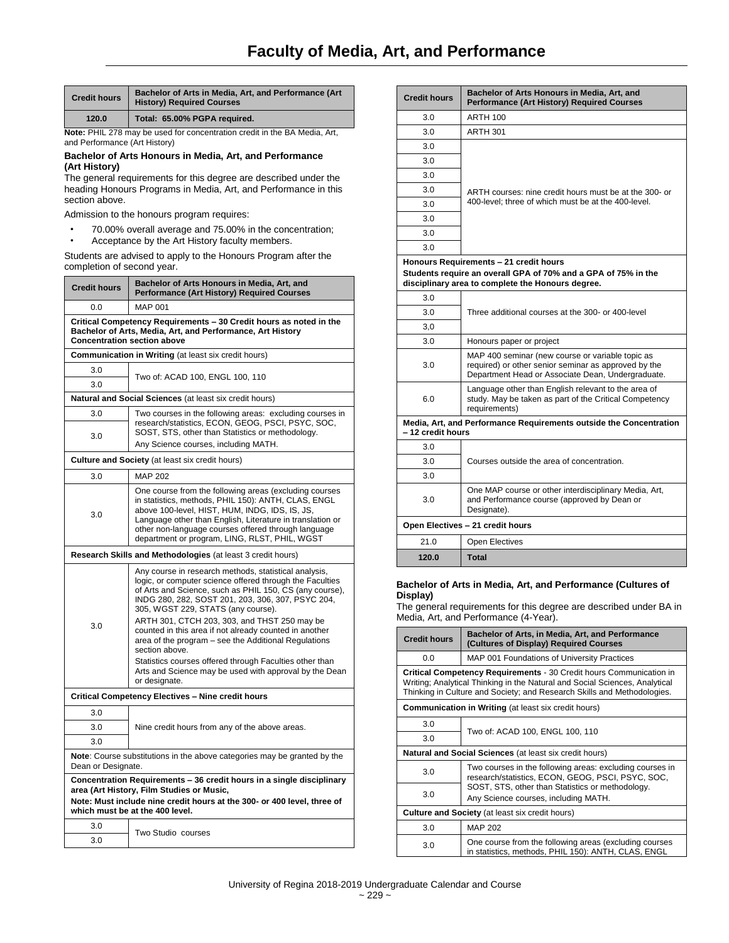| <b>Credit hours</b> | Bachelor of Arts in Media, Art, and Performance (Art<br><b>History) Required Courses</b> |
|---------------------|------------------------------------------------------------------------------------------|
| 120.0               | Total: 65.00% PGPA required.                                                             |

**Note:** PHIL 278 may be used for concentration credit in the BA Media, Art, and Performance (Art History)

#### **Bachelor of Arts Honours in Media, Art, and Performance (Art History)**

The general requirements for this degree are described under the heading Honours Programs in Media, Art, and Performance in this section above.

Admission to the honours program requires:

- 70.00% overall average and 75.00% in the concentration;<br>• Accentance by the Art History faculty members
- Acceptance by the Art History faculty members.

Students are advised to apply to the Honours Program after the completion of second year.

| <b>Credit hours</b>                                                                                                                                                                                                              | Bachelor of Arts Honours in Media, Art, and<br><b>Performance (Art History) Required Courses</b>                                                                                                                                                                                                                                                                                                                                          |  |
|----------------------------------------------------------------------------------------------------------------------------------------------------------------------------------------------------------------------------------|-------------------------------------------------------------------------------------------------------------------------------------------------------------------------------------------------------------------------------------------------------------------------------------------------------------------------------------------------------------------------------------------------------------------------------------------|--|
| 0.0                                                                                                                                                                                                                              | <b>MAP 001</b>                                                                                                                                                                                                                                                                                                                                                                                                                            |  |
| Critical Competency Requirements - 30 Credit hours as noted in the<br>Bachelor of Arts, Media, Art, and Performance, Art History<br><b>Concentration section above</b>                                                           |                                                                                                                                                                                                                                                                                                                                                                                                                                           |  |
|                                                                                                                                                                                                                                  | <b>Communication in Writing (at least six credit hours)</b>                                                                                                                                                                                                                                                                                                                                                                               |  |
| 3.0                                                                                                                                                                                                                              | Two of: ACAD 100, ENGL 100, 110                                                                                                                                                                                                                                                                                                                                                                                                           |  |
| 3.0                                                                                                                                                                                                                              |                                                                                                                                                                                                                                                                                                                                                                                                                                           |  |
|                                                                                                                                                                                                                                  | <b>Natural and Social Sciences</b> (at least six credit hours)                                                                                                                                                                                                                                                                                                                                                                            |  |
| 3.0<br>3.0                                                                                                                                                                                                                       | Two courses in the following areas: excluding courses in<br>research/statistics, ECON, GEOG, PSCI, PSYC, SOC,<br>SOST, STS, other than Statistics or methodology.                                                                                                                                                                                                                                                                         |  |
|                                                                                                                                                                                                                                  | Any Science courses, including MATH.                                                                                                                                                                                                                                                                                                                                                                                                      |  |
|                                                                                                                                                                                                                                  | <b>Culture and Society (at least six credit hours)</b>                                                                                                                                                                                                                                                                                                                                                                                    |  |
| 3.0                                                                                                                                                                                                                              | <b>MAP 202</b>                                                                                                                                                                                                                                                                                                                                                                                                                            |  |
| 3.0                                                                                                                                                                                                                              | One course from the following areas (excluding courses<br>in statistics, methods, PHIL 150): ANTH, CLAS, ENGL<br>above 100-level, HIST, HUM, INDG, IDS, IS, JS,<br>Language other than English, Literature in translation or<br>other non-language courses offered through language<br>department or program, LING, RLST, PHIL, WGST                                                                                                      |  |
|                                                                                                                                                                                                                                  | Research Skills and Methodologies (at least 3 credit hours)                                                                                                                                                                                                                                                                                                                                                                               |  |
| 3.0                                                                                                                                                                                                                              | Any course in research methods, statistical analysis,<br>logic, or computer science offered through the Faculties<br>of Arts and Science, such as PHIL 150, CS (any course),<br>INDG 280, 282, SOST 201, 203, 306, 307, PSYC 204,<br>305, WGST 229, STATS (any course).<br>ARTH 301, CTCH 203, 303, and THST 250 may be<br>counted in this area if not already counted in another<br>area of the program - see the Additional Regulations |  |
|                                                                                                                                                                                                                                  | section above.<br>Statistics courses offered through Faculties other than<br>Arts and Science may be used with approval by the Dean<br>or designate.                                                                                                                                                                                                                                                                                      |  |
|                                                                                                                                                                                                                                  | Critical Competency Electives - Nine credit hours                                                                                                                                                                                                                                                                                                                                                                                         |  |
| 3.0                                                                                                                                                                                                                              |                                                                                                                                                                                                                                                                                                                                                                                                                                           |  |
| 3.0                                                                                                                                                                                                                              | Nine credit hours from any of the above areas.                                                                                                                                                                                                                                                                                                                                                                                            |  |
| 3.0                                                                                                                                                                                                                              |                                                                                                                                                                                                                                                                                                                                                                                                                                           |  |
| Note: Course substitutions in the above categories may be granted by the<br>Dean or Designate.                                                                                                                                   |                                                                                                                                                                                                                                                                                                                                                                                                                                           |  |
| Concentration Requirements - 36 credit hours in a single disciplinary<br>area (Art History, Film Studies or Music,<br>Note: Must include nine credit hours at the 300- or 400 level, three of<br>which must be at the 400 level. |                                                                                                                                                                                                                                                                                                                                                                                                                                           |  |
|                                                                                                                                                                                                                                  |                                                                                                                                                                                                                                                                                                                                                                                                                                           |  |
| 3.0                                                                                                                                                                                                                              | Two Studio courses                                                                                                                                                                                                                                                                                                                                                                                                                        |  |
| 3.0                                                                                                                                                                                                                              |                                                                                                                                                                                                                                                                                                                                                                                                                                           |  |

| <b>Credit hours</b>                                                                                                                                           | Bachelor of Arts Honours in Media, Art, and<br><b>Performance (Art History) Required Courses</b>                                                              |  |
|---------------------------------------------------------------------------------------------------------------------------------------------------------------|---------------------------------------------------------------------------------------------------------------------------------------------------------------|--|
| 3.0                                                                                                                                                           | <b>ARTH 100</b>                                                                                                                                               |  |
| 3.0                                                                                                                                                           | <b>ARTH 301</b>                                                                                                                                               |  |
| 3.0                                                                                                                                                           |                                                                                                                                                               |  |
| 3.0                                                                                                                                                           |                                                                                                                                                               |  |
| 3.0                                                                                                                                                           |                                                                                                                                                               |  |
| 3.0                                                                                                                                                           | ARTH courses: nine credit hours must be at the 300- or                                                                                                        |  |
| 3.0                                                                                                                                                           | 400-level; three of which must be at the 400-level.                                                                                                           |  |
| 3.0                                                                                                                                                           |                                                                                                                                                               |  |
| 3.0                                                                                                                                                           |                                                                                                                                                               |  |
| 3.0                                                                                                                                                           |                                                                                                                                                               |  |
| Honours Requirements - 21 credit hours<br>Students require an overall GPA of 70% and a GPA of 75% in the<br>disciplinary area to complete the Honours degree. |                                                                                                                                                               |  |
| 3.0                                                                                                                                                           |                                                                                                                                                               |  |
| 3.0                                                                                                                                                           | Three additional courses at the 300- or 400-level                                                                                                             |  |
| 3,0                                                                                                                                                           |                                                                                                                                                               |  |
| 3.0                                                                                                                                                           | Honours paper or project                                                                                                                                      |  |
| 3.0                                                                                                                                                           | MAP 400 seminar (new course or variable topic as<br>required) or other senior seminar as approved by the<br>Department Head or Associate Dean, Undergraduate. |  |
| 6.0                                                                                                                                                           | Language other than English relevant to the area of<br>study. May be taken as part of the Critical Competency<br>requirements)                                |  |
| Media, Art, and Performance Requirements outside the Concentration<br>- 12 credit hours                                                                       |                                                                                                                                                               |  |
| 3.0                                                                                                                                                           |                                                                                                                                                               |  |
| 3.0                                                                                                                                                           | Courses outside the area of concentration.                                                                                                                    |  |
| 3.0                                                                                                                                                           |                                                                                                                                                               |  |
| 3.0                                                                                                                                                           | One MAP course or other interdisciplinary Media, Art,<br>and Performance course (approved by Dean or<br>Designate).                                           |  |
|                                                                                                                                                               | Open Electives - 21 credit hours                                                                                                                              |  |
| 21.0                                                                                                                                                          | <b>Open Electives</b>                                                                                                                                         |  |
| 120.0                                                                                                                                                         | <b>Total</b>                                                                                                                                                  |  |

## **Bachelor of Arts in Media, Art, and Performance (Cultures of Display)**

The general requirements for this degree are described under BA in Media, Art, and Performance (4-Year).

| <b>Credit hours</b>                                                                                                                                                                                                           | Bachelor of Arts, in Media, Art, and Performance<br>(Cultures of Display) Required Courses                    |  |
|-------------------------------------------------------------------------------------------------------------------------------------------------------------------------------------------------------------------------------|---------------------------------------------------------------------------------------------------------------|--|
| 0.0                                                                                                                                                                                                                           | MAP 001 Foundations of University Practices                                                                   |  |
| Critical Competency Requirements - 30 Credit hours Communication in<br>Writing; Analytical Thinking in the Natural and Social Sciences, Analytical<br>Thinking in Culture and Society; and Research Skills and Methodologies. |                                                                                                               |  |
| <b>Communication in Writing (at least six credit hours)</b>                                                                                                                                                                   |                                                                                                               |  |
| 3.0                                                                                                                                                                                                                           |                                                                                                               |  |
| 3.0                                                                                                                                                                                                                           | Two of: ACAD 100, ENGL 100, 110                                                                               |  |
| Natural and Social Sciences (at least six credit hours)                                                                                                                                                                       |                                                                                                               |  |
| 3.0                                                                                                                                                                                                                           | Two courses in the following areas: excluding courses in<br>research/statistics, ECON, GEOG, PSCI, PSYC, SOC, |  |
| 3.0                                                                                                                                                                                                                           | SOST, STS, other than Statistics or methodology.<br>Any Science courses, including MATH.                      |  |
| <b>Culture and Society (at least six credit hours)</b>                                                                                                                                                                        |                                                                                                               |  |
| 3.0                                                                                                                                                                                                                           | <b>MAP 202</b>                                                                                                |  |
| 3.0                                                                                                                                                                                                                           | One course from the following areas (excluding courses<br>in statistics, methods, PHIL 150): ANTH, CLAS, ENGL |  |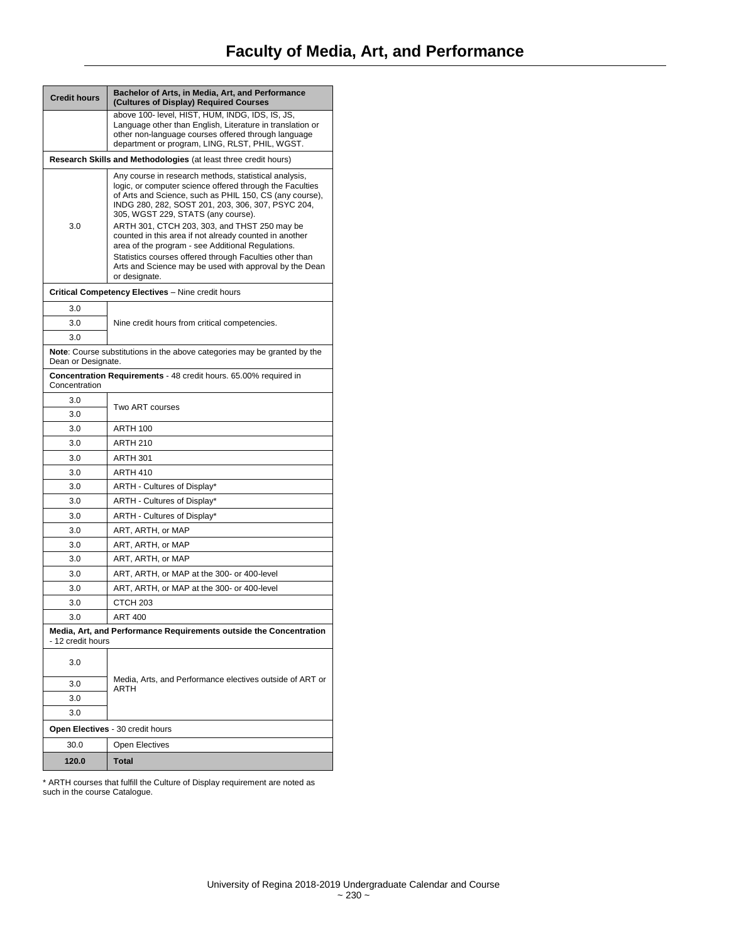| <b>Credit hours</b>                                                                                   | Bachelor of Arts, in Media, Art, and Performance<br>(Cultures of Display) Required Courses                                                                                                                                                                                                                                                                                                                                                                                                                                                                                   |  |
|-------------------------------------------------------------------------------------------------------|------------------------------------------------------------------------------------------------------------------------------------------------------------------------------------------------------------------------------------------------------------------------------------------------------------------------------------------------------------------------------------------------------------------------------------------------------------------------------------------------------------------------------------------------------------------------------|--|
|                                                                                                       | above 100- level, HIST, HUM, INDG, IDS, IS, JS,<br>Language other than English, Literature in translation or<br>other non-language courses offered through language                                                                                                                                                                                                                                                                                                                                                                                                          |  |
|                                                                                                       | department or program, LING, RLST, PHIL, WGST.                                                                                                                                                                                                                                                                                                                                                                                                                                                                                                                               |  |
|                                                                                                       | Research Skills and Methodologies (at least three credit hours)                                                                                                                                                                                                                                                                                                                                                                                                                                                                                                              |  |
| 3.0                                                                                                   | Any course in research methods, statistical analysis,<br>logic, or computer science offered through the Faculties<br>of Arts and Science, such as PHIL 150, CS (any course),<br>INDG 280, 282, SOST 201, 203, 306, 307, PSYC 204,<br>305, WGST 229, STATS (any course).<br>ARTH 301, CTCH 203, 303, and THST 250 may be<br>counted in this area if not already counted in another<br>area of the program - see Additional Regulations.<br>Statistics courses offered through Faculties other than<br>Arts and Science may be used with approval by the Dean<br>or designate. |  |
|                                                                                                       | Critical Competency Electives - Nine credit hours                                                                                                                                                                                                                                                                                                                                                                                                                                                                                                                            |  |
| 3.0                                                                                                   |                                                                                                                                                                                                                                                                                                                                                                                                                                                                                                                                                                              |  |
| 3.0                                                                                                   | Nine credit hours from critical competencies.                                                                                                                                                                                                                                                                                                                                                                                                                                                                                                                                |  |
| 3.0                                                                                                   |                                                                                                                                                                                                                                                                                                                                                                                                                                                                                                                                                                              |  |
| <b>Note:</b> Course substitutions in the above categories may be granted by the<br>Dean or Designate. |                                                                                                                                                                                                                                                                                                                                                                                                                                                                                                                                                                              |  |
| Concentration                                                                                         | Concentration Requirements - 48 credit hours. 65.00% required in                                                                                                                                                                                                                                                                                                                                                                                                                                                                                                             |  |
| 3.0<br>3.0                                                                                            | Two ART courses                                                                                                                                                                                                                                                                                                                                                                                                                                                                                                                                                              |  |
| 3.0                                                                                                   | <b>ARTH 100</b>                                                                                                                                                                                                                                                                                                                                                                                                                                                                                                                                                              |  |
| 3.0                                                                                                   | <b>ARTH 210</b>                                                                                                                                                                                                                                                                                                                                                                                                                                                                                                                                                              |  |
| 3.0                                                                                                   | ARTH 301                                                                                                                                                                                                                                                                                                                                                                                                                                                                                                                                                                     |  |
| 3.0                                                                                                   | <b>ARTH 410</b>                                                                                                                                                                                                                                                                                                                                                                                                                                                                                                                                                              |  |
| 3.0                                                                                                   | ARTH - Cultures of Display*                                                                                                                                                                                                                                                                                                                                                                                                                                                                                                                                                  |  |
| 3.0                                                                                                   | ARTH - Cultures of Display*                                                                                                                                                                                                                                                                                                                                                                                                                                                                                                                                                  |  |
| 3.0                                                                                                   | ARTH - Cultures of Display*                                                                                                                                                                                                                                                                                                                                                                                                                                                                                                                                                  |  |
| 3.0                                                                                                   | ART, ARTH, or MAP                                                                                                                                                                                                                                                                                                                                                                                                                                                                                                                                                            |  |
| 3.0                                                                                                   | ART, ARTH, or MAP                                                                                                                                                                                                                                                                                                                                                                                                                                                                                                                                                            |  |
| 3.0                                                                                                   | ART, ARTH, or MAP                                                                                                                                                                                                                                                                                                                                                                                                                                                                                                                                                            |  |
| 3.0                                                                                                   | ART, ARTH, or MAP at the 300- or 400-level                                                                                                                                                                                                                                                                                                                                                                                                                                                                                                                                   |  |
| 3.0                                                                                                   | ART, ARTH, or MAP at the 300- or 400-level                                                                                                                                                                                                                                                                                                                                                                                                                                                                                                                                   |  |
| 3.0<br>3.0                                                                                            | CTCH 203                                                                                                                                                                                                                                                                                                                                                                                                                                                                                                                                                                     |  |
|                                                                                                       | <b>ART 400</b><br>Media, Art, and Performance Requirements outside the Concentration                                                                                                                                                                                                                                                                                                                                                                                                                                                                                         |  |
| - 12 credit hours                                                                                     |                                                                                                                                                                                                                                                                                                                                                                                                                                                                                                                                                                              |  |
| 3.0                                                                                                   |                                                                                                                                                                                                                                                                                                                                                                                                                                                                                                                                                                              |  |
| 3.0                                                                                                   | Media, Arts, and Performance electives outside of ART or<br>ARTH                                                                                                                                                                                                                                                                                                                                                                                                                                                                                                             |  |
| 3.0                                                                                                   |                                                                                                                                                                                                                                                                                                                                                                                                                                                                                                                                                                              |  |
| 3.0                                                                                                   |                                                                                                                                                                                                                                                                                                                                                                                                                                                                                                                                                                              |  |
|                                                                                                       | Open Electives - 30 credit hours                                                                                                                                                                                                                                                                                                                                                                                                                                                                                                                                             |  |
| 30.0                                                                                                  | <b>Open Electives</b>                                                                                                                                                                                                                                                                                                                                                                                                                                                                                                                                                        |  |
| 120.0                                                                                                 | Total                                                                                                                                                                                                                                                                                                                                                                                                                                                                                                                                                                        |  |

\* ARTH courses that fulfill the Culture of Display requirement are noted as such in the course Catalogue.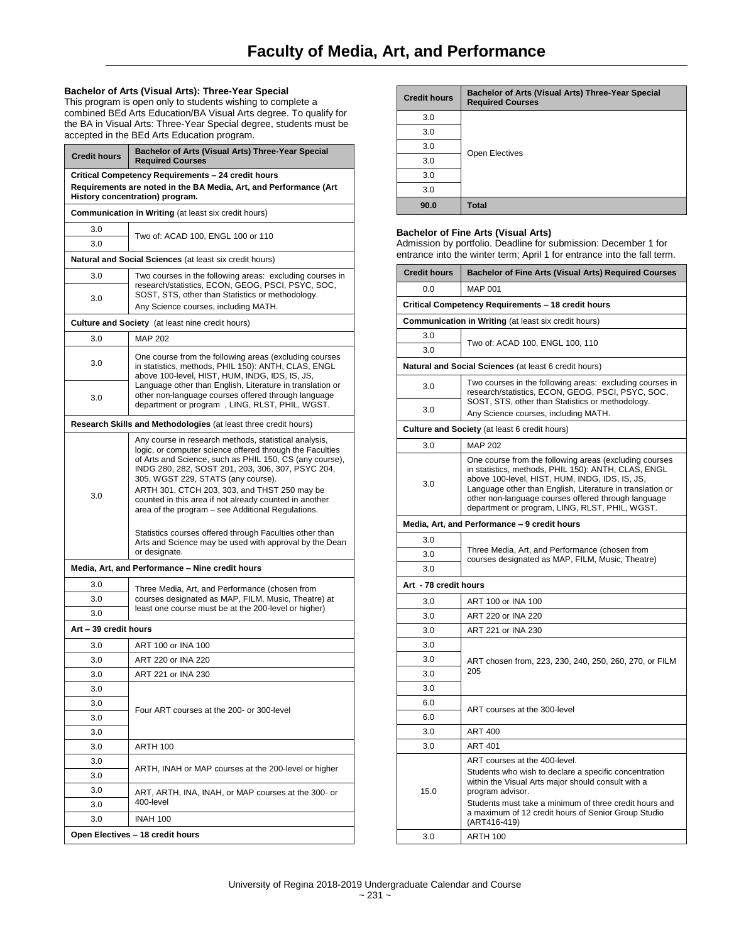## **Bachelor of Arts (Visual Arts): Three-Year Special**

This program is open only to students wishing to complete a combined BEd Arts Education/BA Visual Arts degree. To qualify for the BA in Visual Arts: Three-Year Special degree, students must be accepted in the BEd Arts Education program.

| <b>Credit hours</b>                                                                                                                                        | Bachelor of Arts (Visual Arts) Three-Year Special<br><b>Required Courses</b>                                                                                                                                                                                                                                                                                                                                                                                                                                                                                |  |
|------------------------------------------------------------------------------------------------------------------------------------------------------------|-------------------------------------------------------------------------------------------------------------------------------------------------------------------------------------------------------------------------------------------------------------------------------------------------------------------------------------------------------------------------------------------------------------------------------------------------------------------------------------------------------------------------------------------------------------|--|
| Critical Competency Requirements - 24 credit hours<br>Requirements are noted in the BA Media, Art, and Performance (Art<br>History concentration) program. |                                                                                                                                                                                                                                                                                                                                                                                                                                                                                                                                                             |  |
|                                                                                                                                                            | <b>Communication in Writing (at least six credit hours)</b>                                                                                                                                                                                                                                                                                                                                                                                                                                                                                                 |  |
| 3.0                                                                                                                                                        | Two of: ACAD 100, ENGL 100 or 110                                                                                                                                                                                                                                                                                                                                                                                                                                                                                                                           |  |
| 3.0                                                                                                                                                        |                                                                                                                                                                                                                                                                                                                                                                                                                                                                                                                                                             |  |
|                                                                                                                                                            | <b>Natural and Social Sciences</b> (at least six credit hours)                                                                                                                                                                                                                                                                                                                                                                                                                                                                                              |  |
| 3.0                                                                                                                                                        | Two courses in the following areas: excluding courses in<br>research/statistics, ECON, GEOG, PSCI, PSYC, SOC,                                                                                                                                                                                                                                                                                                                                                                                                                                               |  |
| 3.0                                                                                                                                                        | SOST, STS, other than Statistics or methodology.<br>Any Science courses, including MATH.                                                                                                                                                                                                                                                                                                                                                                                                                                                                    |  |
|                                                                                                                                                            | <b>Culture and Society</b> (at least nine credit hours)                                                                                                                                                                                                                                                                                                                                                                                                                                                                                                     |  |
| 3.0                                                                                                                                                        | <b>MAP 202</b>                                                                                                                                                                                                                                                                                                                                                                                                                                                                                                                                              |  |
| 3.0                                                                                                                                                        | One course from the following areas (excluding courses<br>in statistics, methods, PHIL 150): ANTH, CLAS, ENGL<br>above 100-level, HIST, HUM, INDG, IDS, IS, JS,<br>Language other than English, Literature in translation or                                                                                                                                                                                                                                                                                                                                |  |
| 3.0                                                                                                                                                        | other non-language courses offered through language<br>department or program, LING, RLST, PHIL, WGST.                                                                                                                                                                                                                                                                                                                                                                                                                                                       |  |
|                                                                                                                                                            | Research Skills and Methodologies (at least three credit hours)                                                                                                                                                                                                                                                                                                                                                                                                                                                                                             |  |
| 3.0                                                                                                                                                        | Any course in research methods, statistical analysis,<br>logic, or computer science offered through the Faculties<br>of Arts and Science, such as PHIL 150, CS (any course),<br>INDG 280, 282, SOST 201, 203, 306, 307, PSYC 204,<br>305, WGST 229, STATS (any course).<br>ARTH 301, CTCH 203, 303, and THST 250 may be<br>counted in this area if not already counted in another<br>area of the program – see Additional Regulations.<br>Statistics courses offered through Faculties other than<br>Arts and Science may be used with approval by the Dean |  |
|                                                                                                                                                            | or designate.<br>Media, Art, and Performance - Nine credit hours                                                                                                                                                                                                                                                                                                                                                                                                                                                                                            |  |
| 3.0                                                                                                                                                        |                                                                                                                                                                                                                                                                                                                                                                                                                                                                                                                                                             |  |
| 3.0                                                                                                                                                        | Three Media, Art, and Performance (chosen from<br>courses designated as MAP, FILM, Music, Theatre) at                                                                                                                                                                                                                                                                                                                                                                                                                                                       |  |
| 3.0                                                                                                                                                        | least one course must be at the 200-level or higher)                                                                                                                                                                                                                                                                                                                                                                                                                                                                                                        |  |
| Art – 39 credit hours                                                                                                                                      |                                                                                                                                                                                                                                                                                                                                                                                                                                                                                                                                                             |  |
| 3.0                                                                                                                                                        | ART 100 or INA 100                                                                                                                                                                                                                                                                                                                                                                                                                                                                                                                                          |  |
| 3.0                                                                                                                                                        | ART 220 or INA 220                                                                                                                                                                                                                                                                                                                                                                                                                                                                                                                                          |  |
| 3.0                                                                                                                                                        | ART 221 or INA 230                                                                                                                                                                                                                                                                                                                                                                                                                                                                                                                                          |  |
| 3.0                                                                                                                                                        |                                                                                                                                                                                                                                                                                                                                                                                                                                                                                                                                                             |  |
| 3.0                                                                                                                                                        | Four ART courses at the 200- or 300-level                                                                                                                                                                                                                                                                                                                                                                                                                                                                                                                   |  |
| 3.0                                                                                                                                                        |                                                                                                                                                                                                                                                                                                                                                                                                                                                                                                                                                             |  |
| 3.0                                                                                                                                                        |                                                                                                                                                                                                                                                                                                                                                                                                                                                                                                                                                             |  |
| 3.0                                                                                                                                                        | <b>ARTH 100</b>                                                                                                                                                                                                                                                                                                                                                                                                                                                                                                                                             |  |
| 3.0<br>3.0                                                                                                                                                 | ARTH, INAH or MAP courses at the 200-level or higher                                                                                                                                                                                                                                                                                                                                                                                                                                                                                                        |  |
| 3.0<br>3.0                                                                                                                                                 | ART, ARTH, INA, INAH, or MAP courses at the 300- or<br>400-level                                                                                                                                                                                                                                                                                                                                                                                                                                                                                            |  |
| 3.0                                                                                                                                                        | <b>INAH 100</b>                                                                                                                                                                                                                                                                                                                                                                                                                                                                                                                                             |  |
|                                                                                                                                                            | Open Electives - 18 credit hours                                                                                                                                                                                                                                                                                                                                                                                                                                                                                                                            |  |
|                                                                                                                                                            |                                                                                                                                                                                                                                                                                                                                                                                                                                                                                                                                                             |  |

| <b>Credit hours</b> | Bachelor of Arts (Visual Arts) Three-Year Special<br><b>Required Courses</b> |
|---------------------|------------------------------------------------------------------------------|
| 3.0                 |                                                                              |
| 3.0                 | Open Electives                                                               |
| 3.0                 |                                                                              |
| 3.0                 |                                                                              |
| 3.0                 |                                                                              |
| 3.0                 |                                                                              |
| 90.0                | <b>Total</b>                                                                 |

## **Bachelor of Fine Arts (Visual Arts)**

Admission by portfolio. Deadline for submission: December 1 for entrance into the winter term; April 1 for entrance into the fall term.

| <b>Credit hours</b>   | <b>Bachelor of Fine Arts (Visual Arts) Required Courses</b>                                                                                                                                                                                                                                                                           |
|-----------------------|---------------------------------------------------------------------------------------------------------------------------------------------------------------------------------------------------------------------------------------------------------------------------------------------------------------------------------------|
| 0.0                   | <b>MAP 001</b>                                                                                                                                                                                                                                                                                                                        |
|                       | Critical Competency Requirements - 18 credit hours                                                                                                                                                                                                                                                                                    |
|                       | Communication in Writing (at least six credit hours)                                                                                                                                                                                                                                                                                  |
| 3.0                   | Two of: ACAD 100, ENGL 100, 110                                                                                                                                                                                                                                                                                                       |
| 3.0                   |                                                                                                                                                                                                                                                                                                                                       |
|                       | Natural and Social Sciences (at least 6 credit hours)                                                                                                                                                                                                                                                                                 |
| 3.0                   | Two courses in the following areas: excluding courses in<br>research/statistics, ECON, GEOG, PSCI, PSYC, SOC,<br>SOST, STS, other than Statistics or methodology.                                                                                                                                                                     |
| 3.0                   | Any Science courses, including MATH.                                                                                                                                                                                                                                                                                                  |
|                       | <b>Culture and Society</b> (at least 6 credit hours)                                                                                                                                                                                                                                                                                  |
| 3.0                   | <b>MAP 202</b>                                                                                                                                                                                                                                                                                                                        |
| 3.0                   | One course from the following areas (excluding courses<br>in statistics, methods, PHIL 150): ANTH, CLAS, ENGL<br>above 100-level, HIST, HUM, INDG, IDS, IS, JS,<br>Language other than English, Literature in translation or<br>other non-language courses offered through language<br>department or program, LING, RLST, PHIL, WGST. |
|                       | Media, Art, and Performance - 9 credit hours                                                                                                                                                                                                                                                                                          |
| 3.0                   |                                                                                                                                                                                                                                                                                                                                       |
| 3.0                   | Three Media, Art, and Performance (chosen from<br>courses designated as MAP, FILM, Music, Theatre)                                                                                                                                                                                                                                    |
| 3.0                   |                                                                                                                                                                                                                                                                                                                                       |
| Art - 78 credit hours |                                                                                                                                                                                                                                                                                                                                       |
| 3.0                   | ART 100 or INA 100                                                                                                                                                                                                                                                                                                                    |
| 3.0                   | ART 220 or INA 220                                                                                                                                                                                                                                                                                                                    |
| 3.0                   | ART 221 or INA 230                                                                                                                                                                                                                                                                                                                    |
| 3.0                   |                                                                                                                                                                                                                                                                                                                                       |
| 3.0                   | ART chosen from, 223, 230, 240, 250, 260, 270, or FILM                                                                                                                                                                                                                                                                                |
| 3.0                   | 205                                                                                                                                                                                                                                                                                                                                   |
| 3.0                   |                                                                                                                                                                                                                                                                                                                                       |
| 6.0                   | ART courses at the 300-level                                                                                                                                                                                                                                                                                                          |
| 6.0                   |                                                                                                                                                                                                                                                                                                                                       |
| 3.0                   | ART 400                                                                                                                                                                                                                                                                                                                               |
| 3.0                   | <b>ART 401</b>                                                                                                                                                                                                                                                                                                                        |
| 15.0                  | ART courses at the 400-level.<br>Students who wish to declare a specific concentration<br>within the Visual Arts major should consult with a<br>program advisor.<br>Students must take a minimum of three credit hours and<br>a maximum of 12 credit hours of Senior Group Studio                                                     |
| 3.0                   | (ART416-419)<br><b>ARTH 100</b>                                                                                                                                                                                                                                                                                                       |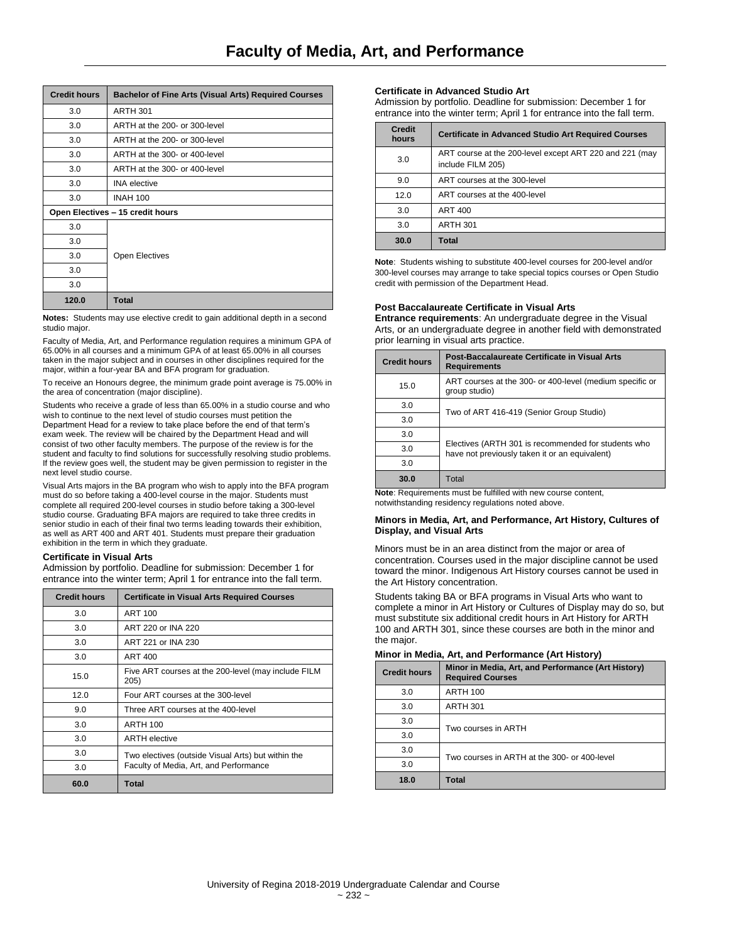| <b>Credit hours</b>              | <b>Bachelor of Fine Arts (Visual Arts) Required Courses</b> |  |
|----------------------------------|-------------------------------------------------------------|--|
| 3.0                              | <b>ARTH 301</b>                                             |  |
| 3.0                              | ARTH at the 200- or 300-level                               |  |
| 3.0                              | ARTH at the 200- or 300-level                               |  |
| 3.0                              | ARTH at the 300- or 400-level                               |  |
| 3.0                              | ARTH at the 300- or 400-level                               |  |
| 3.0                              | <b>INA</b> elective                                         |  |
| 3.0                              | <b>INAH 100</b>                                             |  |
| Open Electives - 15 credit hours |                                                             |  |
| 3.0                              |                                                             |  |
| 3.0                              |                                                             |  |
| 3.0                              | <b>Open Electives</b>                                       |  |
| 3.0                              |                                                             |  |
| 3.0                              |                                                             |  |
| 120.0                            | <b>Total</b>                                                |  |

**Notes:** Students may use elective credit to gain additional depth in a second studio major.

Faculty of Media, Art, and Performance regulation requires a minimum GPA of 65.00% in all courses and a minimum GPA of at least 65.00% in all courses taken in the major subject and in courses in other disciplines required for the major, within a four-year BA and BFA program for graduation.

To receive an Honours degree, the minimum grade point average is 75.00% in the area of concentration (major discipline).

Students who receive a grade of less than 65.00% in a studio course and who wish to continue to the next level of studio courses must petition the Department Head for a review to take place before the end of that term's exam week. The review will be chaired by the Department Head and will consist of two other faculty members. The purpose of the review is for the student and faculty to find solutions for successfully resolving studio problems. If the review goes well, the student may be given permission to register in the next level studio course.

Visual Arts majors in the BA program who wish to apply into the BFA program must do so before taking a 400-level course in the major. Students must complete all required 200-level courses in studio before taking a 300-level studio course. Graduating BFA majors are required to take three credits in senior studio in each of their final two terms leading towards their exhibition, as well as ART 400 and ART 401. Students must prepare their graduation exhibition in the term in which they graduate.

#### **Certificate in Visual Arts**

Admission by portfolio. Deadline for submission: December 1 for entrance into the winter term; April 1 for entrance into the fall term.

| <b>Credit hours</b> | <b>Certificate in Visual Arts Required Courses</b>          |
|---------------------|-------------------------------------------------------------|
| 3.0                 | <b>ART 100</b>                                              |
| 3.0                 | ART 220 or INA 220                                          |
| 3.0                 | ART 221 or INA 230                                          |
| 3.0                 | ART 400                                                     |
| 15.0                | Five ART courses at the 200-level (may include FILM<br>205) |
| 12.0                | Four ART courses at the 300-level                           |
| 9.0                 | Three ART courses at the 400-level                          |
| 3.0                 | <b>ARTH 100</b>                                             |
| 3.0                 | <b>ARTH</b> elective                                        |
| 3.0                 | Two electives (outside Visual Arts) but within the          |
| 3.0                 | Faculty of Media, Art, and Performance                      |
| 60.0                | Total                                                       |

## **Certificate in Advanced Studio Art**

Admission by portfolio. Deadline for submission: December 1 for entrance into the winter term; April 1 for entrance into the fall term.

| <b>Credit</b><br>hours | <b>Certificate in Advanced Studio Art Required Courses</b>                   |
|------------------------|------------------------------------------------------------------------------|
| 3.0                    | ART course at the 200-level except ART 220 and 221 (may<br>include FILM 205) |
| 9.0                    | ART courses at the 300-level                                                 |
| 12.0                   | ART courses at the 400-level                                                 |
| 3.0                    | ART 400                                                                      |
| 3.0                    | <b>ARTH 301</b>                                                              |
| 30.0                   | <b>Total</b>                                                                 |

**Note**: Students wishing to substitute 400-level courses for 200-level and/or 300-level courses may arrange to take special topics courses or Open Studio credit with permission of the Department Head.

### **Post Baccalaureate Certificate in Visual Arts**

**Entrance requirements**: An undergraduate degree in the Visual Arts, or an undergraduate degree in another field with demonstrated prior learning in visual arts practice.

| <b>Credit hours</b> | Post-Baccalaureate Certificate in Visual Arts<br><b>Requirements</b>                                  |
|---------------------|-------------------------------------------------------------------------------------------------------|
| 15.0                | ART courses at the 300- or 400-level (medium specific or<br>group studio)                             |
| 3.0                 | Two of ART 416-419 (Senior Group Studio)                                                              |
| 3.0                 |                                                                                                       |
| 3.0                 | Electives (ARTH 301 is recommended for students who<br>have not previously taken it or an equivalent) |
| 3.0                 |                                                                                                       |
| 3.0                 |                                                                                                       |
| 30.0                | Total                                                                                                 |

**Note**: Requirements must be fulfilled with new course content, notwithstanding residency regulations noted above.

#### **Minors in Media, Art, and Performance, Art History, Cultures of Display, and Visual Arts**

Minors must be in an area distinct from the major or area of concentration. Courses used in the major discipline cannot be used toward the minor. Indigenous Art History courses cannot be used in the Art History concentration.

Students taking BA or BFA programs in Visual Arts who want to complete a minor in Art History or Cultures of Display may do so, but must substitute six additional credit hours in Art History for ARTH 100 and ARTH 301, since these courses are both in the minor and the major.

## **Minor in Media, Art, and Performance (Art History)**

| <b>Credit hours</b> | Minor in Media, Art, and Performance (Art History)<br><b>Required Courses</b> |
|---------------------|-------------------------------------------------------------------------------|
| 3.0                 | <b>ARTH 100</b>                                                               |
| 3.0                 | <b>ARTH 301</b>                                                               |
| 3.0                 | Two courses in ARTH                                                           |
| 3.0                 |                                                                               |
| 3.0                 | Two courses in ARTH at the 300- or 400-level                                  |
| 3.0                 |                                                                               |
| 18.0                | <b>Total</b>                                                                  |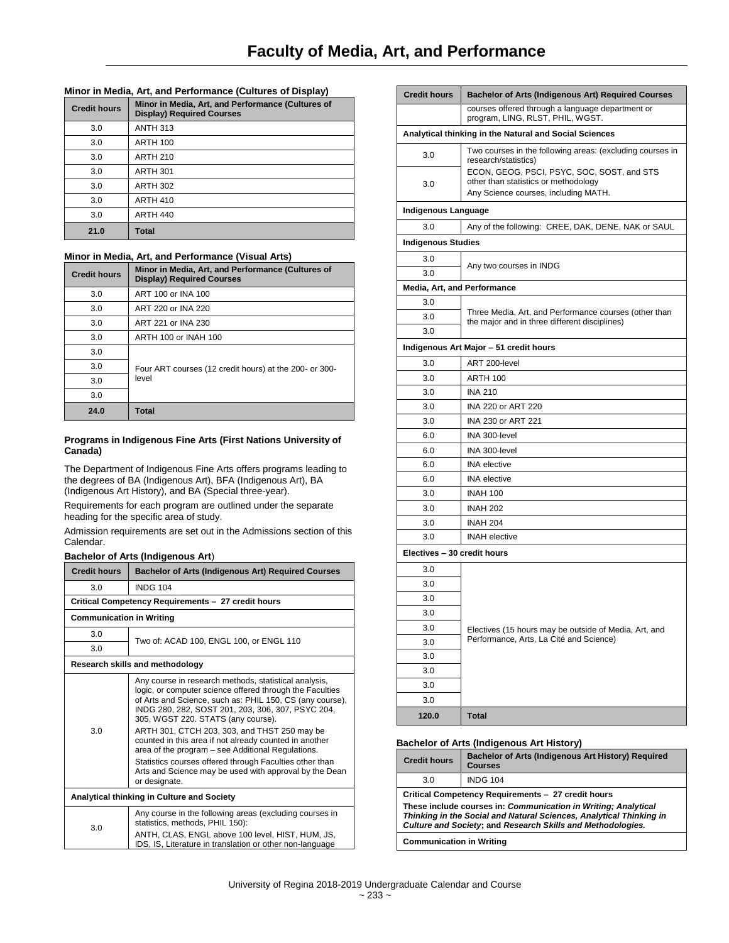## **Minor in Media, Art, and Performance (Cultures of Display)**

| <b>Credit hours</b> | Minor in Media, Art, and Performance (Cultures of<br><b>Display) Required Courses</b> |
|---------------------|---------------------------------------------------------------------------------------|
| 3.0                 | <b>ANTH 313</b>                                                                       |
| 3.0                 | <b>ARTH 100</b>                                                                       |
| 3.0                 | <b>ARTH 210</b>                                                                       |
| 3.0                 | <b>ARTH 301</b>                                                                       |
| 3.0                 | <b>ARTH 302</b>                                                                       |
| 3.0                 | <b>ARTH 410</b>                                                                       |
| 3.0                 | <b>ARTH 440</b>                                                                       |
| 21.0                | <b>Total</b>                                                                          |

## **Minor in Media, Art, and Performance (Visual Arts)**

| <b>Credit hours</b> | Minor in Media, Art, and Performance (Cultures of<br><b>Display) Required Courses</b> |
|---------------------|---------------------------------------------------------------------------------------|
| 3.0                 | ART 100 or INA 100                                                                    |
| 3.0                 | ART 220 or INA 220                                                                    |
| 3.0                 | ART 221 or INA 230                                                                    |
| 3.0                 | ARTH 100 or INAH 100                                                                  |
| 3.0                 | Four ART courses (12 credit hours) at the 200- or 300-<br>level                       |
| 3.0                 |                                                                                       |
| 3.0                 |                                                                                       |
| 3.0                 |                                                                                       |
| 24.0                | Total                                                                                 |

## **Programs in Indigenous Fine Arts (First Nations University of Canada)**

The Department of Indigenous Fine Arts offers programs leading to the degrees of BA (Indigenous Art), BFA (Indigenous Art), BA (Indigenous Art History), and BA (Special three-year).

Requirements for each program are outlined under the separate heading for the specific area of study.

Admission requirements are set out in the Admissions section of this Calendar.

## **Bachelor of Arts (Indigenous Art**)

| <b>Credit hours</b>                        | <b>Bachelor of Arts (Indigenous Art) Required Courses</b>                                                                                                                                                                                                                                                                                                                                                                                                                                                                                                                     |  |  |
|--------------------------------------------|-------------------------------------------------------------------------------------------------------------------------------------------------------------------------------------------------------------------------------------------------------------------------------------------------------------------------------------------------------------------------------------------------------------------------------------------------------------------------------------------------------------------------------------------------------------------------------|--|--|
| 3.0                                        | <b>INDG 104</b>                                                                                                                                                                                                                                                                                                                                                                                                                                                                                                                                                               |  |  |
|                                            | Critical Competency Requirements - 27 credit hours                                                                                                                                                                                                                                                                                                                                                                                                                                                                                                                            |  |  |
| <b>Communication in Writing</b>            |                                                                                                                                                                                                                                                                                                                                                                                                                                                                                                                                                                               |  |  |
| 3.0                                        |                                                                                                                                                                                                                                                                                                                                                                                                                                                                                                                                                                               |  |  |
| 3.0                                        | Two of: ACAD 100, ENGL 100, or ENGL 110                                                                                                                                                                                                                                                                                                                                                                                                                                                                                                                                       |  |  |
| Research skills and methodology            |                                                                                                                                                                                                                                                                                                                                                                                                                                                                                                                                                                               |  |  |
| 3.0                                        | Any course in research methods, statistical analysis,<br>logic, or computer science offered through the Faculties<br>of Arts and Science, such as: PHIL 150, CS (any course),<br>INDG 280, 282, SOST 201, 203, 306, 307, PSYC 204,<br>305, WGST 220. STATS (any course).<br>ARTH 301, CTCH 203, 303, and THST 250 may be<br>counted in this area if not already counted in another<br>area of the program – see Additional Regulations.<br>Statistics courses offered through Faculties other than<br>Arts and Science may be used with approval by the Dean<br>or designate. |  |  |
| Analytical thinking in Culture and Society |                                                                                                                                                                                                                                                                                                                                                                                                                                                                                                                                                                               |  |  |
| 3.0                                        | Any course in the following areas (excluding courses in<br>statistics, methods, PHIL 150):<br>ANTH, CLAS, ENGL above 100 level, HIST, HUM, JS,<br>IDS, IS, Literature in translation or other non-language                                                                                                                                                                                                                                                                                                                                                                    |  |  |

| <b>Credit hours</b>         | <b>Bachelor of Arts (Indigenous Art) Required Courses</b>                                                                  |
|-----------------------------|----------------------------------------------------------------------------------------------------------------------------|
|                             | courses offered through a language department or<br>program, LING, RLST, PHIL, WGST.                                       |
|                             | Analytical thinking in the Natural and Social Sciences                                                                     |
| 3.0                         | Two courses in the following areas: (excluding courses in<br>research/statistics)                                          |
| 3.0                         | ECON, GEOG, PSCI, PSYC, SOC, SOST, and STS<br>other than statistics or methodology<br>Any Science courses, including MATH. |
| Indigenous Language         |                                                                                                                            |
| 3.0                         | Any of the following: CREE, DAK, DENE, NAK or SAUL                                                                         |
| <b>Indigenous Studies</b>   |                                                                                                                            |
| 3.0                         |                                                                                                                            |
| 3.0                         | Any two courses in INDG                                                                                                    |
| Media, Art, and Performance |                                                                                                                            |
| 3.0                         |                                                                                                                            |
| 3.0                         | Three Media, Art, and Performance courses (other than                                                                      |
| 3.0                         | the major and in three different disciplines)                                                                              |
|                             | Indigenous Art Major - 51 credit hours                                                                                     |
| 3.0                         | ART 200-level                                                                                                              |
| 3.0                         | ARTH 100                                                                                                                   |
| 3.0                         | <b>INA 210</b>                                                                                                             |
| 3.0                         | INA 220 or ART 220                                                                                                         |
| 3.0                         | INA 230 or ART 221                                                                                                         |
| 6.0                         | INA 300-level                                                                                                              |
| 6.0                         | INA 300-level                                                                                                              |
| 6.0                         | <b>INA</b> elective                                                                                                        |
| 6.0                         | <b>INA</b> elective                                                                                                        |
| 3.0                         | <b>INAH 100</b>                                                                                                            |
| 3.0                         | <b>INAH 202</b>                                                                                                            |
| 3.0                         | <b>INAH 204</b>                                                                                                            |
| 3.0                         | <b>INAH</b> elective                                                                                                       |
| Electives - 30 credit hours |                                                                                                                            |
| 3.0                         |                                                                                                                            |
| 3.0                         |                                                                                                                            |
| 3.0                         |                                                                                                                            |
| 3.0                         |                                                                                                                            |
| 3.0                         | Electives (15 hours may be outside of Media, Art, and                                                                      |
| 3.0                         | Performance, Arts, La Cité and Science)                                                                                    |
| 3.0                         |                                                                                                                            |
| 3.0                         |                                                                                                                            |
| 3.0                         |                                                                                                                            |
| 3.0                         |                                                                                                                            |
| 120.0                       | Total                                                                                                                      |

## **Bachelor of Arts (Indigenous Art History)**

| <b>Credit hours</b>                                                                                                                                                                                                                                        | Bachelor of Arts (Indigenous Art History) Required<br><b>Courses</b> |
|------------------------------------------------------------------------------------------------------------------------------------------------------------------------------------------------------------------------------------------------------------|----------------------------------------------------------------------|
| 3.0                                                                                                                                                                                                                                                        | <b>INDG 104</b>                                                      |
| Critical Competency Requirements - 27 credit hours<br>These include courses in: Communication in Writing; Analytical<br>Thinking in the Social and Natural Sciences, Analytical Thinking in<br>Culture and Society; and Research Skills and Methodologies. |                                                                      |
| <b>Communication in Writing</b>                                                                                                                                                                                                                            |                                                                      |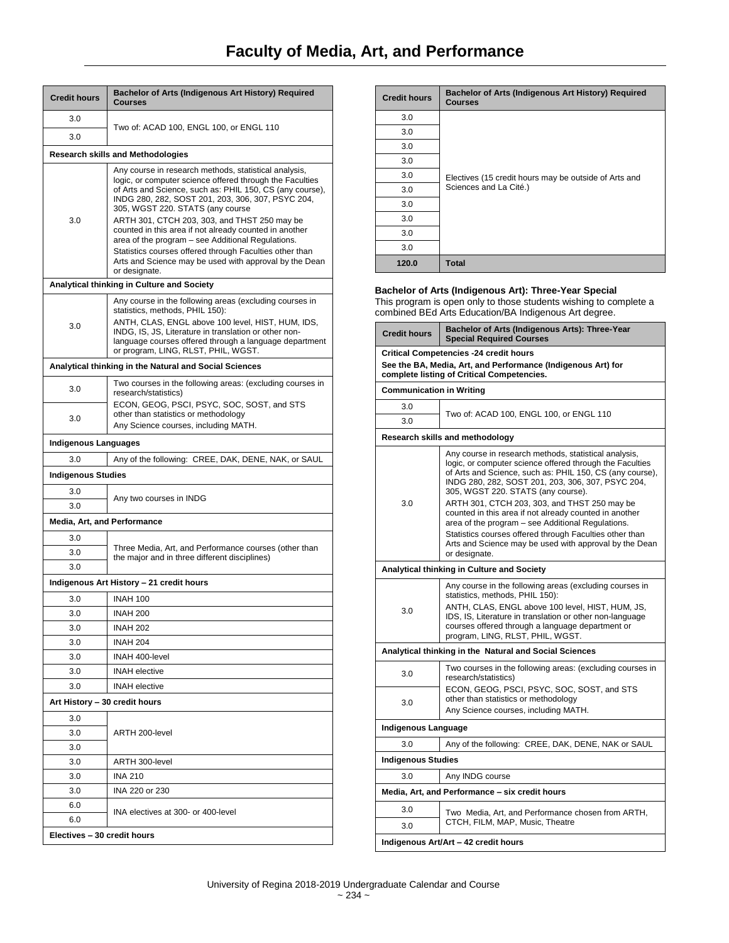| <b>Credit hours</b>                      | Bachelor of Arts (Indigenous Art History) Required<br>Courses                                                                                                                                                                                                                                                                                                                                                                                                                                                                                                               |  |
|------------------------------------------|-----------------------------------------------------------------------------------------------------------------------------------------------------------------------------------------------------------------------------------------------------------------------------------------------------------------------------------------------------------------------------------------------------------------------------------------------------------------------------------------------------------------------------------------------------------------------------|--|
| 3.0                                      |                                                                                                                                                                                                                                                                                                                                                                                                                                                                                                                                                                             |  |
| 3.0                                      | Two of: ACAD 100, ENGL 100, or ENGL 110                                                                                                                                                                                                                                                                                                                                                                                                                                                                                                                                     |  |
| <b>Research skills and Methodologies</b> |                                                                                                                                                                                                                                                                                                                                                                                                                                                                                                                                                                             |  |
| 3.0                                      | Any course in research methods, statistical analysis,<br>logic, or computer science offered through the Faculties<br>of Arts and Science, such as: PHIL 150, CS (any course),<br>INDG 280, 282, SOST 201, 203, 306, 307, PSYC 204,<br>305, WGST 220. STATS (any course<br>ARTH 301, CTCH 203, 303, and THST 250 may be<br>counted in this area if not already counted in another<br>area of the program - see Additional Regulations.<br>Statistics courses offered through Faculties other than<br>Arts and Science may be used with approval by the Dean<br>or designate. |  |
|                                          | Analytical thinking in Culture and Society                                                                                                                                                                                                                                                                                                                                                                                                                                                                                                                                  |  |
| 3.0                                      | Any course in the following areas (excluding courses in<br>statistics, methods, PHIL 150):<br>ANTH, CLAS, ENGL above 100 level, HIST, HUM, IDS,<br>INDG, IS, JS, Literature in translation or other non-<br>language courses offered through a language department<br>or program, LING, RLST, PHIL, WGST.                                                                                                                                                                                                                                                                   |  |
|                                          | Analytical thinking in the Natural and Social Sciences                                                                                                                                                                                                                                                                                                                                                                                                                                                                                                                      |  |
| 3.0                                      | Two courses in the following areas: (excluding courses in<br>research/statistics)                                                                                                                                                                                                                                                                                                                                                                                                                                                                                           |  |
| 3.0                                      | ECON, GEOG, PSCI, PSYC, SOC, SOST, and STS<br>other than statistics or methodology<br>Any Science courses, including MATH.                                                                                                                                                                                                                                                                                                                                                                                                                                                  |  |
| <b>Indigenous Languages</b>              |                                                                                                                                                                                                                                                                                                                                                                                                                                                                                                                                                                             |  |
| 3.0                                      | Any of the following: CREE, DAK, DENE, NAK, or SAUL                                                                                                                                                                                                                                                                                                                                                                                                                                                                                                                         |  |
| <b>Indigenous Studies</b>                |                                                                                                                                                                                                                                                                                                                                                                                                                                                                                                                                                                             |  |
| 3.0                                      | Any two courses in INDG                                                                                                                                                                                                                                                                                                                                                                                                                                                                                                                                                     |  |
| 3.0                                      |                                                                                                                                                                                                                                                                                                                                                                                                                                                                                                                                                                             |  |
| Media, Art, and Performance              |                                                                                                                                                                                                                                                                                                                                                                                                                                                                                                                                                                             |  |
| 3.0                                      | Three Media, Art, and Performance courses (other than                                                                                                                                                                                                                                                                                                                                                                                                                                                                                                                       |  |
| 3.0                                      | the major and in three different disciplines)                                                                                                                                                                                                                                                                                                                                                                                                                                                                                                                               |  |
| 3.0                                      |                                                                                                                                                                                                                                                                                                                                                                                                                                                                                                                                                                             |  |
|                                          | Indigenous Art History - 21 credit hours                                                                                                                                                                                                                                                                                                                                                                                                                                                                                                                                    |  |
| 3.0                                      | <b>INAH 100</b>                                                                                                                                                                                                                                                                                                                                                                                                                                                                                                                                                             |  |
| 3.0                                      | <b>INAH 200</b>                                                                                                                                                                                                                                                                                                                                                                                                                                                                                                                                                             |  |
| 3.0                                      | <b>INAH 202</b>                                                                                                                                                                                                                                                                                                                                                                                                                                                                                                                                                             |  |
| 3.0                                      | <b>INAH 204</b>                                                                                                                                                                                                                                                                                                                                                                                                                                                                                                                                                             |  |
| 3.0                                      | INAH 400-level                                                                                                                                                                                                                                                                                                                                                                                                                                                                                                                                                              |  |
| 3.0<br>3.0                               | <b>INAH</b> elective<br><b>INAH</b> elective                                                                                                                                                                                                                                                                                                                                                                                                                                                                                                                                |  |
|                                          |                                                                                                                                                                                                                                                                                                                                                                                                                                                                                                                                                                             |  |
| Art History - 30 credit hours            |                                                                                                                                                                                                                                                                                                                                                                                                                                                                                                                                                                             |  |
| 3.0                                      |                                                                                                                                                                                                                                                                                                                                                                                                                                                                                                                                                                             |  |
| 3.0                                      | ARTH 200-level                                                                                                                                                                                                                                                                                                                                                                                                                                                                                                                                                              |  |
| 3.0<br>3.0                               | ARTH 300-level                                                                                                                                                                                                                                                                                                                                                                                                                                                                                                                                                              |  |
| 3.0                                      | <b>INA 210</b>                                                                                                                                                                                                                                                                                                                                                                                                                                                                                                                                                              |  |
| 3.0                                      | INA 220 or 230                                                                                                                                                                                                                                                                                                                                                                                                                                                                                                                                                              |  |
| 6.0                                      |                                                                                                                                                                                                                                                                                                                                                                                                                                                                                                                                                                             |  |
| 6.0                                      | INA electives at 300- or 400-level                                                                                                                                                                                                                                                                                                                                                                                                                                                                                                                                          |  |
| Electives - 30 credit hours              |                                                                                                                                                                                                                                                                                                                                                                                                                                                                                                                                                                             |  |

| <b>Credit hours</b> | Bachelor of Arts (Indigenous Art History) Required<br><b>Courses</b>            |
|---------------------|---------------------------------------------------------------------------------|
| 3.0                 | Electives (15 credit hours may be outside of Arts and<br>Sciences and La Cité.) |
| 3.0                 |                                                                                 |
| 3.0                 |                                                                                 |
| 3.0                 |                                                                                 |
| 3.0                 |                                                                                 |
| 3.0                 |                                                                                 |
| 3.0                 |                                                                                 |
| 3.0                 |                                                                                 |
| 3.0                 |                                                                                 |
| 3.0                 |                                                                                 |
| 120.0               | <b>Total</b>                                                                    |

## **Bachelor of Arts (Indigenous Art): Three-Year Special**

This program is open only to those students wishing to complete a combined BEd Arts Education/BA Indigenous Art degree.

| <b>Credit hours</b>                                                                                                                                         | Bachelor of Arts (Indigenous Arts): Three-Year<br><b>Special Required Courses</b>                                                                                                                                                                                                                                                                                                                                                                                                                                                                                             |
|-------------------------------------------------------------------------------------------------------------------------------------------------------------|-------------------------------------------------------------------------------------------------------------------------------------------------------------------------------------------------------------------------------------------------------------------------------------------------------------------------------------------------------------------------------------------------------------------------------------------------------------------------------------------------------------------------------------------------------------------------------|
| <b>Critical Competencies -24 credit hours</b><br>See the BA, Media, Art, and Performance (Indigenous Art) for<br>complete listing of Critical Competencies. |                                                                                                                                                                                                                                                                                                                                                                                                                                                                                                                                                                               |
| <b>Communication in Writing</b>                                                                                                                             |                                                                                                                                                                                                                                                                                                                                                                                                                                                                                                                                                                               |
| 3.0                                                                                                                                                         |                                                                                                                                                                                                                                                                                                                                                                                                                                                                                                                                                                               |
| 3.0                                                                                                                                                         | Two of: ACAD 100, ENGL 100, or ENGL 110                                                                                                                                                                                                                                                                                                                                                                                                                                                                                                                                       |
|                                                                                                                                                             | Research skills and methodology                                                                                                                                                                                                                                                                                                                                                                                                                                                                                                                                               |
| 3.0                                                                                                                                                         | Any course in research methods, statistical analysis,<br>logic, or computer science offered through the Faculties<br>of Arts and Science, such as: PHIL 150, CS (any course),<br>INDG 280, 282, SOST 201, 203, 306, 307, PSYC 204,<br>305, WGST 220. STATS (any course).<br>ARTH 301, CTCH 203, 303, and THST 250 may be<br>counted in this area if not already counted in another<br>area of the program - see Additional Regulations.<br>Statistics courses offered through Faculties other than<br>Arts and Science may be used with approval by the Dean<br>or designate. |
|                                                                                                                                                             | Analytical thinking in Culture and Society                                                                                                                                                                                                                                                                                                                                                                                                                                                                                                                                    |
| 3.0                                                                                                                                                         | Any course in the following areas (excluding courses in<br>statistics, methods, PHIL 150):<br>ANTH, CLAS, ENGL above 100 level, HIST, HUM, JS,<br>IDS, IS, Literature in translation or other non-language<br>courses offered through a language department or<br>program, LING, RLST, PHIL, WGST.                                                                                                                                                                                                                                                                            |
|                                                                                                                                                             | Analytical thinking in the Natural and Social Sciences                                                                                                                                                                                                                                                                                                                                                                                                                                                                                                                        |
| 3.0                                                                                                                                                         | Two courses in the following areas: (excluding courses in<br>research/statistics)                                                                                                                                                                                                                                                                                                                                                                                                                                                                                             |
| 3.0                                                                                                                                                         | ECON, GEOG, PSCI, PSYC, SOC, SOST, and STS<br>other than statistics or methodology<br>Any Science courses, including MATH.                                                                                                                                                                                                                                                                                                                                                                                                                                                    |
| Indigenous Language                                                                                                                                         |                                                                                                                                                                                                                                                                                                                                                                                                                                                                                                                                                                               |
| 3.0                                                                                                                                                         | Any of the following: CREE, DAK, DENE, NAK or SAUL                                                                                                                                                                                                                                                                                                                                                                                                                                                                                                                            |
| Indigenous Studies                                                                                                                                          |                                                                                                                                                                                                                                                                                                                                                                                                                                                                                                                                                                               |
| 3.0                                                                                                                                                         | Any INDG course                                                                                                                                                                                                                                                                                                                                                                                                                                                                                                                                                               |
|                                                                                                                                                             | Media, Art, and Performance - six credit hours                                                                                                                                                                                                                                                                                                                                                                                                                                                                                                                                |
| 3.0                                                                                                                                                         | Two Media, Art, and Performance chosen from ARTH,                                                                                                                                                                                                                                                                                                                                                                                                                                                                                                                             |
| 3.0                                                                                                                                                         | CTCH, FILM, MAP, Music, Theatre                                                                                                                                                                                                                                                                                                                                                                                                                                                                                                                                               |
| Indigenous Art/Art - 42 credit hours                                                                                                                        |                                                                                                                                                                                                                                                                                                                                                                                                                                                                                                                                                                               |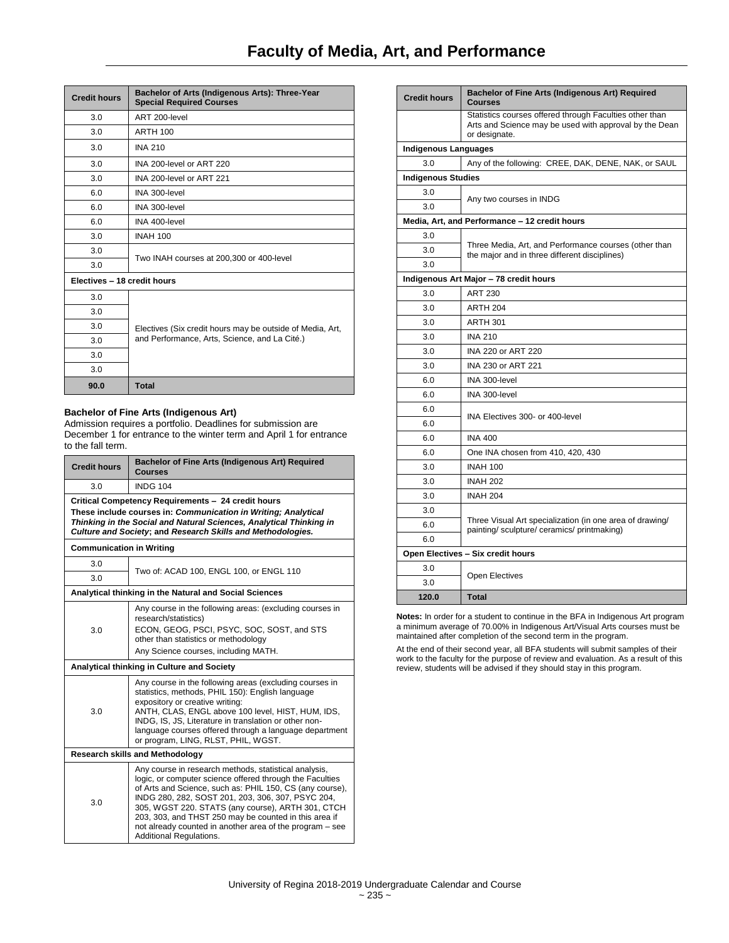| <b>Credit hours</b>         | Bachelor of Arts (Indigenous Arts): Three-Year<br><b>Special Required Courses</b>                          |
|-----------------------------|------------------------------------------------------------------------------------------------------------|
| 3.0                         | ART 200-level                                                                                              |
| 3.0                         | <b>ARTH 100</b>                                                                                            |
| 3.0                         | <b>INA 210</b>                                                                                             |
| 3.0                         | INA 200-level or ART 220                                                                                   |
| 3.0                         | INA 200-level or ART 221                                                                                   |
| 6.0                         | INA 300-level                                                                                              |
| 6.0                         | INA 300-level                                                                                              |
| 6.0                         | INA 400-level                                                                                              |
| 3.0                         | <b>INAH 100</b>                                                                                            |
| 3.0                         |                                                                                                            |
| 3.0                         | Two INAH courses at 200,300 or 400-level                                                                   |
| Electives - 18 credit hours |                                                                                                            |
| 3.0                         |                                                                                                            |
| 3.0                         | Electives (Six credit hours may be outside of Media, Art,<br>and Performance, Arts, Science, and La Cité.) |
| 3.0                         |                                                                                                            |
| 3.0                         |                                                                                                            |
| 3.0                         |                                                                                                            |
| 3.0                         |                                                                                                            |
| 90.0                        | <b>Total</b>                                                                                               |

## **Bachelor of Fine Arts (Indigenous Art)**

Admission requires a portfolio. Deadlines for submission are December 1 for entrance to the winter term and April 1 for entrance to the fall term.

| <b>Credit hours</b>                                                                                                                                                                                                                                        | Bachelor of Fine Arts (Indigenous Art) Required<br><b>Courses</b>                                                                                                                                                                                                                                                                                                                                                                              |
|------------------------------------------------------------------------------------------------------------------------------------------------------------------------------------------------------------------------------------------------------------|------------------------------------------------------------------------------------------------------------------------------------------------------------------------------------------------------------------------------------------------------------------------------------------------------------------------------------------------------------------------------------------------------------------------------------------------|
| 3.0                                                                                                                                                                                                                                                        | <b>INDG 104</b>                                                                                                                                                                                                                                                                                                                                                                                                                                |
| Critical Competency Requirements - 24 credit hours<br>These include courses in: Communication in Writing; Analytical<br>Thinking in the Social and Natural Sciences, Analytical Thinking in<br>Culture and Society; and Research Skills and Methodologies. |                                                                                                                                                                                                                                                                                                                                                                                                                                                |
| <b>Communication in Writing</b>                                                                                                                                                                                                                            |                                                                                                                                                                                                                                                                                                                                                                                                                                                |
| 3.0<br>3.0                                                                                                                                                                                                                                                 | Two of: ACAD 100, ENGL 100, or ENGL 110                                                                                                                                                                                                                                                                                                                                                                                                        |
|                                                                                                                                                                                                                                                            | Analytical thinking in the Natural and Social Sciences                                                                                                                                                                                                                                                                                                                                                                                         |
| 3.0                                                                                                                                                                                                                                                        | Any course in the following areas: (excluding courses in<br>research/statistics)<br>ECON, GEOG, PSCI, PSYC, SOC, SOST, and STS<br>other than statistics or methodology<br>Any Science courses, including MATH.                                                                                                                                                                                                                                 |
|                                                                                                                                                                                                                                                            | Analytical thinking in Culture and Society                                                                                                                                                                                                                                                                                                                                                                                                     |
| 3.0                                                                                                                                                                                                                                                        | Any course in the following areas (excluding courses in<br>statistics, methods, PHIL 150): English language<br>expository or creative writing:<br>ANTH, CLAS, ENGL above 100 level, HIST, HUM, IDS,<br>INDG, IS, JS, Literature in translation or other non-<br>language courses offered through a language department<br>or program, LING, RLST, PHIL, WGST.                                                                                  |
|                                                                                                                                                                                                                                                            | <b>Research skills and Methodology</b>                                                                                                                                                                                                                                                                                                                                                                                                         |
| 3.0                                                                                                                                                                                                                                                        | Any course in research methods, statistical analysis,<br>logic, or computer science offered through the Faculties<br>of Arts and Science, such as: PHIL 150, CS (any course),<br>INDG 280, 282, SOST 201, 203, 306, 307, PSYC 204,<br>305, WGST 220. STATS (any course), ARTH 301, CTCH<br>203, 303, and THST 250 may be counted in this area if<br>not already counted in another area of the program - see<br><b>Additional Regulations.</b> |

| <b>Credit hours</b>                    | Bachelor of Fine Arts (Indigenous Art) Required<br><b>Courses</b>                                                                  |  |
|----------------------------------------|------------------------------------------------------------------------------------------------------------------------------------|--|
|                                        | Statistics courses offered through Faculties other than<br>Arts and Science may be used with approval by the Dean<br>or designate. |  |
|                                        | <b>Indigenous Languages</b>                                                                                                        |  |
| 3.0                                    | Any of the following: CREE, DAK, DENE, NAK, or SAUL                                                                                |  |
| <b>Indigenous Studies</b>              |                                                                                                                                    |  |
| 3.0                                    | Any two courses in INDG                                                                                                            |  |
| 3.0                                    |                                                                                                                                    |  |
|                                        | Media, Art, and Performance - 12 credit hours                                                                                      |  |
| 3.0                                    |                                                                                                                                    |  |
| 3.0                                    | Three Media, Art, and Performance courses (other than<br>the major and in three different disciplines)                             |  |
| 3.0                                    |                                                                                                                                    |  |
| Indigenous Art Major - 78 credit hours |                                                                                                                                    |  |
| 3.0                                    | <b>ART 230</b>                                                                                                                     |  |
| 3.0                                    | ARTH <sub>204</sub>                                                                                                                |  |
| 3.0                                    | <b>ARTH 301</b>                                                                                                                    |  |
| 3 O                                    | <b>INA 210</b>                                                                                                                     |  |
| 3.0                                    | INA 220 or ART 220                                                                                                                 |  |
| 3.0                                    | INA 230 or ART 221                                                                                                                 |  |
| 6.0                                    | INA 300-level                                                                                                                      |  |
| 6.0                                    | INA 300-level                                                                                                                      |  |
| 6.0                                    | INA Electives 300- or 400-level                                                                                                    |  |
| 6.0                                    |                                                                                                                                    |  |
| 6.0                                    | <b>INA 400</b>                                                                                                                     |  |
| 6.0                                    | One INA chosen from 410, 420, 430                                                                                                  |  |
| 3.0                                    | <b>INAH 100</b>                                                                                                                    |  |
| 3.0                                    | <b>INAH 202</b>                                                                                                                    |  |
| 3.0                                    | <b>INAH 204</b>                                                                                                                    |  |
| 3.0                                    |                                                                                                                                    |  |
| 6.0                                    | Three Visual Art specialization (in one area of drawing/<br>painting/sculpture/ceramics/printmaking)                               |  |
| 6.0                                    |                                                                                                                                    |  |
|                                        | Open Electives - Six credit hours                                                                                                  |  |
| 3.0                                    |                                                                                                                                    |  |
| 3.0                                    | <b>Open Electives</b>                                                                                                              |  |
| 120.0                                  | <b>Total</b>                                                                                                                       |  |

**Notes:** In order for a student to continue in the BFA in Indigenous Art program a minimum average of 70.00% in Indigenous Art/Visual Arts courses must be maintained after completion of the second term in the program.

At the end of their second year, all BFA students will submit samples of their work to the faculty for the purpose of review and evaluation. As a result of this review, students will be advised if they should stay in this program.